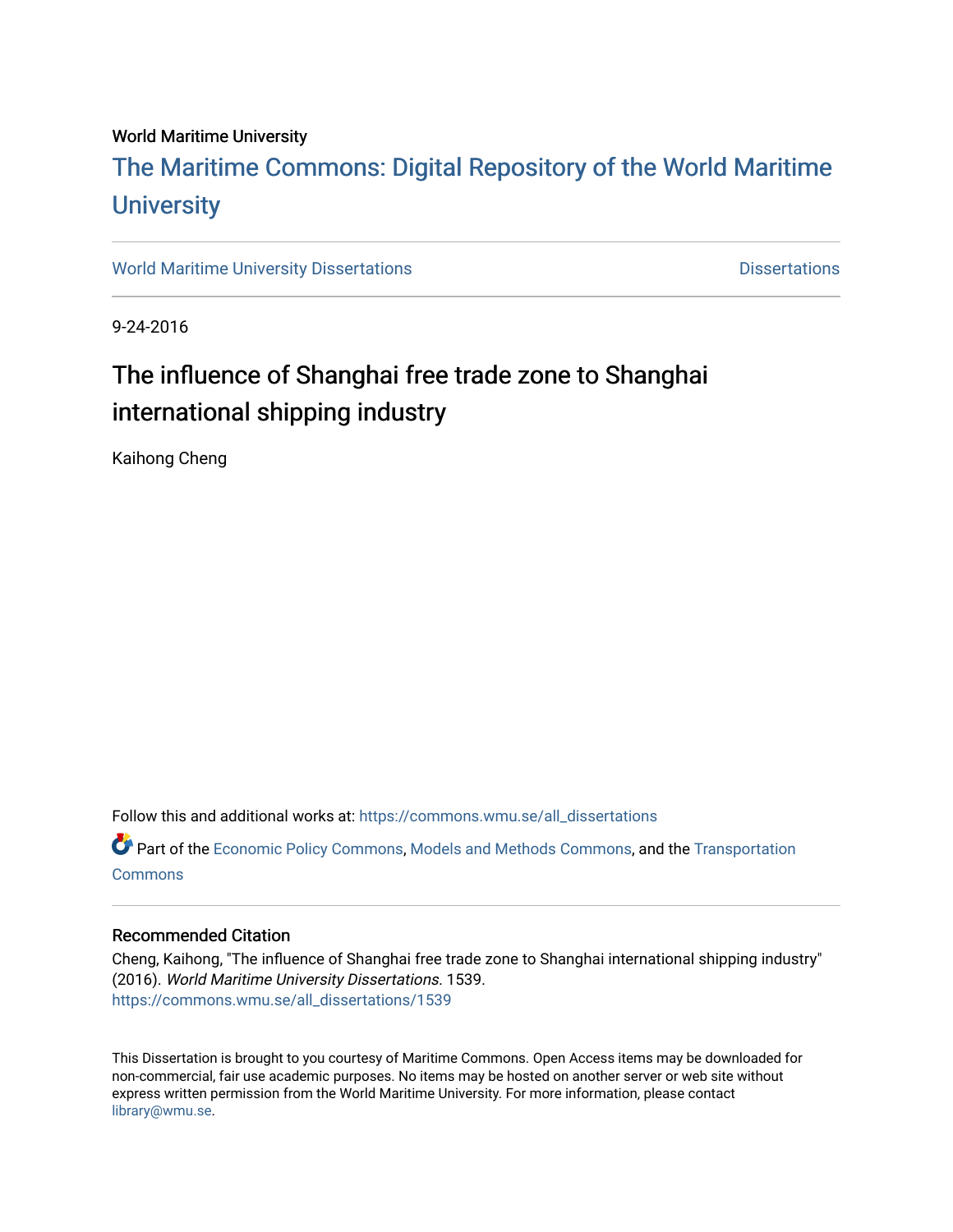## World Maritime University

# [The Maritime Commons: Digital Repository of the World Maritime](https://commons.wmu.se/)  **University**

[World Maritime University Dissertations](https://commons.wmu.se/all_dissertations) **Distributions** [Dissertations](https://commons.wmu.se/dissertations) Dissertations

9-24-2016

# The influence of Shanghai free trade zone to Shanghai international shipping industry

Kaihong Cheng

Follow this and additional works at: [https://commons.wmu.se/all\\_dissertations](https://commons.wmu.se/all_dissertations?utm_source=commons.wmu.se%2Fall_dissertations%2F1539&utm_medium=PDF&utm_campaign=PDFCoverPages) 

Part of the [Economic Policy Commons](http://network.bepress.com/hgg/discipline/1025?utm_source=commons.wmu.se%2Fall_dissertations%2F1539&utm_medium=PDF&utm_campaign=PDFCoverPages), [Models and Methods Commons](http://network.bepress.com/hgg/discipline/390?utm_source=commons.wmu.se%2Fall_dissertations%2F1539&utm_medium=PDF&utm_campaign=PDFCoverPages), and the [Transportation](http://network.bepress.com/hgg/discipline/1068?utm_source=commons.wmu.se%2Fall_dissertations%2F1539&utm_medium=PDF&utm_campaign=PDFCoverPages)  **[Commons](http://network.bepress.com/hgg/discipline/1068?utm_source=commons.wmu.se%2Fall_dissertations%2F1539&utm_medium=PDF&utm_campaign=PDFCoverPages)** 

## Recommended Citation

Cheng, Kaihong, "The influence of Shanghai free trade zone to Shanghai international shipping industry" (2016). World Maritime University Dissertations. 1539. [https://commons.wmu.se/all\\_dissertations/1539](https://commons.wmu.se/all_dissertations/1539?utm_source=commons.wmu.se%2Fall_dissertations%2F1539&utm_medium=PDF&utm_campaign=PDFCoverPages)

This Dissertation is brought to you courtesy of Maritime Commons. Open Access items may be downloaded for non-commercial, fair use academic purposes. No items may be hosted on another server or web site without express written permission from the World Maritime University. For more information, please contact [library@wmu.se](mailto:library@wmu.edu).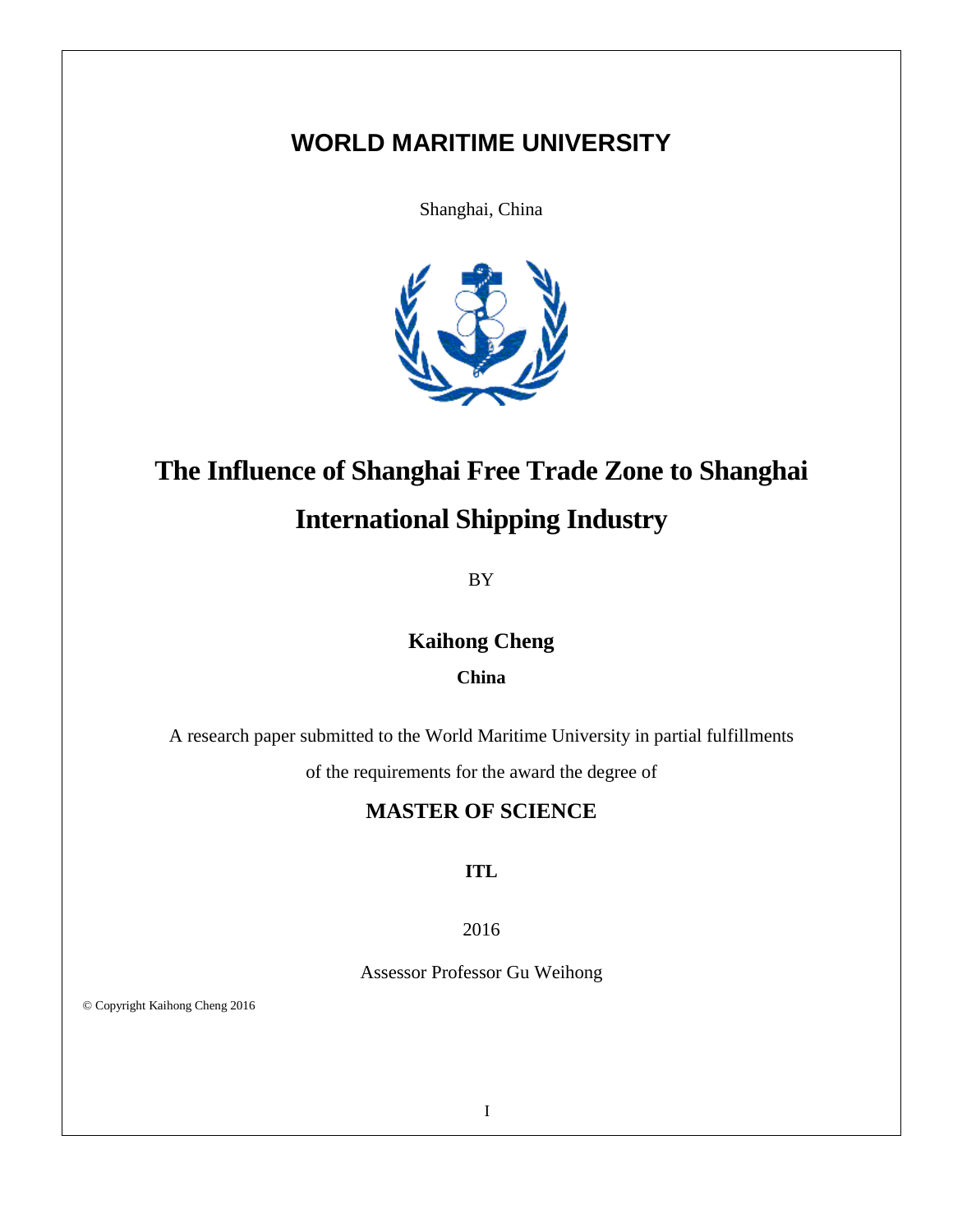# **WORLD MARITIME UNIVERSITY**

Shanghai, China



# **The Influence of Shanghai Free Trade Zone to Shanghai**

# **International Shipping Industry**

BY

# **Kaihong Cheng**

## **China**

A research paper submitted to the World Maritime University in partial fulfillments

of the requirements for the award the degree of

# **MASTER OF SCIENCE**

## **ITL**

## 2016

Assessor Professor Gu Weihong

© Copyright Kaihong Cheng 2016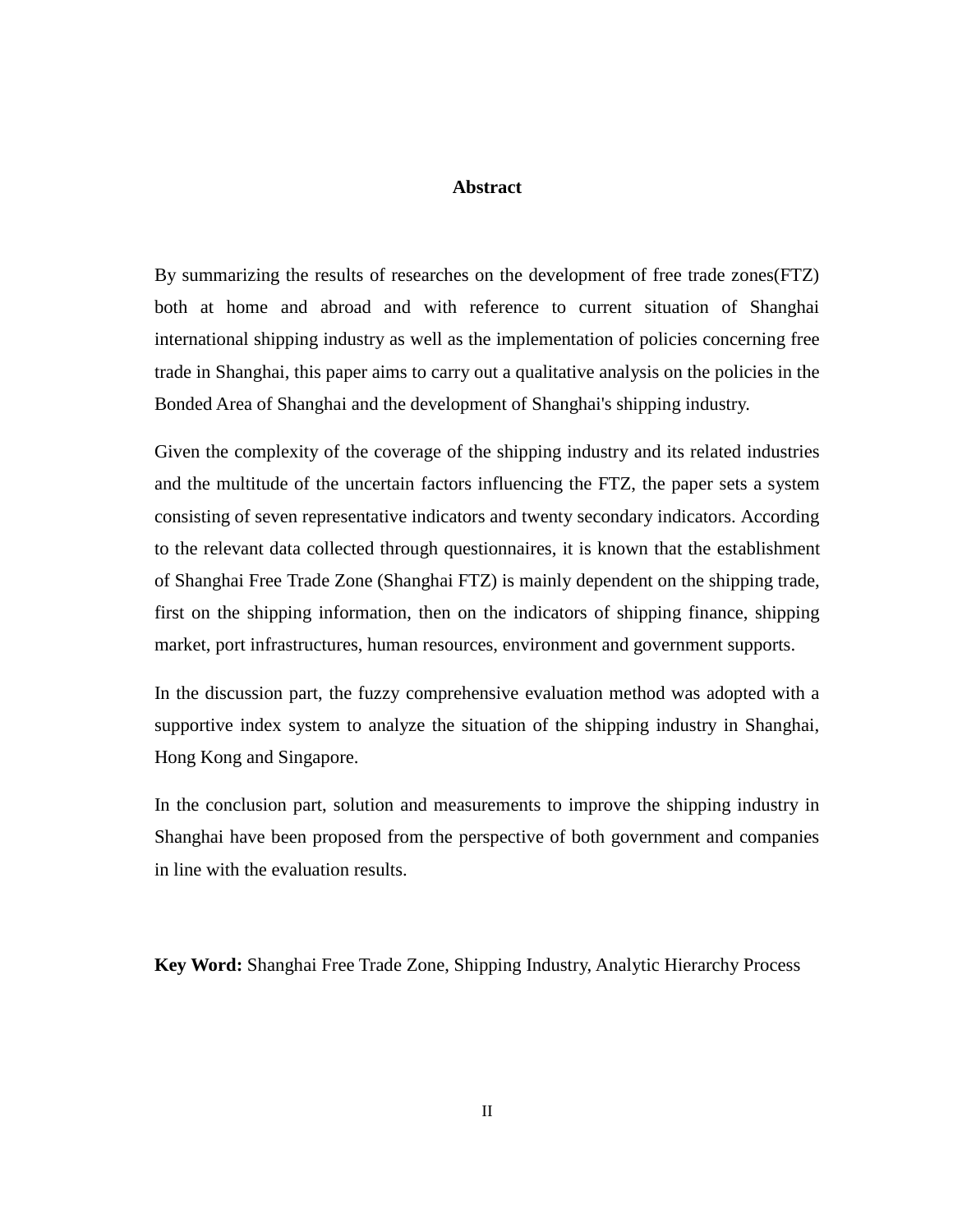#### **Abstract**

By summarizing the results of researches on the development of free trade zones(FTZ) both at home and abroad and with reference to current situation of Shanghai international shipping industry as well as the implementation of policies concerning free trade in Shanghai, this paper aims to carry out a qualitative analysis on the policies in the Bonded Area of Shanghai and the development of Shanghai's shipping industry.

Given the complexity of the coverage of the shipping industry and its related industries and the multitude of the uncertain factors influencing the FTZ, the paper sets a system consisting of seven representative indicators and twenty secondary indicators. According to the relevant data collected through questionnaires, it is known that the establishment of Shanghai Free Trade Zone (Shanghai FTZ) is mainly dependent on the shipping trade, first on the shipping information, then on the indicators of shipping finance, shipping market, port infrastructures, human resources, environment and government supports.

In the discussion part, the fuzzy comprehensive evaluation method was adopted with a supportive index system to analyze the situation of the shipping industry in Shanghai, Hong Kong and Singapore.

In the conclusion part, solution and measurements to improve the shipping industry in Shanghai have been proposed from the perspective of both government and companies in line with the evaluation results.

**Key Word:** Shanghai Free Trade Zone, Shipping Industry, Analytic Hierarchy Process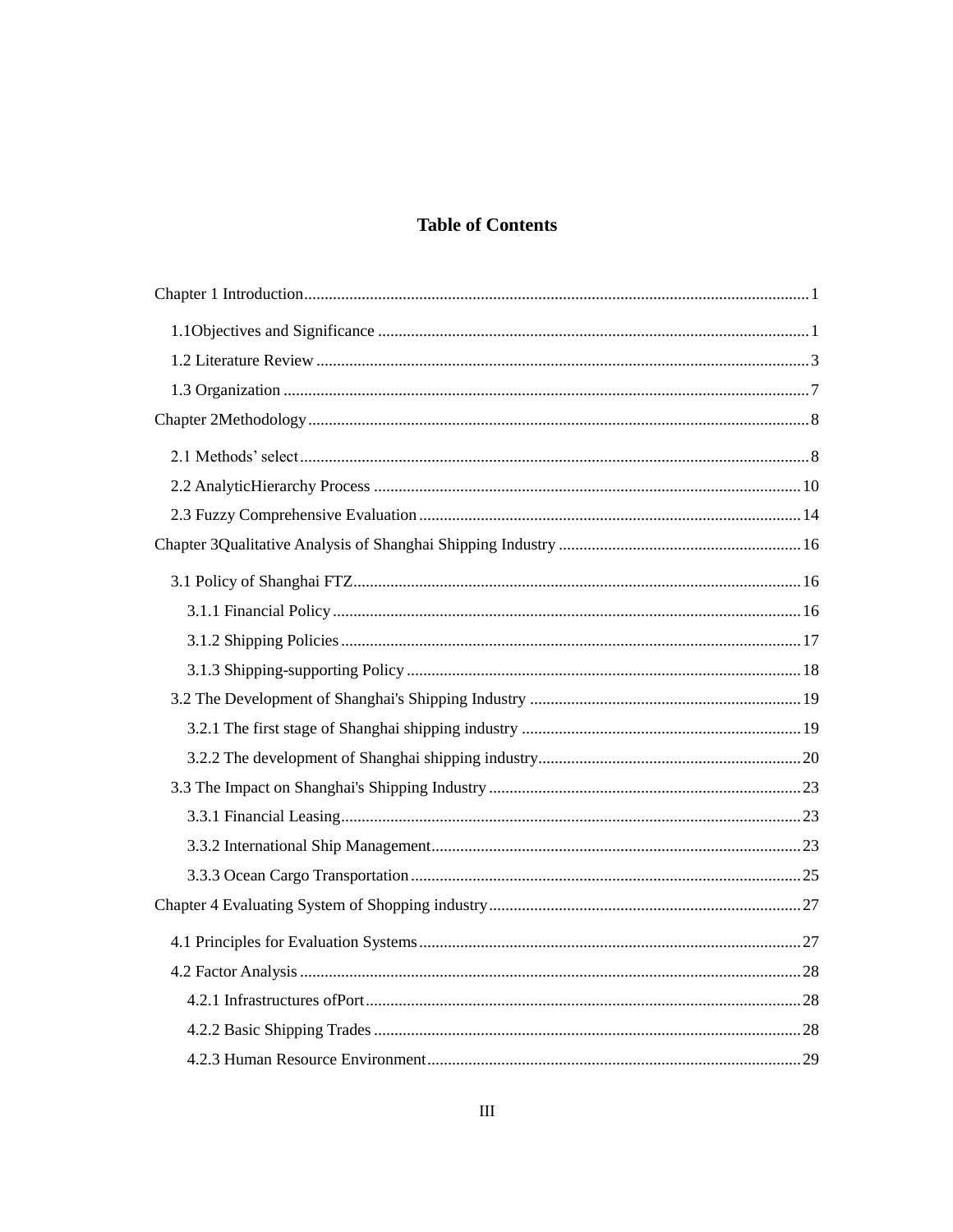# **Table of Contents**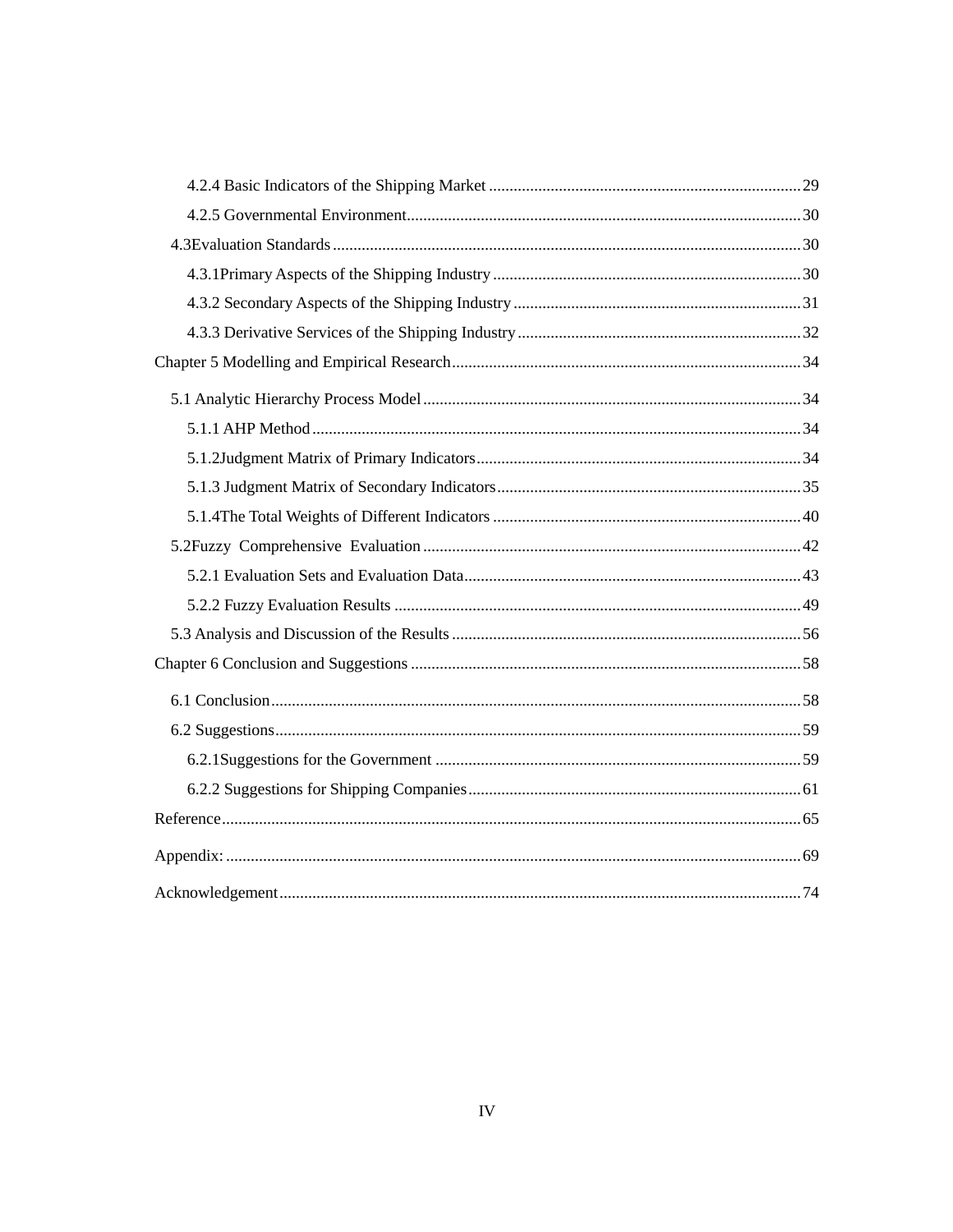<span id="page-4-1"></span><span id="page-4-0"></span>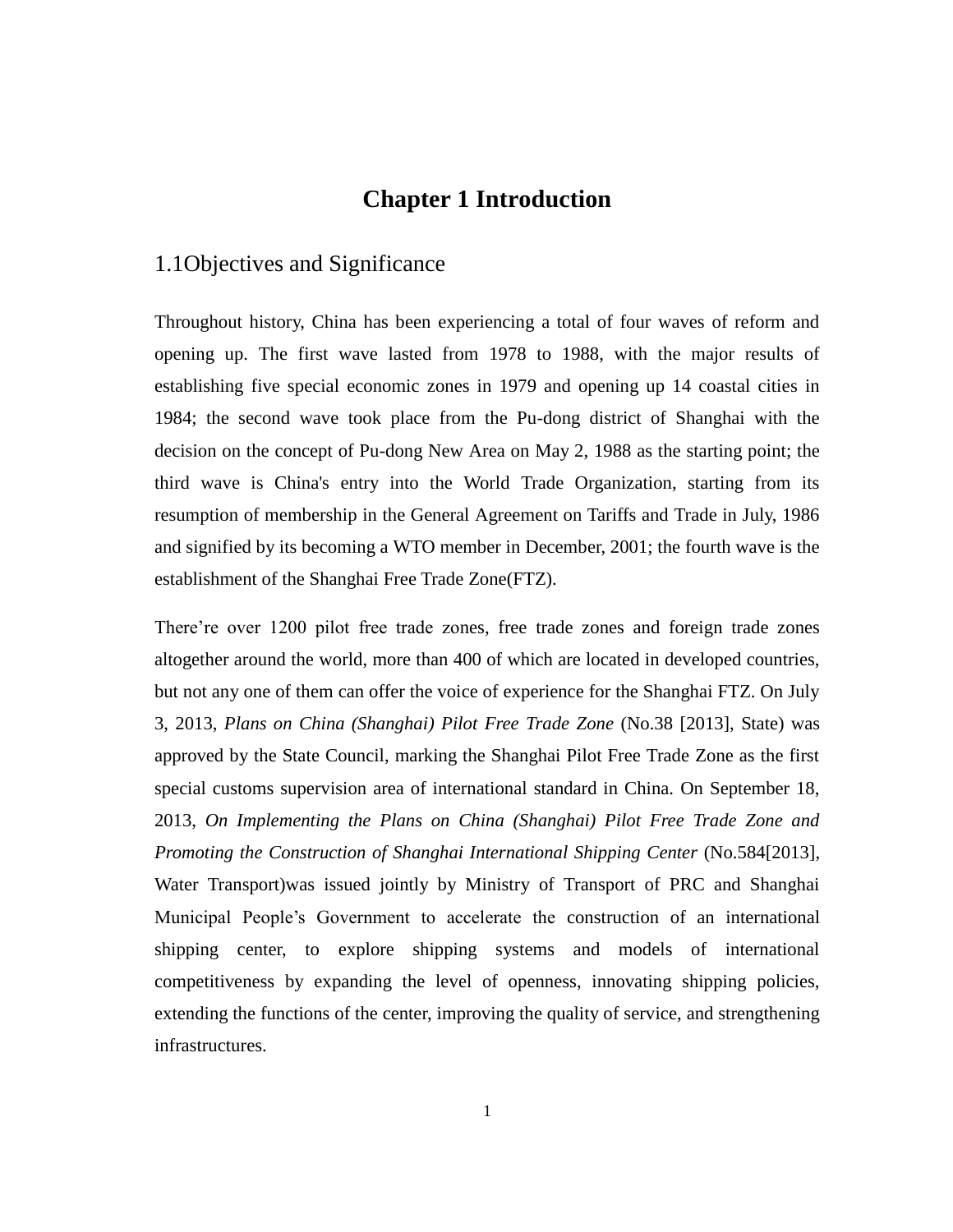# **Chapter 1 Introduction**

# 1.1Objectives and Significance

Throughout history, China has been experiencing a total of four waves of reform and opening up. The first wave lasted from 1978 to 1988, with the major results of establishing five special economic zones in 1979 and opening up 14 coastal cities in 1984; the second wave took place from the Pu-dong district of Shanghai with the decision on the concept of Pu-dong New Area on May 2, 1988 as the starting point; the third wave is China's entry into the World Trade Organization, starting from its resumption of membership in the General Agreement on Tariffs and Trade in July, 1986 and signified by its becoming a WTO member in December, 2001; the fourth wave is the establishment of the Shanghai Free Trade Zone(FTZ).

There're over 1200 pilot free trade zones, free trade zones and foreign trade zones altogether around the world, more than 400 of which are located in developed countries, but not any one of them can offer the voice of experience for the Shanghai FTZ. On July 3, 2013, *Plans on China (Shanghai) Pilot Free Trade Zone* (No.38 [2013], State) was approved by the State Council, marking the Shanghai Pilot Free Trade Zone as the first special customs supervision area of international standard in China. On September 18, 2013, *On Implementing the Plans on China (Shanghai) Pilot Free Trade Zone and Promoting the Construction of Shanghai International Shipping Center (No.584[2013],* Water Transport)was issued jointly by Ministry of Transport of PRC and Shanghai Municipal People's Government to accelerate the construction of an international shipping center, to explore shipping systems and models of international competitiveness by expanding the level of openness, innovating shipping policies, extending the functions of the center, improving the quality of service, and strengthening infrastructures.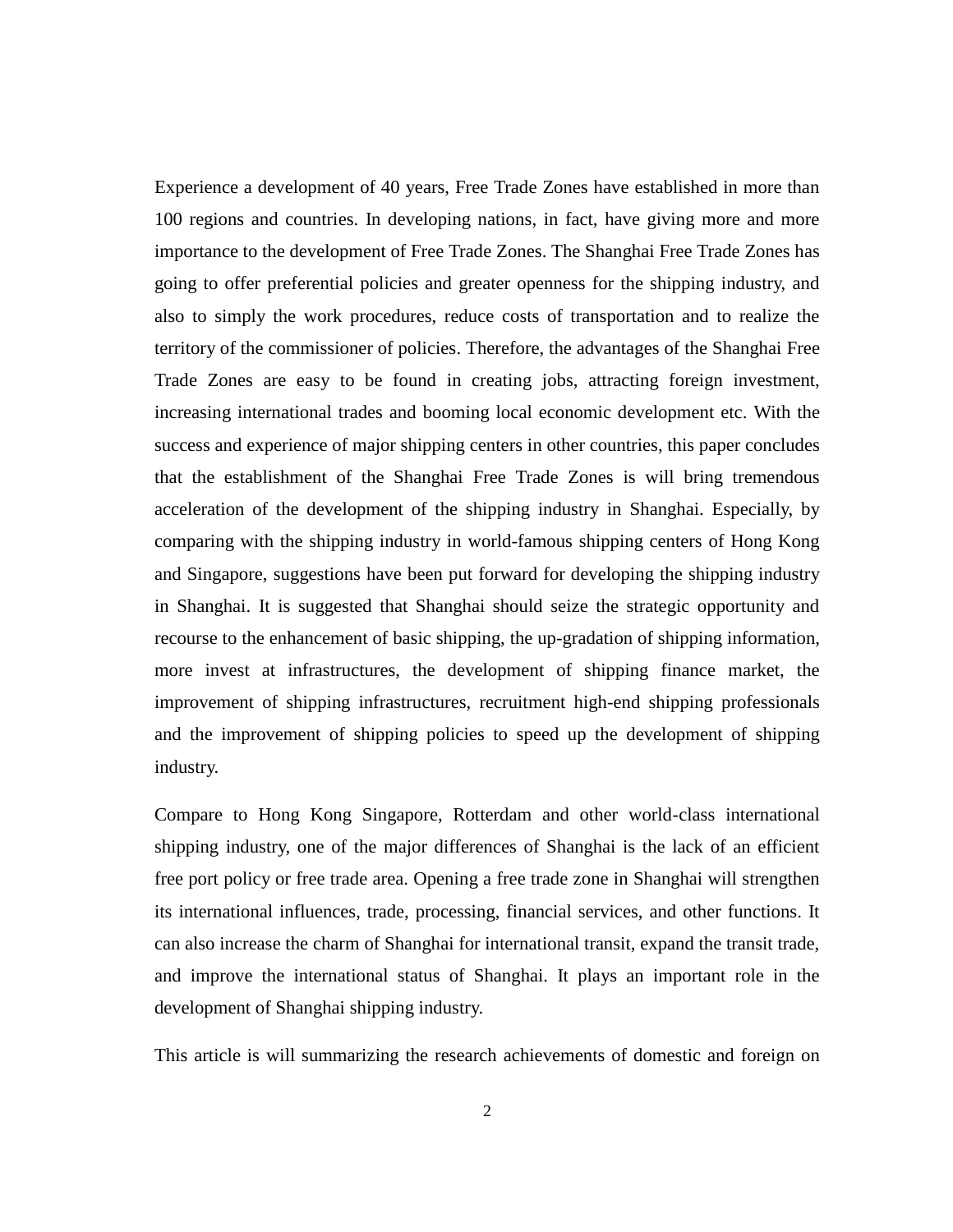Experience a development of 40 years, Free Trade Zones have established in more than 100 regions and countries. In developing nations, in fact, have giving more and more importance to the development of Free Trade Zones. The Shanghai Free Trade Zones has going to offer preferential policies and greater openness for the shipping industry, and also to simply the work procedures, reduce costs of transportation and to realize the territory of the commissioner of policies. Therefore, the advantages of the Shanghai Free Trade Zones are easy to be found in creating jobs, attracting foreign investment, increasing international trades and booming local economic development etc. With the success and experience of major shipping centers in other countries, this paper concludes that the establishment of the Shanghai Free Trade Zones is will bring tremendous acceleration of the development of the shipping industry in Shanghai. Especially, by comparing with the shipping industry in world-famous shipping centers of Hong Kong and Singapore, suggestions have been put forward for developing the shipping industry in Shanghai. It is suggested that Shanghai should seize the strategic opportunity and recourse to the enhancement of basic shipping, the up-gradation of shipping information, more invest at infrastructures, the development of shipping finance market, the improvement of shipping infrastructures, recruitment high-end shipping professionals and the improvement of shipping policies to speed up the development of shipping industry.

<span id="page-6-0"></span>Compare to Hong Kong Singapore, Rotterdam and other world-class international shipping industry, one of the major differences of Shanghai is the lack of an efficient free port policy or free trade area. Opening a free trade zone in Shanghai will strengthen its international influences, trade, processing, financial services, and other functions. It can also increase the charm of Shanghai for international transit, expand the transit trade, and improve the international status of Shanghai. It plays an important role in the development of Shanghai shipping industry.

This article is will summarizing the research achievements of domestic and foreign on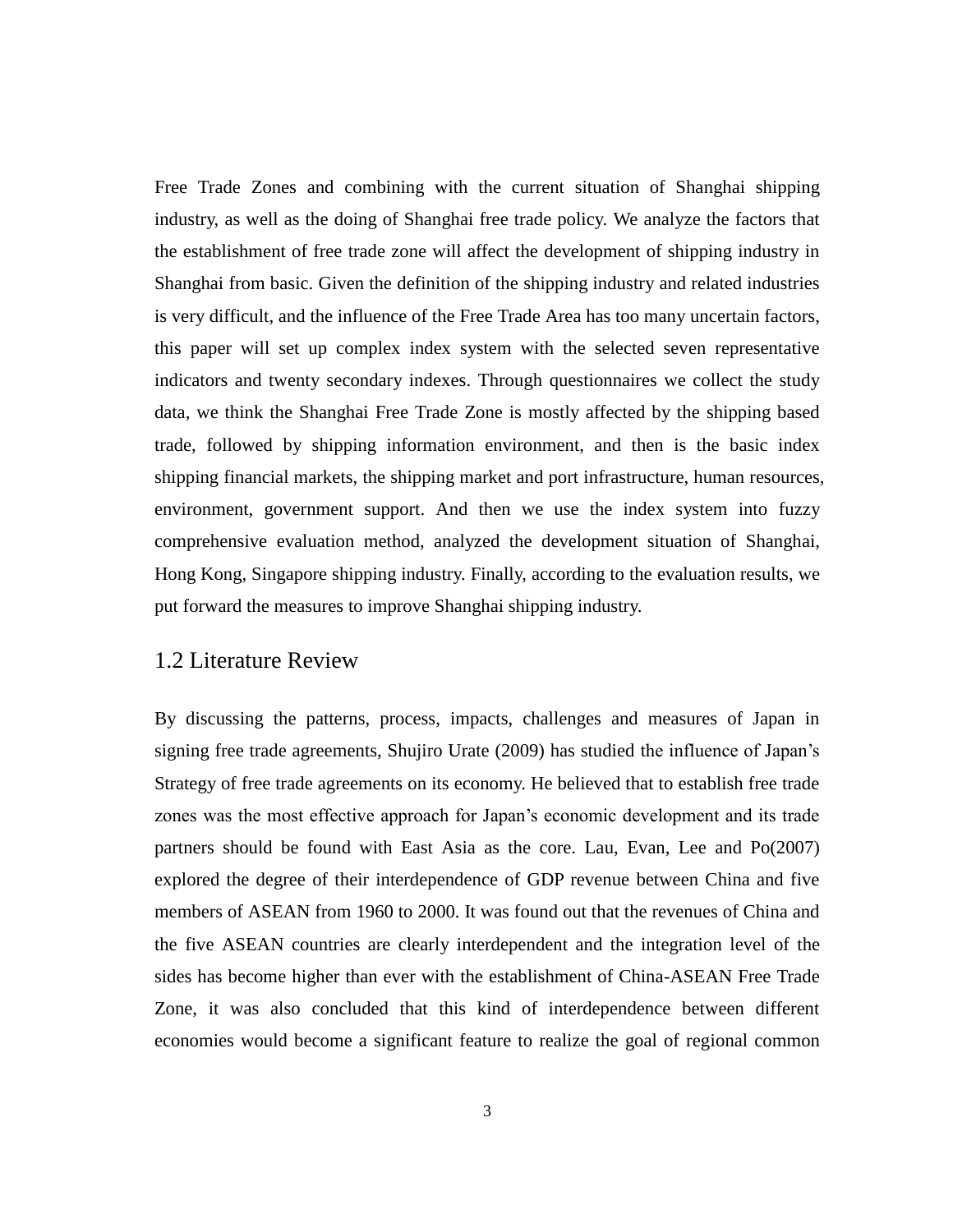Free Trade Zones and combining with the current situation of Shanghai shipping industry, as well as the doing of Shanghai free trade policy. We analyze the factors that the establishment of free trade zone will affect the development of shipping industry in Shanghai from basic. Given the definition of the shipping industry and related industries is very difficult, and the influence of the Free Trade Area has too many uncertain factors, this paper will set up complex index system with the selected seven representative indicators and twenty secondary indexes. Through questionnaires we collect the study data, we think the Shanghai Free Trade Zone is mostly affected by the shipping based trade, followed by shipping information environment, and then is the basic index shipping financial markets, the shipping market and port infrastructure, human resources, environment, government support. And then we use the index system into fuzzy comprehensive evaluation method, analyzed the development situation of Shanghai, Hong Kong, Singapore shipping industry. Finally, according to the evaluation results, we put forward the measures to improve Shanghai shipping industry.

## 1.2 Literature Review

By discussing the patterns, process, impacts, challenges and measures of Japan in signing free trade agreements, Shujiro Urate (2009) has studied the influence of Japan's Strategy of free trade agreements on its economy. He believed that to establish free trade zones was the most effective approach for Japan's economic development and its trade partners should be found with East Asia as the core. Lau, Evan, Lee and Po(2007) explored the degree of their interdependence of GDP revenue between China and five members of ASEAN from 1960 to 2000. It was found out that the revenues of China and the five ASEAN countries are clearly interdependent and the integration level of the sides has become higher than ever with the establishment of China-ASEAN Free Trade Zone, it was also concluded that this kind of interdependence between different economies would become a significant feature to realize the goal of regional common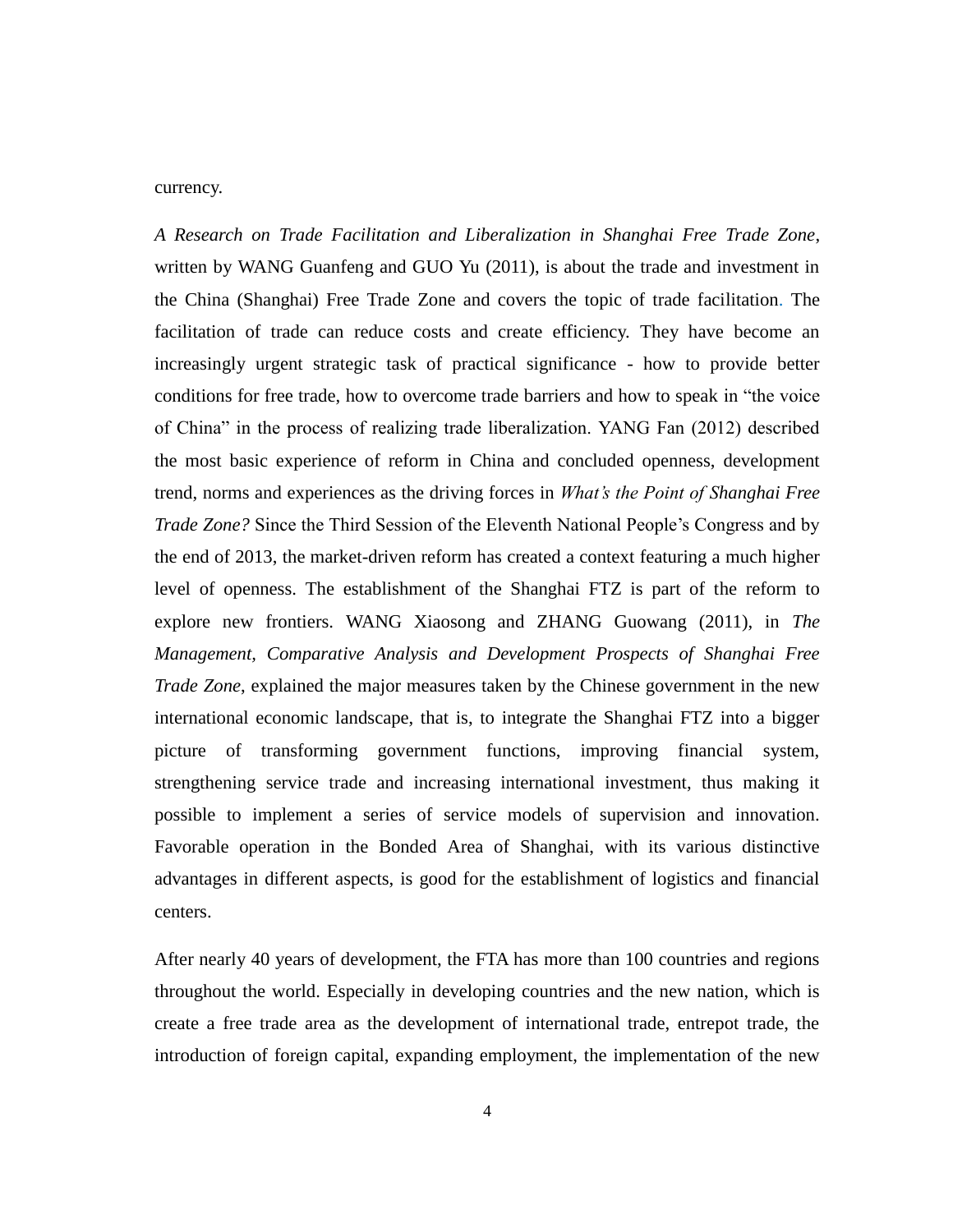#### currency.

*A Research on Trade Facilitation and Liberalization in Shanghai Free Trade Zone*, written by WANG Guanfeng and GUO Yu (2011), is about the trade and investment in the China (Shanghai) Free Trade Zone and covers the topic of trade facilitation. The facilitation of trade can reduce costs and create efficiency. They have become an increasingly urgent strategic task of practical significance - how to provide better conditions for free trade, how to overcome trade barriers and how to speak in "the voice of China" in the process of realizing trade liberalization. YANG Fan (2012) described the most basic experience of reform in China and concluded openness, development trend, norms and experiences as the driving forces in *What's the Point of Shanghai Free Trade Zone?* Since the Third Session of the Eleventh National People's Congress and by the end of 2013, the market-driven reform has created a context featuring a much higher level of openness. The establishment of the Shanghai FTZ is part of the reform to explore new frontiers. WANG Xiaosong and ZHANG Guowang (2011), in *The Management, Comparative Analysis and Development Prospects of Shanghai Free Trade Zone*, explained the major measures taken by the Chinese government in the new international economic landscape, that is, to integrate the Shanghai FTZ into a bigger picture of transforming government functions, improving financial system, strengthening service trade and increasing international investment, thus making it possible to implement a series of service models of supervision and innovation. Favorable operation in the Bonded Area of Shanghai, with its various distinctive advantages in different aspects, is good for the establishment of logistics and financial centers.

After nearly 40 years of development, the FTA has more than 100 countries and regions throughout the world. Especially in developing countries and the new nation, which is create a free trade area as the development of international trade, entrepot trade, the introduction of foreign capital, expanding employment, the implementation of the new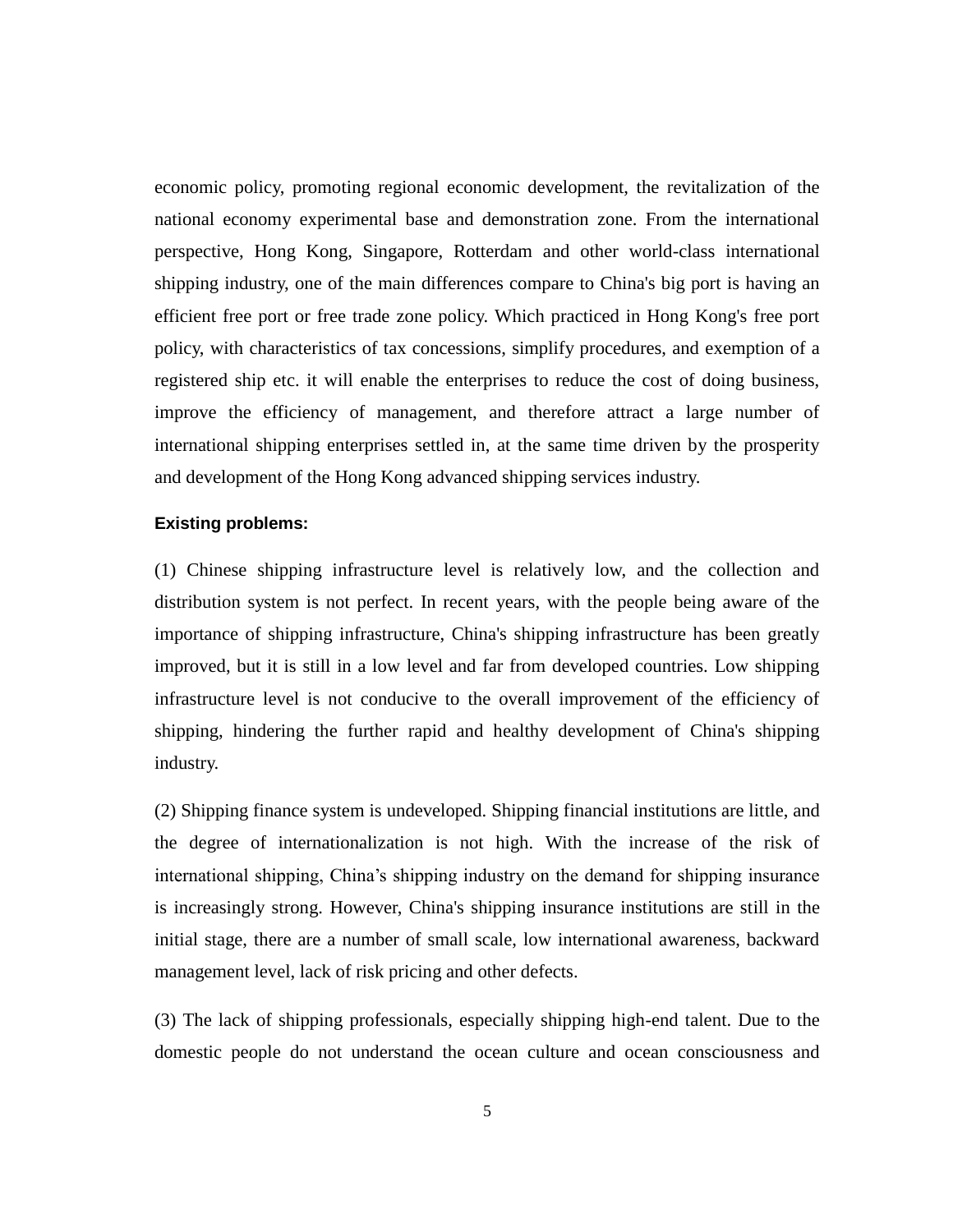economic policy, promoting regional economic development, the revitalization of the national economy experimental base and demonstration zone. From the international perspective, Hong Kong, Singapore, Rotterdam and other world-class international shipping industry, one of the main differences compare to China's big port is having an efficient free port or free trade zone policy. Which practiced in Hong Kong's free port policy, with characteristics of tax concessions, simplify procedures, and exemption of a registered ship etc. it will enable the enterprises to reduce the cost of doing business, improve the efficiency of management, and therefore attract a large number of international shipping enterprises settled in, at the same time driven by the prosperity and development of the Hong Kong advanced shipping services industry.

#### **Existing problems:**

(1) Chinese shipping infrastructure level is relatively low, and the collection and distribution system is not perfect. In recent years, with the people being aware of the importance of shipping infrastructure, China's shipping infrastructure has been greatly improved, but it is still in a low level and far from developed countries. Low shipping infrastructure level is not conducive to the overall improvement of the efficiency of shipping, hindering the further rapid and healthy development of China's shipping industry.

(2) Shipping finance system is undeveloped. Shipping financial institutions are little, and the degree of internationalization is not high. With the increase of the risk of international shipping, China's shipping industry on the demand for shipping insurance is increasingly strong. However, China's shipping insurance institutions are still in the initial stage, there are a number of small scale, low international awareness, backward management level, lack of risk pricing and other defects.

(3) The lack of shipping professionals, especially shipping high-end talent. Due to the domestic people do not understand the ocean culture and ocean consciousness and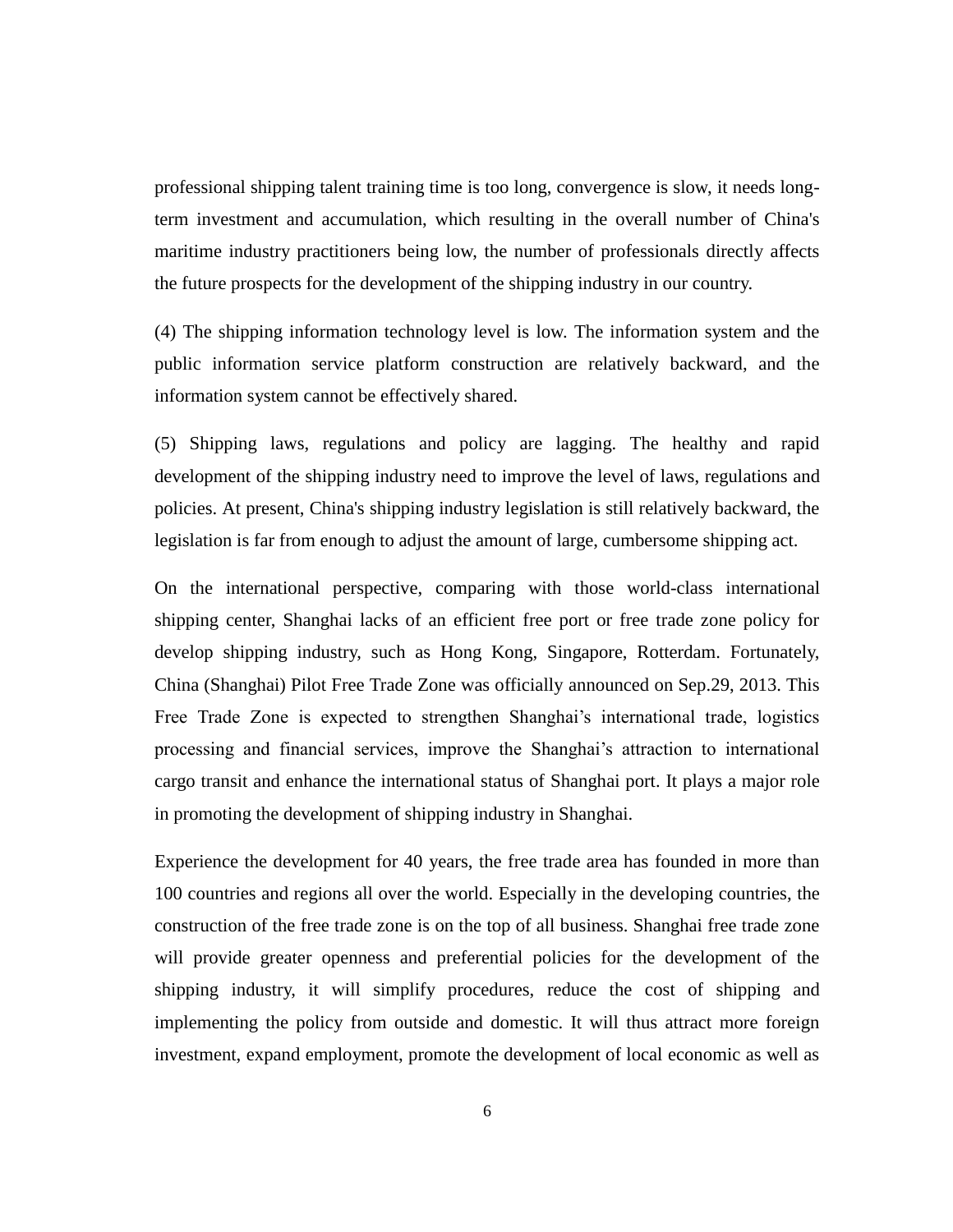<span id="page-10-0"></span>professional shipping talent training time is too long, convergence is slow, it needs longterm investment and accumulation, which resulting in the overall number of China's maritime industry practitioners being low, the number of professionals directly affects the future prospects for the development of the shipping industry in our country.

(4) The shipping information technology level is low. The information system and the public information service platform construction are relatively backward, and the information system cannot be effectively shared.

(5) Shipping laws, regulations and policy are lagging. The healthy and rapid development of the shipping industry need to improve the level of laws, regulations and policies. At present, China's shipping industry legislation is still relatively backward, the legislation is far from enough to adjust the amount of large, cumbersome shipping act.

On the international perspective, comparing with those world-class international shipping center, Shanghai lacks of an efficient free port or free trade zone policy for develop shipping industry, such as Hong Kong, Singapore, Rotterdam. Fortunately, China (Shanghai) Pilot Free Trade Zone was officially announced on Sep.29, 2013. This Free Trade Zone is expected to strengthen Shanghai's international trade, logistics processing and financial services, improve the Shanghai's attraction to international cargo transit and enhance the international status of Shanghai port. It plays a major role in promoting the development of shipping industry in Shanghai.

Experience the development for 40 years, the free trade area has founded in more than 100 countries and regions all over the world. Especially in the developing countries, the construction of the free trade zone is on the top of all business. Shanghai free trade zone will provide greater openness and preferential policies for the development of the shipping industry, it will simplify procedures, reduce the cost of shipping and implementing the policy from outside and domestic. It will thus attract more foreign investment, expand employment, promote the development of local economic as well as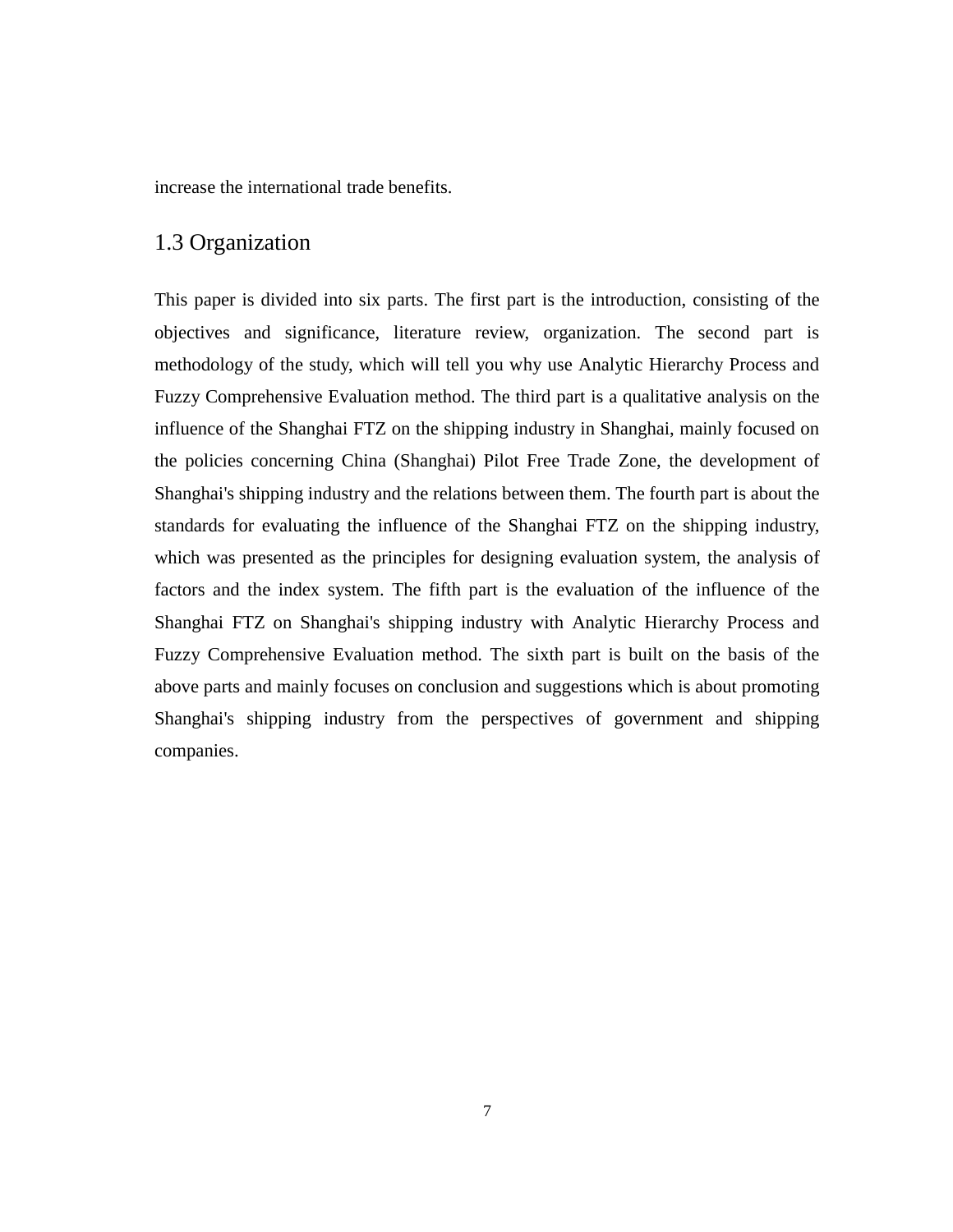increase the international trade benefits.

# <span id="page-11-0"></span>1.3 Organization

<span id="page-11-1"></span>This paper is divided into six parts. The first part is the introduction, consisting of the objectives and significance, literature review, organization. The second part is methodology of the study, which will tell you why use Analytic Hierarchy Process and Fuzzy Comprehensive Evaluation method. The third part is a qualitative analysis on the influence of the Shanghai FTZ on the shipping industry in Shanghai, mainly focused on the policies concerning China (Shanghai) Pilot Free Trade Zone, the development of Shanghai's shipping industry and the relations between them. The fourth part is about the standards for evaluating the influence of the Shanghai FTZ on the shipping industry, which was presented as the principles for designing evaluation system, the analysis of factors and the index system. The fifth part is the evaluation of the influence of the Shanghai FTZ on Shanghai's shipping industry with Analytic Hierarchy Process and Fuzzy Comprehensive Evaluation method. The sixth part is built on the basis of the above parts and mainly focuses on conclusion and suggestions which is about promoting Shanghai's shipping industry from the perspectives of government and shipping companies.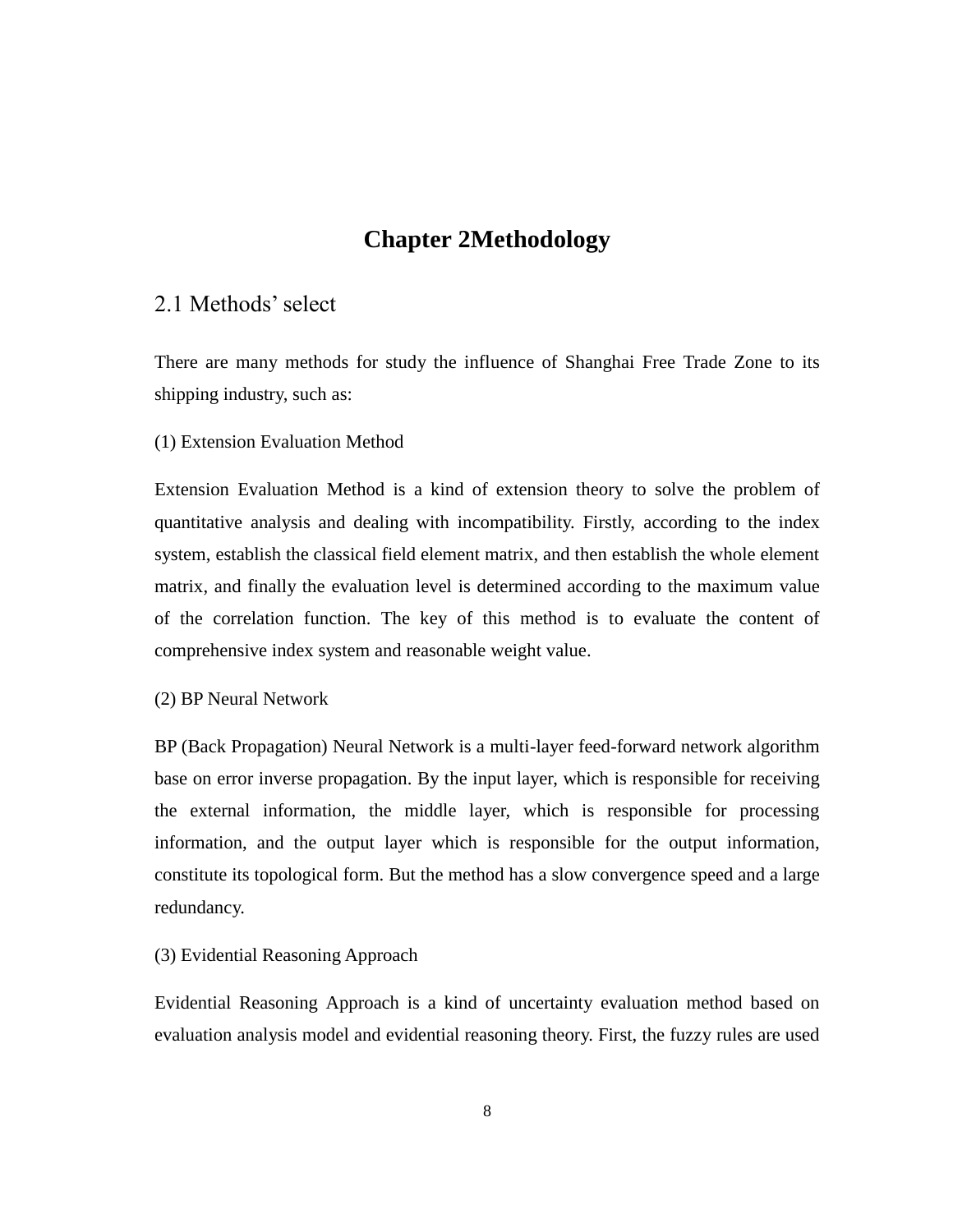# **Chapter 2Methodology**

# 2.1 Methods' select

There are many methods for study the influence of Shanghai Free Trade Zone to its shipping industry, such as:

#### (1) Extension Evaluation Method

Extension Evaluation Method is a kind of extension theory to solve the problem of quantitative analysis and dealing with incompatibility. Firstly, according to the index system, establish the classical field element matrix, and then establish the whole element matrix, and finally the evaluation level is determined according to the maximum value of the correlation function. The key of this method is to evaluate the content of comprehensive index system and reasonable weight value.

#### (2) BP Neural Network

BP (Back Propagation) Neural Network is a multi-layer feed-forward network algorithm base on error inverse propagation. By the input layer, which is responsible for receiving the external information, the middle layer, which is responsible for processing information, and the output layer which is responsible for the output information, constitute its topological form. But the method has a slow convergence speed and a large redundancy.

#### (3) Evidential Reasoning Approach

Evidential Reasoning Approach is a kind of uncertainty evaluation method based on evaluation analysis model and evidential reasoning theory. First, the fuzzy rules are used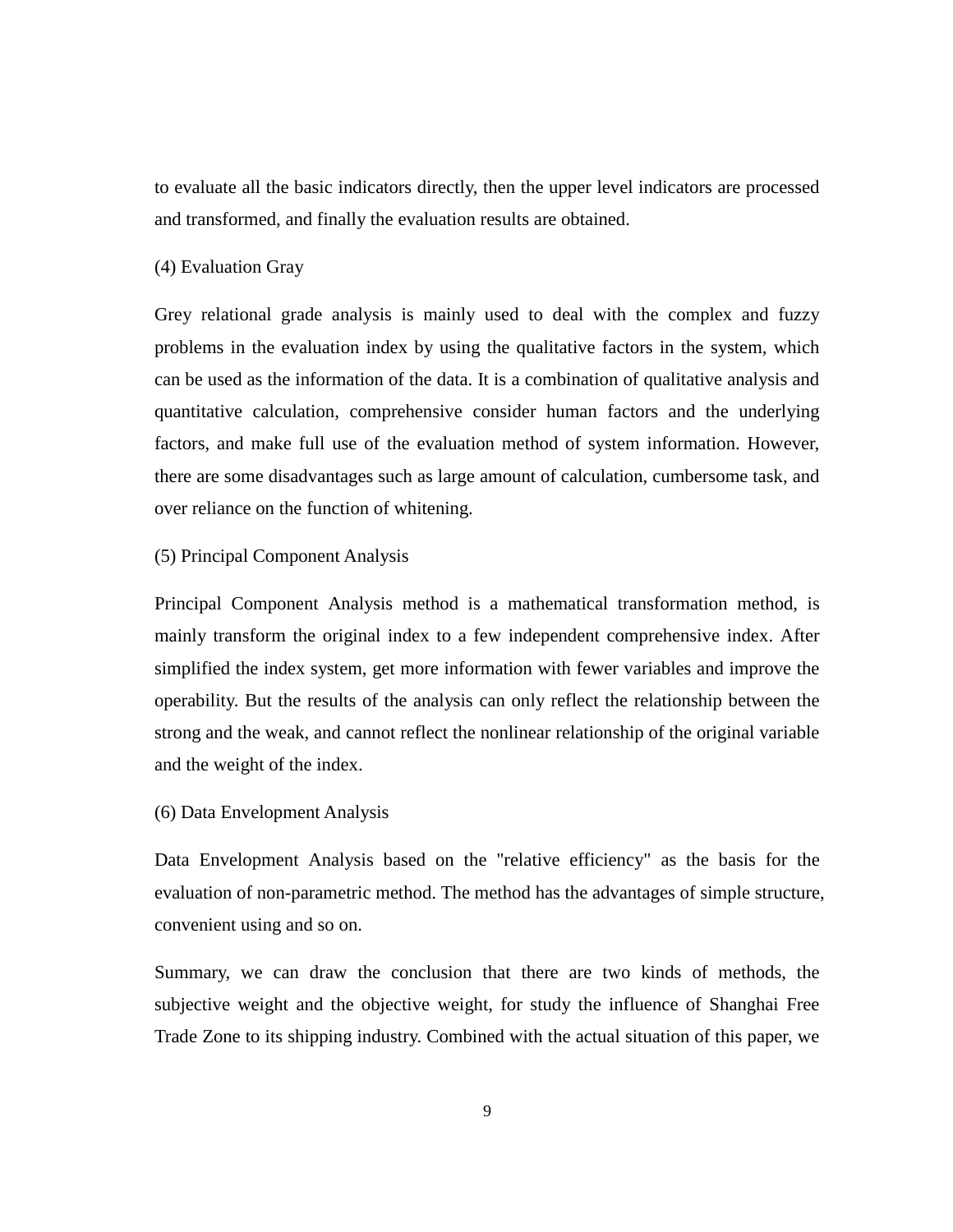to evaluate all the basic indicators directly, then the upper level indicators are processed and transformed, and finally the evaluation results are obtained.

### <span id="page-13-0"></span>(4) Evaluation Gray

Grey relational grade analysis is mainly used to deal with the complex and fuzzy problems in the evaluation index by using the qualitative factors in the system, which can be used as the information of the data. It is a combination of qualitative analysis and quantitative calculation, comprehensive consider human factors and the underlying factors, and make full use of the evaluation method of system information. However, there are some disadvantages such as large amount of calculation, cumbersome task, and over reliance on the function of whitening.

### (5) Principal Component Analysis

Principal Component Analysis method is a mathematical transformation method, is mainly transform the original index to a few independent comprehensive index. After simplified the index system, get more information with fewer variables and improve the operability. But the results of the analysis can only reflect the relationship between the strong and the weak, and cannot reflect the nonlinear relationship of the original variable and the weight of the index.

#### (6) Data Envelopment Analysis

Data Envelopment Analysis based on the "relative efficiency" as the basis for the evaluation of non-parametric method. The method has the advantages of simple structure, convenient using and so on.

Summary, we can draw the conclusion that there are two kinds of methods, the subjective weight and the objective weight, for study the influence of Shanghai Free Trade Zone to its shipping industry. Combined with the actual situation of this paper, we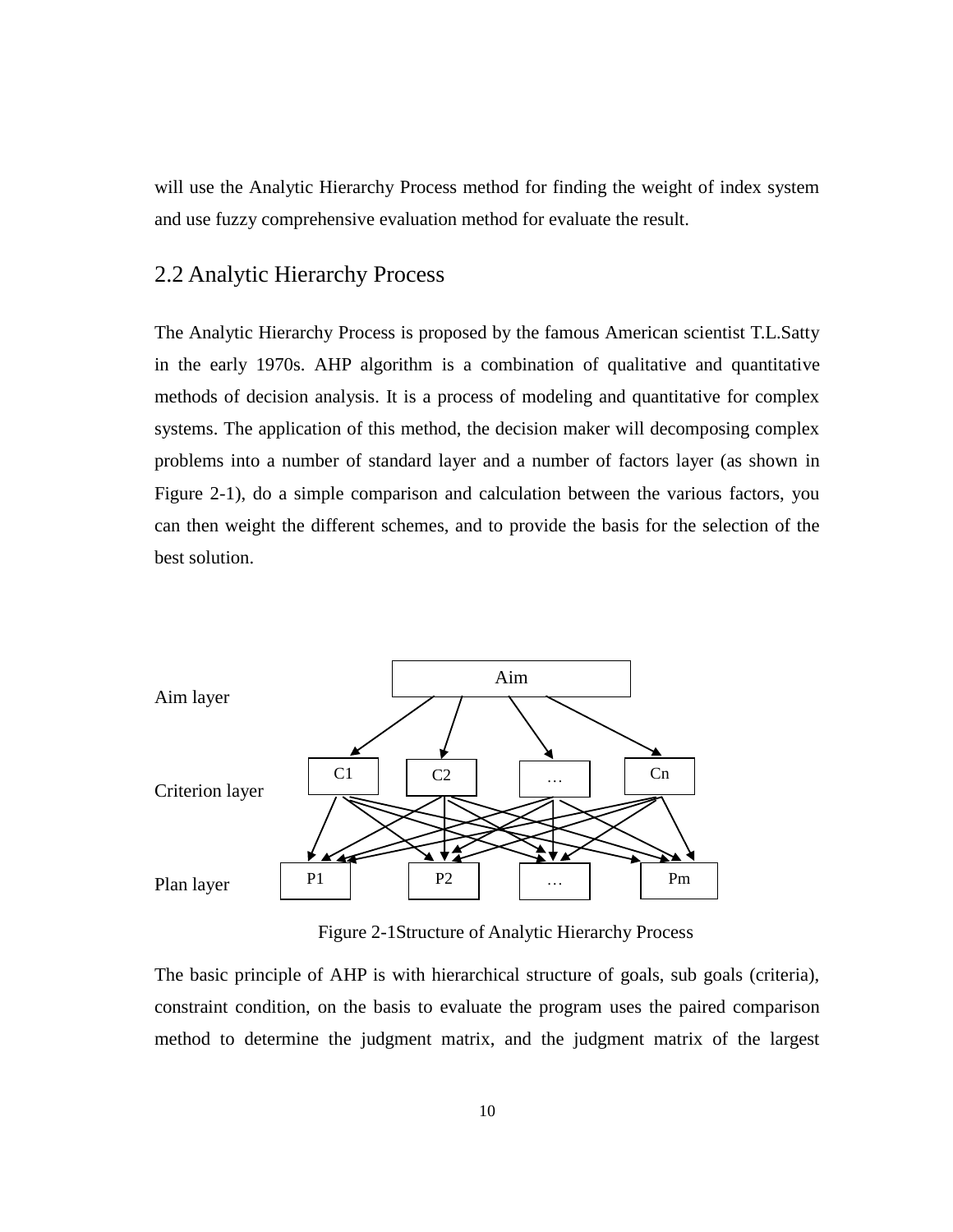will use the Analytic Hierarchy Process method for finding the weight of index system and use fuzzy comprehensive evaluation method for evaluate the result.

## 2.2 Analytic Hierarchy Process

The Analytic Hierarchy Process is proposed by the famous American scientist T.L.Satty in the early 1970s. AHP algorithm is a combination of qualitative and quantitative methods of decision analysis. It is a process of modeling and quantitative for complex systems. The application of this method, the decision maker will decomposing complex problems into a number of standard layer and a number of factors layer (as shown in Figure 2-1), do a simple comparison and calculation between the various factors, you can then weight the different schemes, and to provide the basis for the selection of the best solution.



Figure 2-1Structure of Analytic Hierarchy Process

The basic principle of AHP is with hierarchical structure of goals, sub goals (criteria), constraint condition, on the basis to evaluate the program uses the paired comparison method to determine the judgment matrix, and the judgment matrix of the largest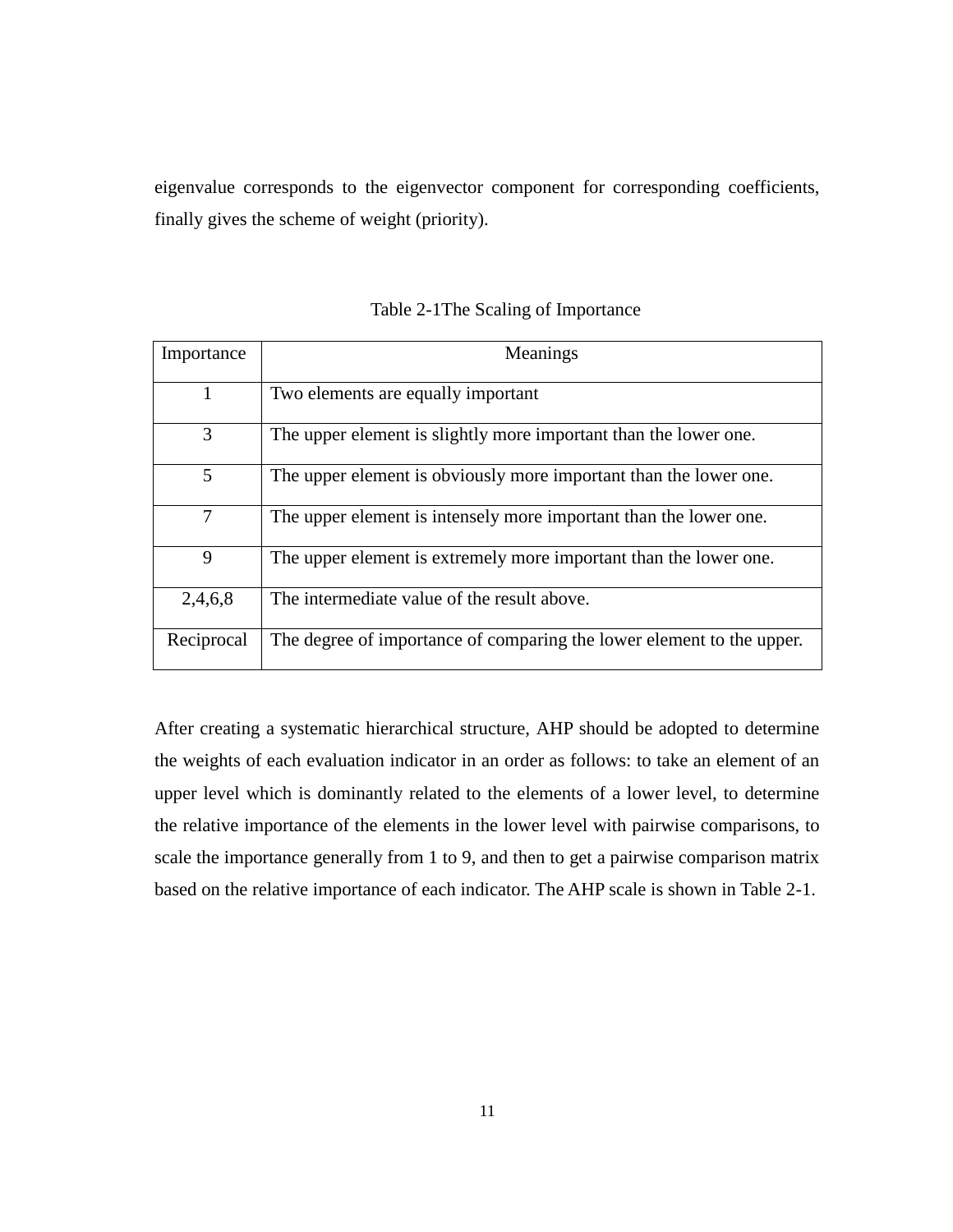eigenvalue corresponds to the eigenvector component for corresponding coefficients, finally gives the scheme of weight (priority).

| Importance | Meanings                                                              |
|------------|-----------------------------------------------------------------------|
| 1          | Two elements are equally important                                    |
| 3          | The upper element is slightly more important than the lower one.      |
| 5          | The upper element is obviously more important than the lower one.     |
| 7          | The upper element is intensely more important than the lower one.     |
| 9          | The upper element is extremely more important than the lower one.     |
| 2,4,6,8    | The intermediate value of the result above.                           |
| Reciprocal | The degree of importance of comparing the lower element to the upper. |

Table 2-1The Scaling of Importance

After creating a systematic hierarchical structure, AHP should be adopted to determine the weights of each evaluation indicator in an order as follows: to take an element of an upper level which is dominantly related to the elements of a lower level, to determine the relative importance of the elements in the lower level with pairwise comparisons, to scale the importance generally from 1 to 9, and then to get a pairwise comparison matrix based on the relative importance of each indicator. The AHP scale is shown in Table 2-1.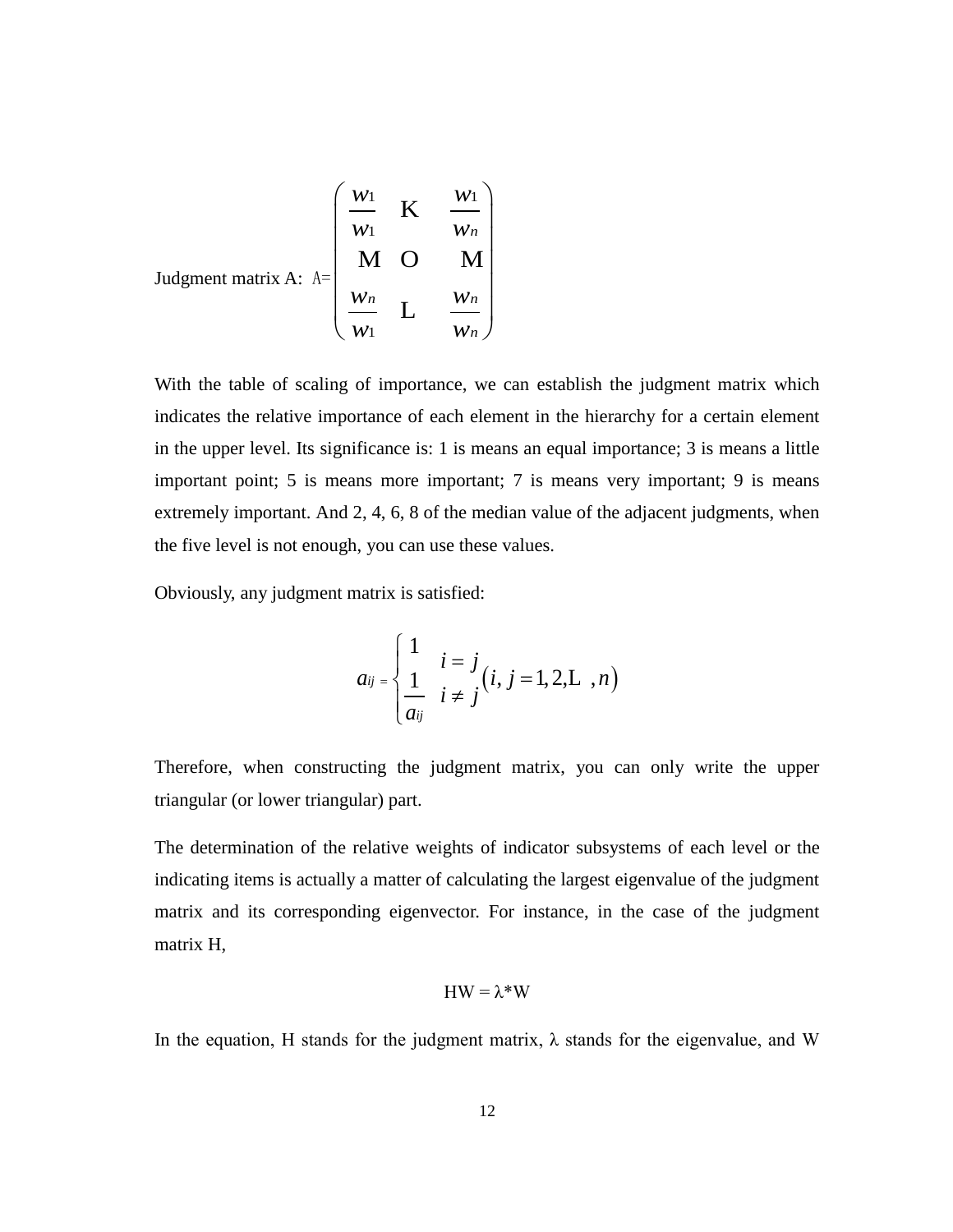Judgment matrix A:

\n
$$
A = \begin{pmatrix}\n\frac{W_1}{W_1} & K & \frac{W_1}{W_n} \\
M & O & M \\
\frac{W_n}{W_1} & L & \frac{W_n}{W_n}\n\end{pmatrix}
$$

With the table of scaling of importance, we can establish the judgment matrix which indicates the relative importance of each element in the hierarchy for a certain element in the upper level. Its significance is: 1 is means an equal importance; 3 is means a little important point; 5 is means more important; 7 is means very important; 9 is means extremely important. And 2, 4, 6, 8 of the median value of the adjacent judgments, when the five level is not enough, you can use these values.

Obviously, any judgment matrix is satisfied:

$$
a_{ij} = \begin{cases} 1 & i = j \\ \frac{1}{a_{ij}} & i \neq j \end{cases} (i, j = 1, 2, L^-, n)
$$

Therefore, when constructing the judgment matrix, you can only write the upper triangular (or lower triangular) part.

The determination of the relative weights of indicator subsystems of each level or the indicating items is actually a matter of calculating the largest eigenvalue of the judgment matrix and its corresponding eigenvector. For instance, in the case of the judgment matrix H,

## HW = λ\*W

In the equation, H stands for the judgment matrix,  $\lambda$  stands for the eigenvalue, and W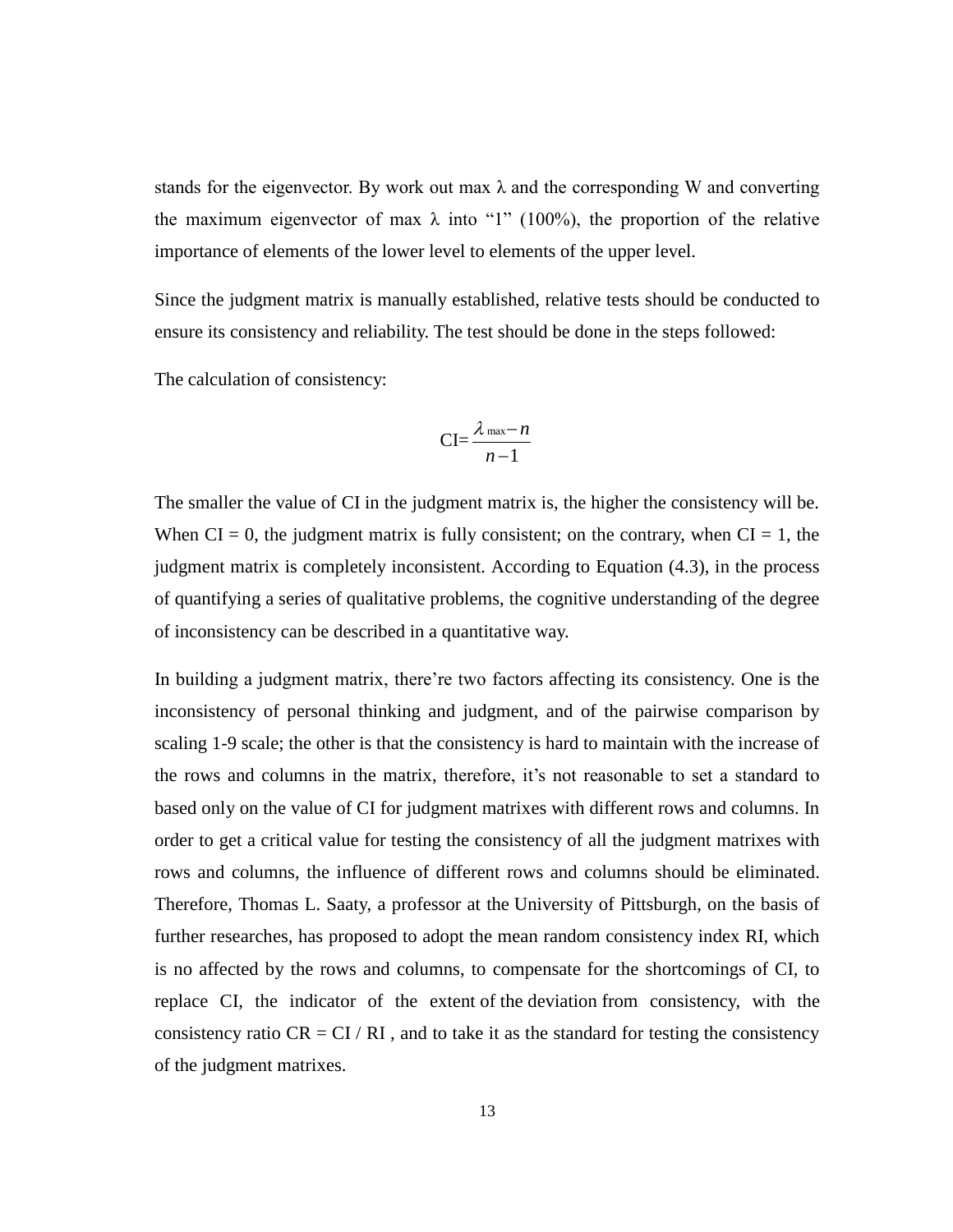stands for the eigenvector. By work out max  $\lambda$  and the corresponding W and converting the maximum eigenvector of max  $\lambda$  into "1" (100%), the proportion of the relative importance of elements of the lower level to elements of the upper level.

Since the judgment matrix is manually established, relative tests should be conducted to ensure its consistency and reliability. The test should be done in the steps followed:

The calculation of consistency:

$$
\text{CI}=\frac{\lambda_{\text{max}}-n}{n-1}
$$

<span id="page-17-0"></span>The smaller the value of CI in the judgment matrix is, the higher the consistency will be. When  $CI = 0$ , the judgment matrix is fully consistent; on the contrary, when  $CI = 1$ , the judgment matrix is completely inconsistent. According to Equation (4.3), in the process of quantifying a series of qualitative problems, the cognitive understanding of the degree of inconsistency can be described in a quantitative way.

In building a judgment matrix, there're two factors affecting its consistency. One is the inconsistency of personal thinking and judgment, and of the pairwise comparison by scaling 1-9 scale; the other is that the consistency is hard to maintain with the increase of the rows and columns in the matrix, therefore, it's not reasonable to set a standard to based only on the value of CI for judgment matrixes with different rows and columns. In order to get a critical value for testing the consistency of all the judgment matrixes with rows and columns, the influence of different rows and columns should be eliminated. Therefore, Thomas L. Saaty, a professor at the [University of Pittsburgh,](https://en.wikipedia.org/wiki/University_of_Pittsburgh) on the basis of further researches, has proposed to adopt the mean random consistency index RI, which is no affected by the rows and columns, to compensate for the shortcomings of CI, to replace CI, the indicator of the extent of the deviation from consistency, with the consistency ratio  $CR = CI / RI$ , and to take it as the standard for testing the consistency of the judgment matrixes.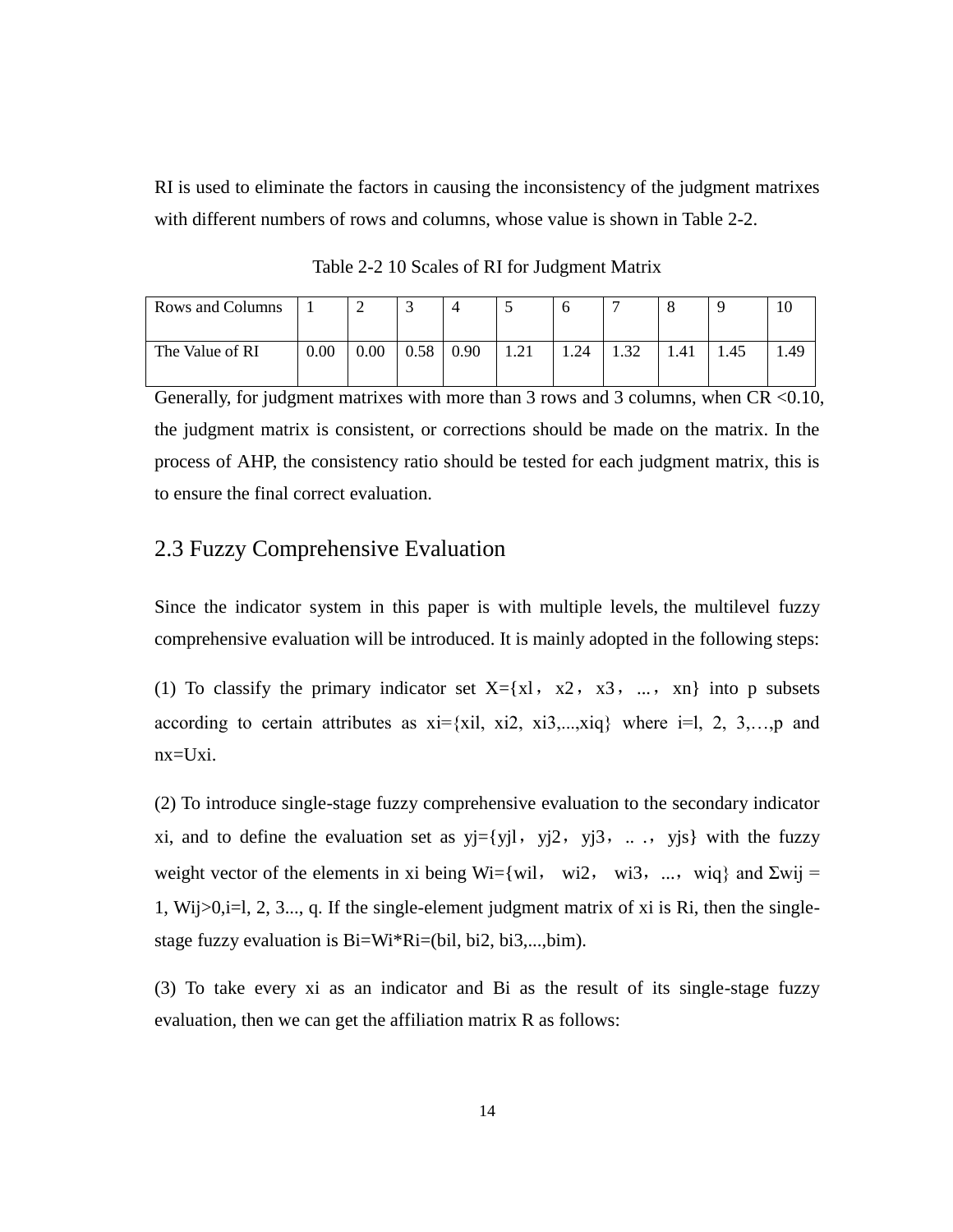RI is used to eliminate the factors in causing the inconsistency of the judgment matrixes with different numbers of rows and columns, whose value is shown in Table 2-2.

| Rows and Columns |      |          |      |      |      |      |      |      |             |      |
|------------------|------|----------|------|------|------|------|------|------|-------------|------|
| The Value of RI  | 0.00 | $0.00\,$ | 0.58 | 0.90 | 1.21 | 1.24 | 1.32 | 1.41 | <b>1.45</b> | . 49 |

Table 2-2 10 Scales of RI for Judgment Matrix

Generally, for judgment matrixes with more than 3 rows and 3 columns, when  $CR < 0.10$ , the judgment matrix is consistent, or corrections should be made on the matrix. In the process of AHP, the consistency ratio should be tested for each judgment matrix, this is to ensure the final correct evaluation.

# 2.3 Fuzzy Comprehensive Evaluation

Since the indicator system in this paper is with multiple levels, the multilevel fuzzy comprehensive evaluation will be introduced. It is mainly adopted in the following steps:

(1) To classify the primary indicator set  $X = \{x \mid x, x^2, x^3, \ldots, x^n\}$  into p subsets according to certain attributes as  $xi=[x_i1, x_i2, x_i3, \ldots, x_iq]$  where  $i=1, 2, 3, \ldots, p$  and  $nx = Uxi.$ 

(2) To introduce single-stage fuzzy comprehensive evaluation to the secondary indicator xi, and to define the evaluation set as  $y = \{y_j | y_j \in y_j \}$ , yj3, ..., yjs} with the fuzzy weight vector of the elements in xi being Wi={wil, wi2, wi3, ..., wiq} and  $\Sigma$ wij = 1, Wij>0,i=l, 2, 3..., q. If the single-element judgment matrix of xi is Ri, then the singlestage fuzzy evaluation is Bi=Wi\*Ri=(bil, bi2, bi3,...,bim).

(3) To take every xi as an indicator and Bi as the result of its single-stage fuzzy evaluation, then we can get the affiliation matrix R as follows: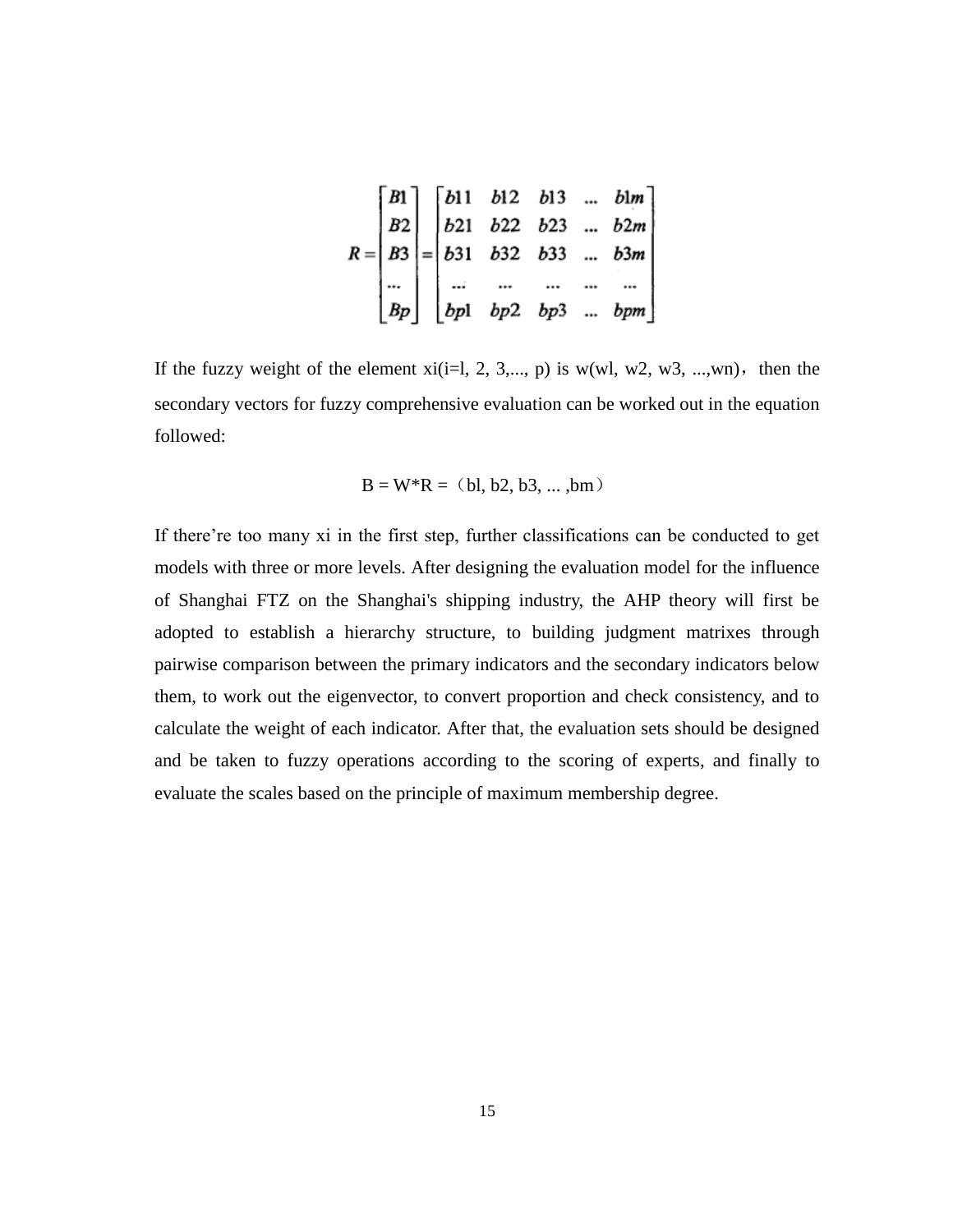$$
R = \begin{bmatrix} B1 \\ B2 \\ B3 \\ \cdots \\ Bp \end{bmatrix} = \begin{bmatrix} b11 & b12 & b13 & \cdots & b1m \\ b21 & b22 & b23 & \cdots & b2m \\ b31 & b32 & b33 & \cdots & b3m \\ \cdots & \cdots & \cdots & \cdots & \cdots \\ bpl & bp2 & bp3 & \cdots & bpm \end{bmatrix}
$$

<span id="page-19-1"></span><span id="page-19-0"></span>If the fuzzy weight of the element  $xi(i=1, 2, 3,..., p)$  is  $w(wl, w2, w3, ..., wn)$ , then the secondary vectors for fuzzy comprehensive evaluation can be worked out in the equation followed:

$$
B = W^*R = (bl, b2, b3, ... ,bm)
$$

<span id="page-19-2"></span>If there're too many xi in the first step, further classifications can be conducted to get models with three or more levels. After designing the evaluation model for the influence of Shanghai FTZ on the Shanghai's shipping industry, the AHP theory will first be adopted to establish a hierarchy structure, to building judgment matrixes through pairwise comparison between the primary indicators and the secondary indicators below them, to work out the eigenvector, to convert proportion and check consistency, and to calculate the weight of each indicator. After that, the evaluation sets should be designed and be taken to fuzzy operations according to the scoring of experts, and finally to evaluate the scales based on the principle of maximum membership degree.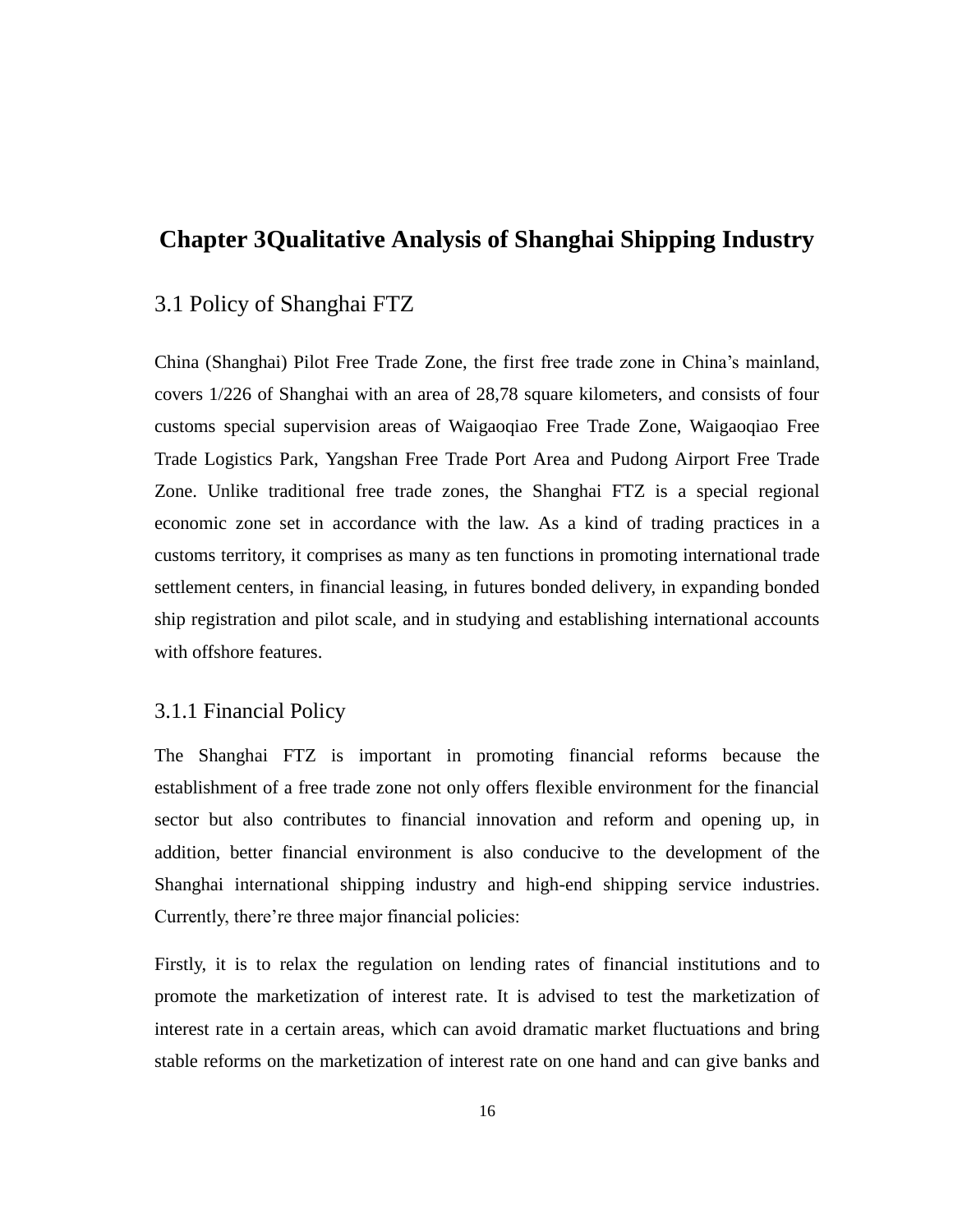# **Chapter 3Qualitative Analysis of Shanghai Shipping Industry**

# 3.1 Policy of Shanghai FTZ

China (Shanghai) Pilot Free Trade Zone, the first free trade zone in China's mainland, covers 1/226 of Shanghai with an area of 28,78 square kilometers, and consists of four customs special supervision areas of Waigaoqiao Free Trade Zone, Waigaoqiao Free Trade Logistics Park, Yangshan Free Trade Port Area and Pudong Airport Free Trade Zone. Unlike traditional free trade zones, the Shanghai FTZ is a special regional economic zone set in accordance with the law. As a kind of trading practices in a customs territory, it comprises as many as ten functions in promoting international trade settlement centers, in financial leasing, in futures bonded delivery, in expanding bonded ship registration and pilot scale, and in studying and establishing international accounts with offshore features.

## 3.1.1 Financial Policy

The Shanghai FTZ is important in promoting financial reforms because the establishment of a free trade zone not only offers flexible environment for the financial sector but also contributes to financial innovation and reform and opening up, in addition, better financial environment is also conducive to the development of the Shanghai international shipping industry and high-end shipping service industries. Currently, there're three major financial policies:

<span id="page-20-0"></span>Firstly, it is to relax the regulation on lending rates of financial institutions and to promote the marketization of interest rate. It is advised to test the marketization of interest rate in a certain areas, which can avoid dramatic market fluctuations and bring stable reforms on the marketization of interest rate on one hand and can give banks and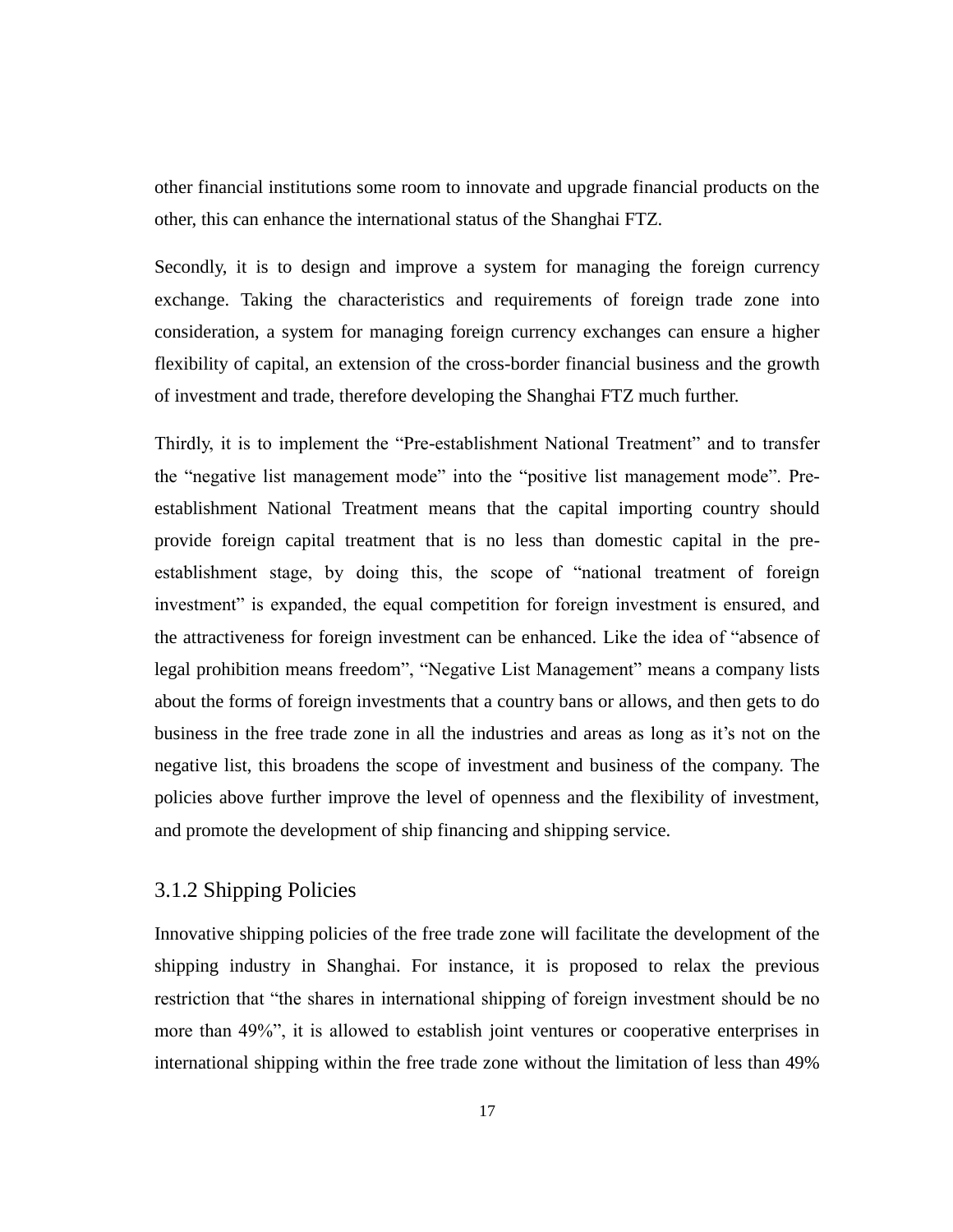other financial institutions some room to innovate and upgrade financial products on the other, this can enhance the international status of the Shanghai FTZ.

Secondly, it is to design and improve a system for managing the foreign currency exchange. Taking the characteristics and requirements of foreign trade zone into consideration, a system for managing foreign currency exchanges can ensure a higher flexibility of capital, an extension of the cross-border financial business and the growth of investment and trade, therefore developing the Shanghai FTZ much further.

<span id="page-21-0"></span>Thirdly, it is to implement the "Pre-establishment National Treatment" and to transfer the "negative list management mode" into the "positive list management mode". Preestablishment National Treatment means that the capital importing country should provide foreign capital treatment that is no less than domestic capital in the preestablishment stage, by doing this, the scope of "national treatment of foreign investment" is expanded, the equal competition for foreign investment is ensured, and the attractiveness for foreign investment can be enhanced. Like the idea of "absence of legal prohibition means freedom", "Negative List Management" means a company lists about the forms of foreign investments that a country bans or allows, and then gets to do business in the free trade zone in all the industries and areas as long as it's not on the negative list, this broadens the scope of investment and business of the company. The policies above further improve the level of openness and the flexibility of investment, and promote the development of ship financing and shipping service.

## 3.1.2 Shipping Policies

Innovative shipping policies of the free trade zone will facilitate the development of the shipping industry in Shanghai. For instance, it is proposed to relax the previous restriction that "the shares in international shipping of foreign investment should be no more than 49%", it is allowed to establish joint ventures or cooperative enterprises in international shipping within the free trade zone without the limitation of less than 49%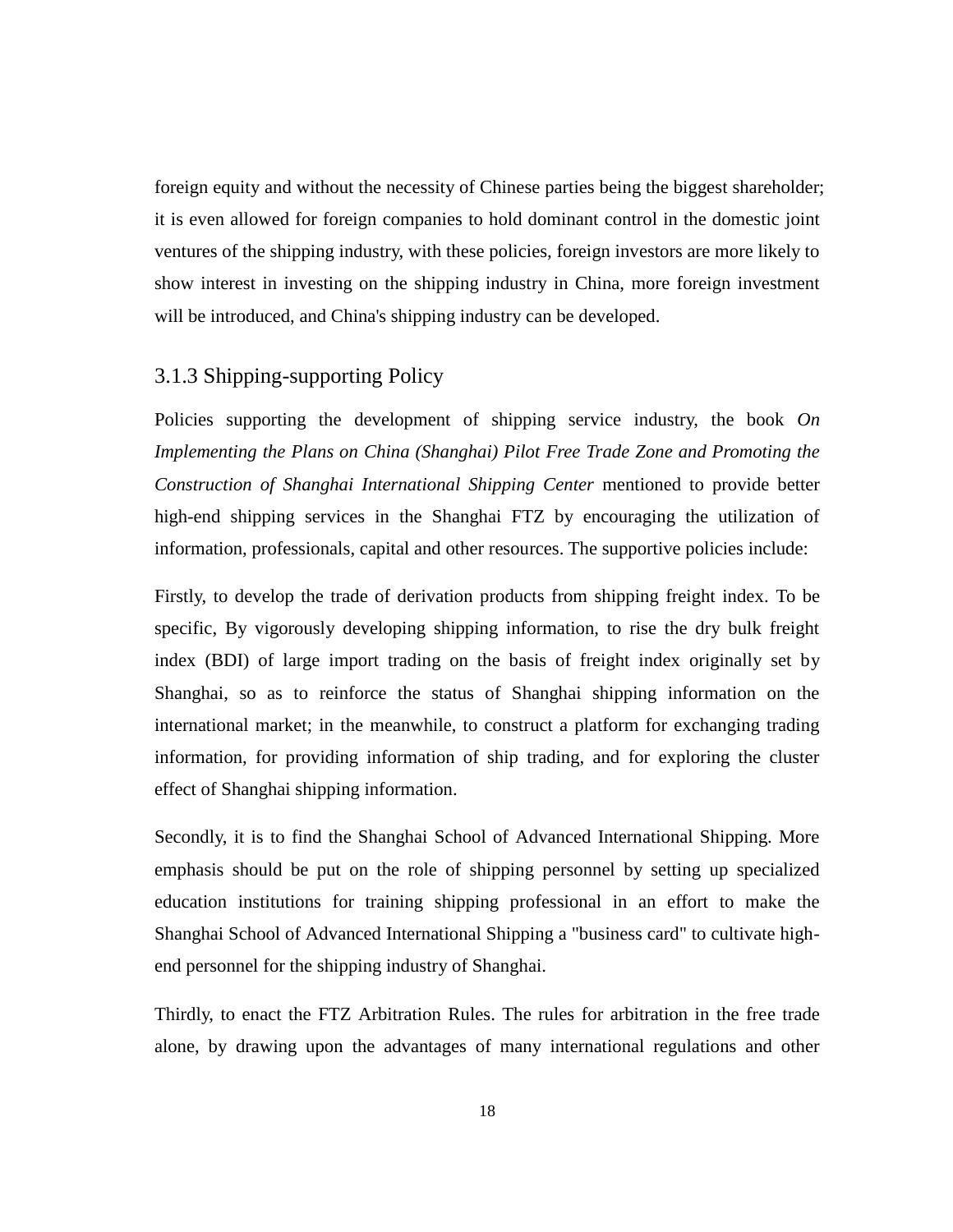foreign equity and without the necessity of Chinese parties being the biggest shareholder; it is even allowed for foreign companies to hold dominant control in the domestic joint ventures of the shipping industry, with these policies, foreign investors are more likely to show interest in investing on the shipping industry in China, more foreign investment will be introduced, and China's shipping industry can be developed.

## <span id="page-22-0"></span>3.1.3 Shipping-supporting Policy

<span id="page-22-1"></span>Policies supporting the development of shipping service industry, the book *On Implementing the Plans on China (Shanghai) Pilot Free Trade Zone and Promoting the Construction of Shanghai International Shipping Center* mentioned to provide better high-end shipping services in the Shanghai FTZ by encouraging the utilization of information, professionals, capital and other resources. The supportive policies include:

Firstly, to develop the trade of derivation products from shipping freight index. To be specific, By vigorously developing shipping information, to rise the dry bulk freight index (BDI) of large import trading on the basis of freight index originally set by Shanghai, so as to reinforce the status of Shanghai shipping information on the international market; in the meanwhile, to construct a platform for exchanging trading information, for providing information of ship trading, and for exploring the cluster effect of Shanghai shipping information.

Secondly, it is to find the Shanghai School of Advanced International Shipping. More emphasis should be put on the role of shipping personnel by setting up specialized education institutions for training shipping professional in an effort to make the Shanghai School of Advanced International Shipping a "business card" to cultivate highend personnel for the shipping industry of Shanghai.

Thirdly, to enact the FTZ Arbitration Rules. The rules for arbitration in the free trade alone, by drawing upon the advantages of many international regulations and other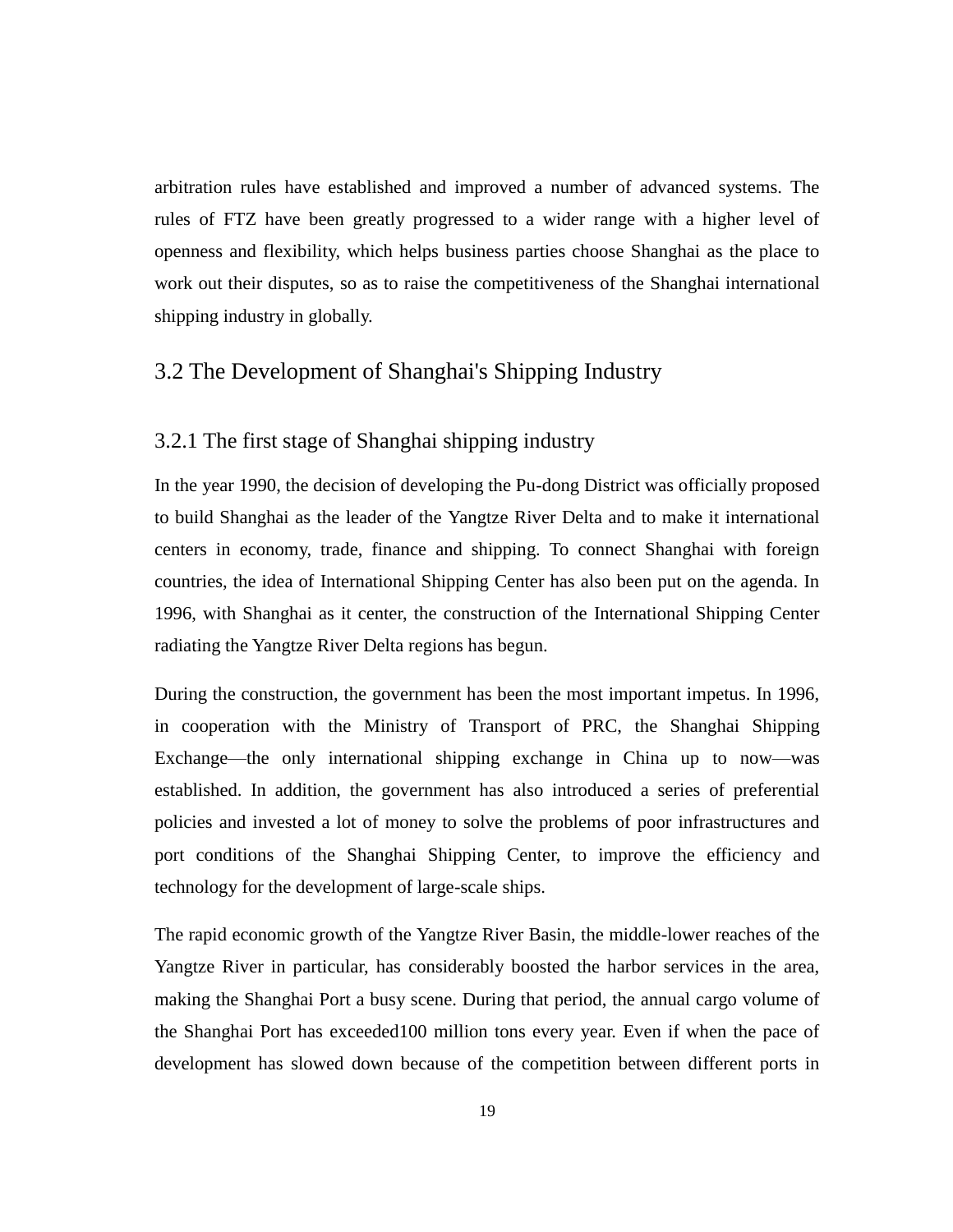arbitration rules have established and improved a number of advanced systems. The rules of FTZ have been greatly progressed to a wider range with a higher level of openness and flexibility, which helps business parties choose Shanghai as the place to work out their disputes, so as to raise the competitiveness of the Shanghai international shipping industry in globally.

# 3.2 The Development of Shanghai's Shipping Industry

## 3.2.1 The first stage of Shanghai shipping industry

In the year 1990, the decision of developing the Pu-dong District was officially proposed to build Shanghai as the leader of the Yangtze River Delta and to make it international centers in economy, trade, finance and shipping. To connect Shanghai with foreign countries, the idea of International Shipping Center has also been put on the agenda. In 1996, with Shanghai as it center, the construction of the International Shipping Center radiating the Yangtze River Delta regions has begun.

<span id="page-23-0"></span>During the construction, the government has been the most important impetus. In 1996, in cooperation with the Ministry of Transport of PRC, the Shanghai Shipping Exchange—the only international shipping exchange in China up to now—was established. In addition, the government has also introduced a series of preferential policies and invested a lot of money to solve the problems of poor infrastructures and port conditions of the Shanghai Shipping Center, to improve the efficiency and technology for the development of large-scale ships.

The rapid economic growth of the Yangtze River Basin, the middle-lower reaches of the Yangtze River in particular, has considerably boosted the harbor services in the area, making the Shanghai Port a busy scene. During that period, the annual cargo volume of the Shanghai Port has exceeded100 million tons every year. Even if when the pace of development has slowed down because of the competition between different ports in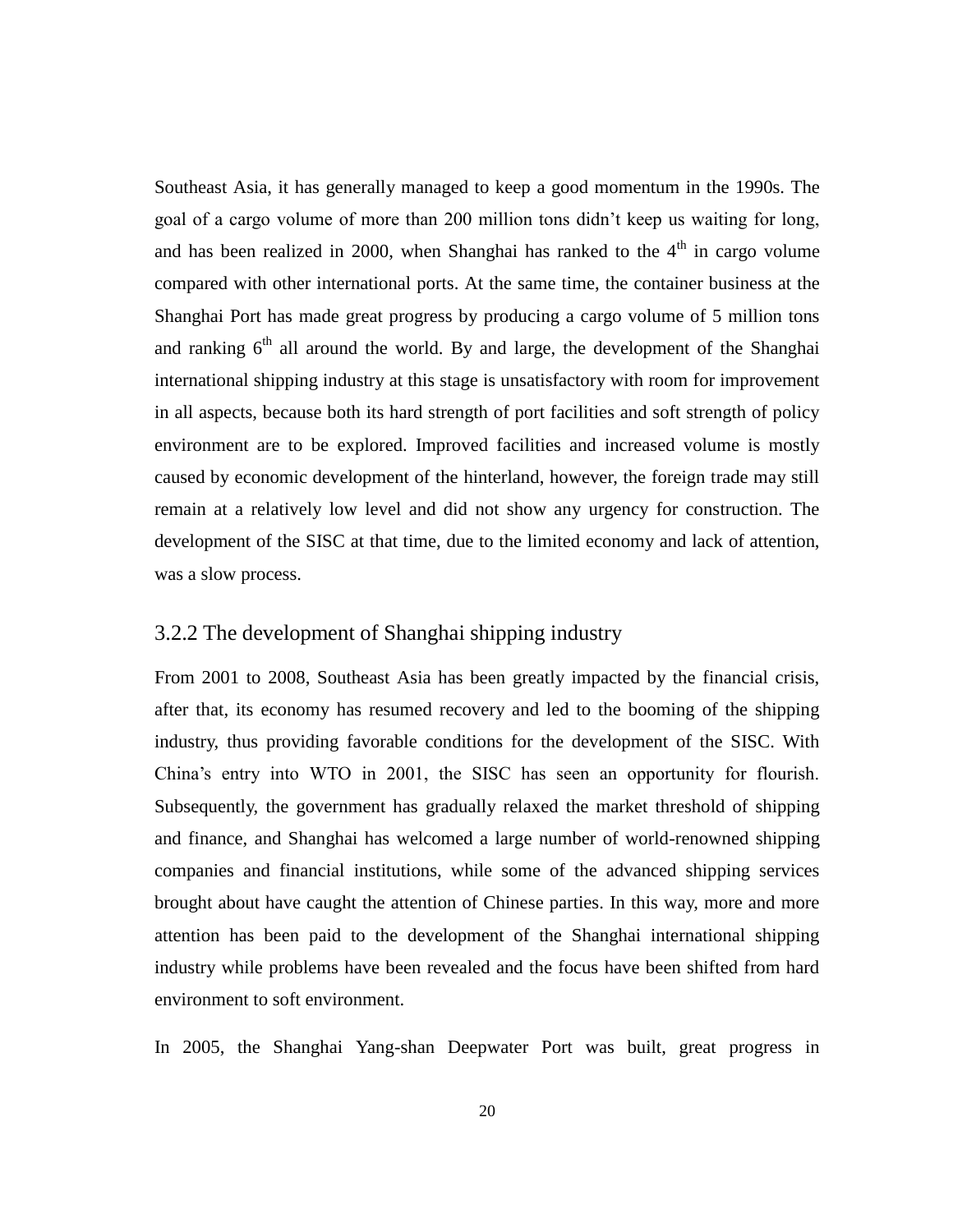Southeast Asia, it has generally managed to keep a good momentum in the 1990s. The goal of a cargo volume of more than 200 million tons didn't keep us waiting for long, and has been realized in 2000, when Shanghai has ranked to the  $4<sup>th</sup>$  in cargo volume compared with other international ports. At the same time, the container business at the Shanghai Port has made great progress by producing a cargo volume of 5 million tons and ranking  $6<sup>th</sup>$  all around the world. By and large, the development of the Shanghai international shipping industry at this stage is unsatisfactory with room for improvement in all aspects, because both its hard strength of port facilities and soft strength of policy environment are to be explored. Improved facilities and increased volume is mostly caused by economic development of the hinterland, however, the foreign trade may still remain at a relatively low level and did not show any urgency for construction. The development of the SISC at that time, due to the limited economy and lack of attention, was a slow process.

## 3.2.2 The development of Shanghai shipping industry

From 2001 to 2008, Southeast Asia has been greatly impacted by the financial crisis, after that, its economy has resumed recovery and led to the booming of the shipping industry, thus providing favorable conditions for the development of the SISC. With China's entry into WTO in 2001, the SISC has seen an opportunity for flourish. Subsequently, the government has gradually relaxed the market threshold of shipping and finance, and Shanghai has welcomed a large number of world-renowned shipping companies and financial institutions, while some of the advanced shipping services brought about have caught the attention of Chinese parties. In this way, more and more attention has been paid to the development of the Shanghai international shipping industry while problems have been revealed and the focus have been shifted from hard environment to soft environment.

In 2005, the Shanghai Yang-shan Deepwater Port was built, great progress in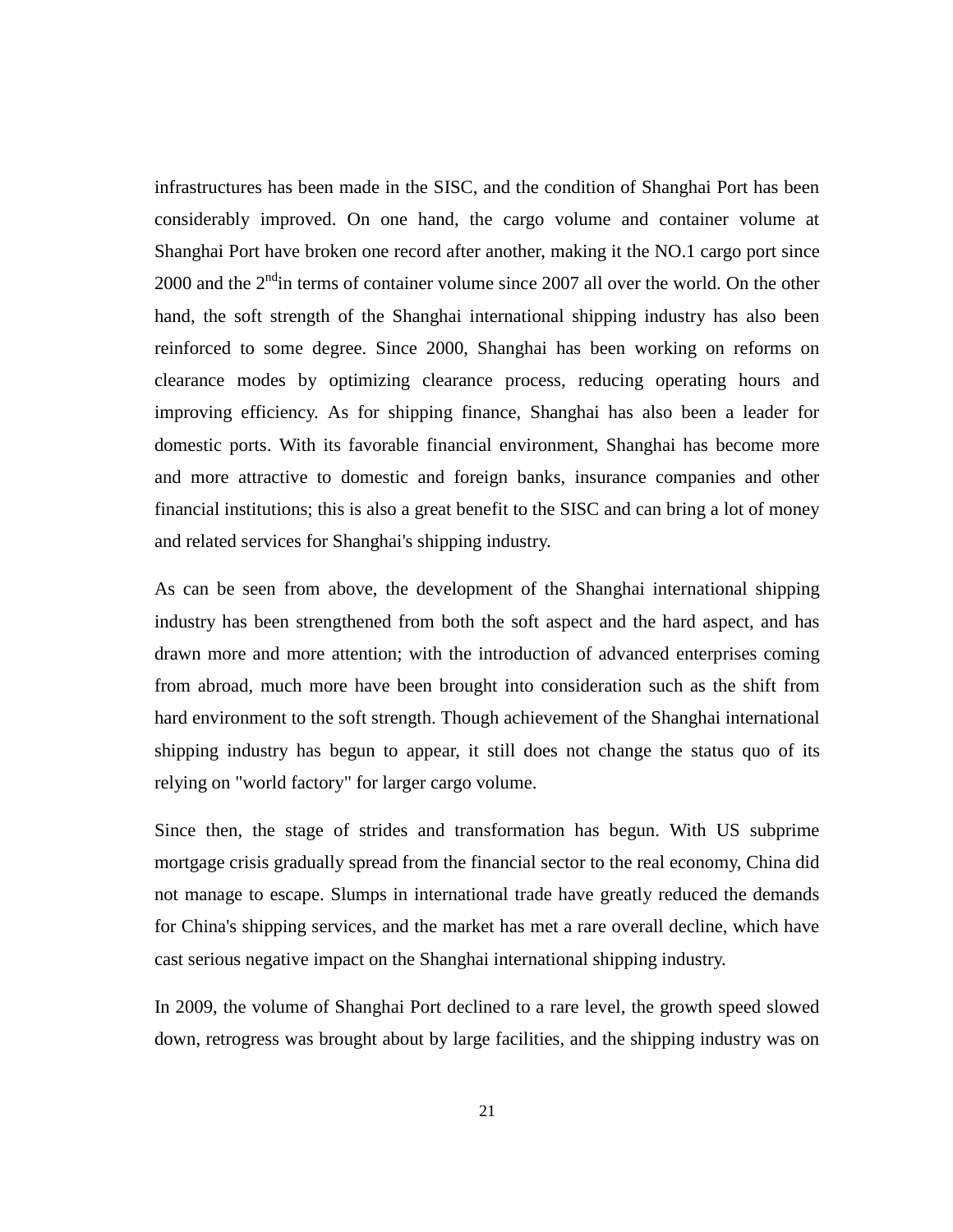infrastructures has been made in the SISC, and the condition of Shanghai Port has been considerably improved. On one hand, the cargo volume and container volume at Shanghai Port have broken one record after another, making it the NO.1 cargo port since  $2000$  and the  $2<sup>nd</sup>$ in terms of container volume since  $2007$  all over the world. On the other hand, the soft strength of the Shanghai international shipping industry has also been reinforced to some degree. Since 2000, Shanghai has been working on reforms on clearance modes by optimizing clearance process, reducing operating hours and improving efficiency. As for shipping finance, Shanghai has also been a leader for domestic ports. With its favorable financial environment, Shanghai has become more and more attractive to domestic and foreign banks, insurance companies and other financial institutions; this is also a great benefit to the SISC and can bring a lot of money and related services for Shanghai's shipping industry.

As can be seen from above, the development of the Shanghai international shipping industry has been strengthened from both the soft aspect and the hard aspect, and has drawn more and more attention; with the introduction of advanced enterprises coming from abroad, much more have been brought into consideration such as the shift from hard environment to the soft strength. Though achievement of the Shanghai international shipping industry has begun to appear, it still does not change the status quo of its relying on "world factory" for larger cargo volume.

Since then, the stage of strides and transformation has begun. With US subprime mortgage crisis gradually spread from the financial sector to the real economy, China did not manage to escape. Slumps in international trade have greatly reduced the demands for China's shipping services, and the market has met a rare overall decline, which have cast serious negative impact on the Shanghai international shipping industry.

In 2009, the volume of Shanghai Port declined to a rare level, the growth speed slowed down, retrogress was brought about by large facilities, and the shipping industry was on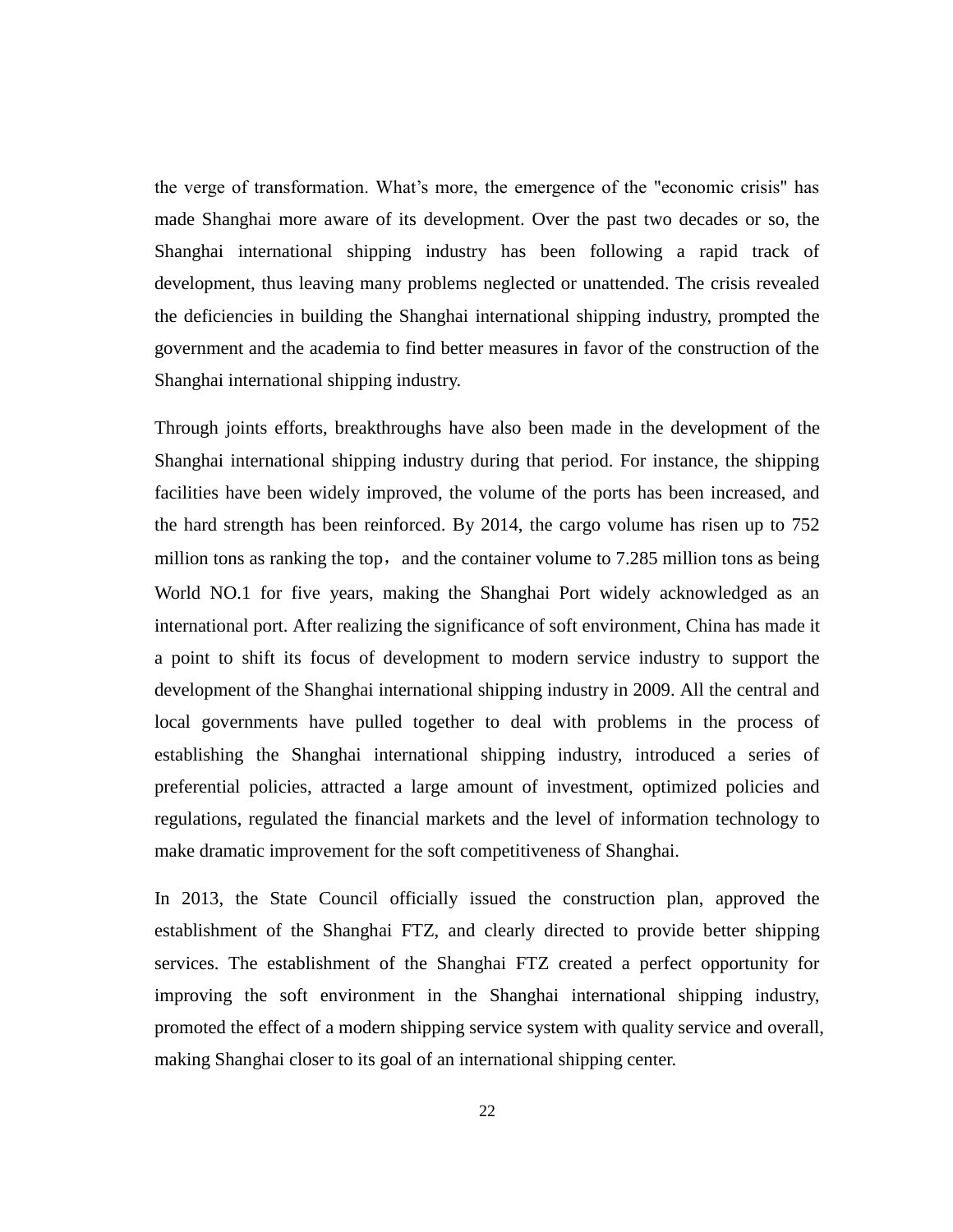the verge of transformation. What's more, the emergence of the "economic crisis" has made Shanghai more aware of its development. Over the past two decades or so, the Shanghai international shipping industry has been following a rapid track of development, thus leaving many problems neglected or unattended. The crisis revealed the deficiencies in building the Shanghai international shipping industry, prompted the government and the academia to find better measures in favor of the construction of the Shanghai international shipping industry.

<span id="page-26-1"></span><span id="page-26-0"></span>Through joints efforts, breakthroughs have also been made in the development of the Shanghai international shipping industry during that period. For instance, the shipping facilities have been widely improved, the volume of the ports has been increased, and the hard strength has been reinforced. By 2014, the cargo volume has risen up to 752 million tons as ranking the top, and the container volume to  $7.285$  million tons as being World NO.1 for five years, making the Shanghai Port widely acknowledged as an international port. After realizing the significance of soft environment, China has made it a point to shift its focus of development to modern service industry to support the development of the Shanghai international shipping industry in 2009. All the central and local governments have pulled together to deal with problems in the process of establishing the Shanghai international shipping industry, introduced a series of preferential policies, attracted a large amount of investment, optimized policies and regulations, regulated the financial markets and the level of information technology to make dramatic improvement for the soft competitiveness of Shanghai.

<span id="page-26-2"></span>In 2013, the State Council officially issued the construction plan, approved the establishment of the Shanghai FTZ, and clearly directed to provide better shipping services. The establishment of the Shanghai FTZ created a perfect opportunity for improving the soft environment in the Shanghai international shipping industry, promoted the effect of a modern shipping service system with quality service and overall, making Shanghai closer to its goal of an international shipping center.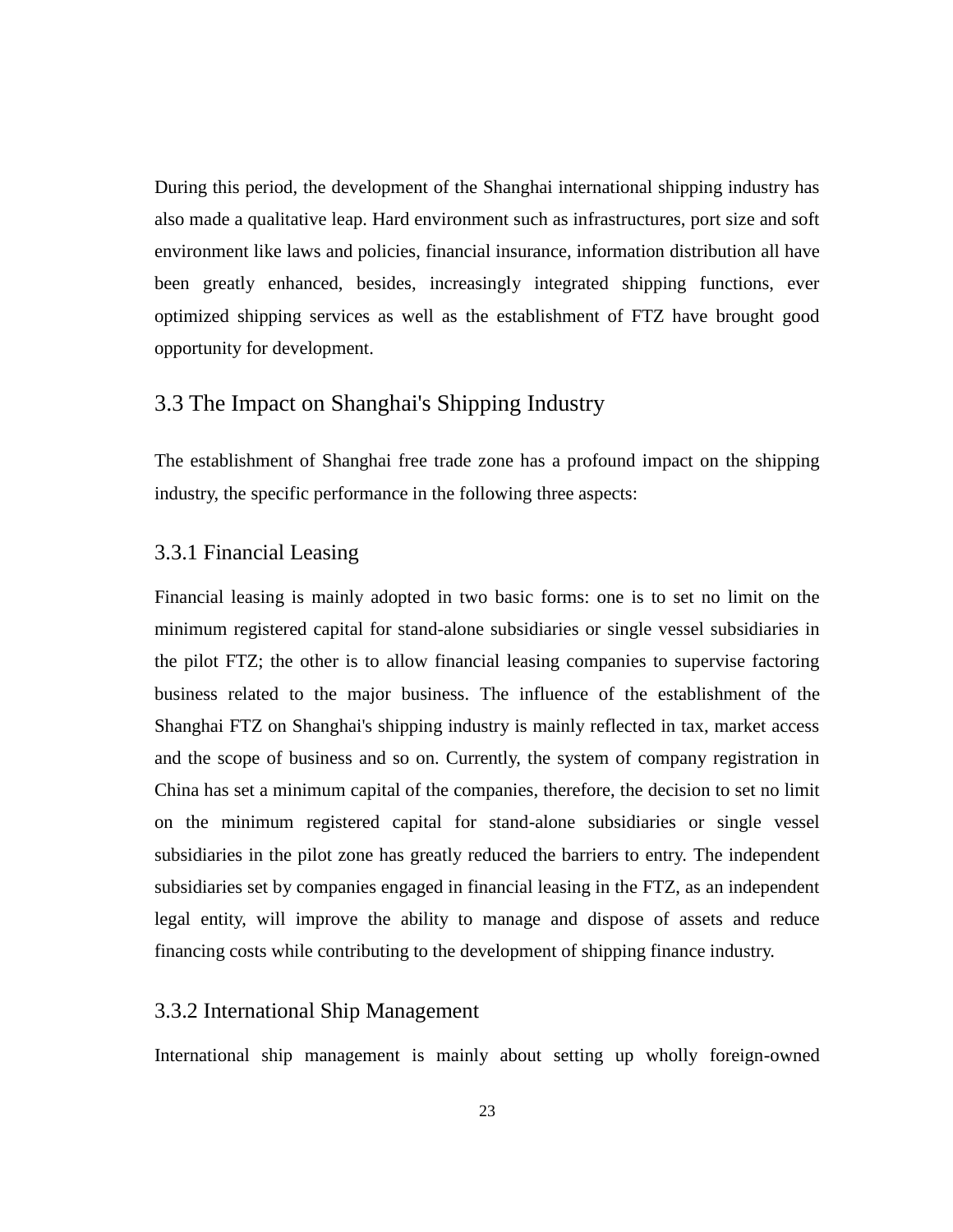During this period, the development of the Shanghai international shipping industry has also made a qualitative leap. Hard environment such as infrastructures, port size and soft environment like laws and policies, financial insurance, information distribution all have been greatly enhanced, besides, increasingly integrated shipping functions, ever optimized shipping services as well as the establishment of FTZ have brought good opportunity for development.

# 3.3 The Impact on Shanghai's Shipping Industry

The establishment of Shanghai free trade zone has a profound impact on the shipping industry, the specific performance in the following three aspects:

## 3.3.1 Financial Leasing

Financial leasing is mainly adopted in two basic forms: one is to set no limit on the minimum registered capital for stand-alone subsidiaries or single vessel subsidiaries in the pilot FTZ; the other is to allow financial leasing companies to supervise factoring business related to the major business. The influence of the establishment of the Shanghai FTZ on Shanghai's shipping industry is mainly reflected in tax, market access and the scope of business and so on. Currently, the system of company registration in China has set a minimum capital of the companies, therefore, the decision to set no limit on the minimum registered capital for stand-alone subsidiaries or single vessel subsidiaries in the pilot zone has greatly reduced the barriers to entry. The independent subsidiaries set by companies engaged in financial leasing in the FTZ, as an independent legal entity, will improve the ability to manage and dispose of assets and reduce financing costs while contributing to the development of shipping finance industry.

## 3.3.2 International Ship Management

International ship management is mainly about setting up wholly foreign-owned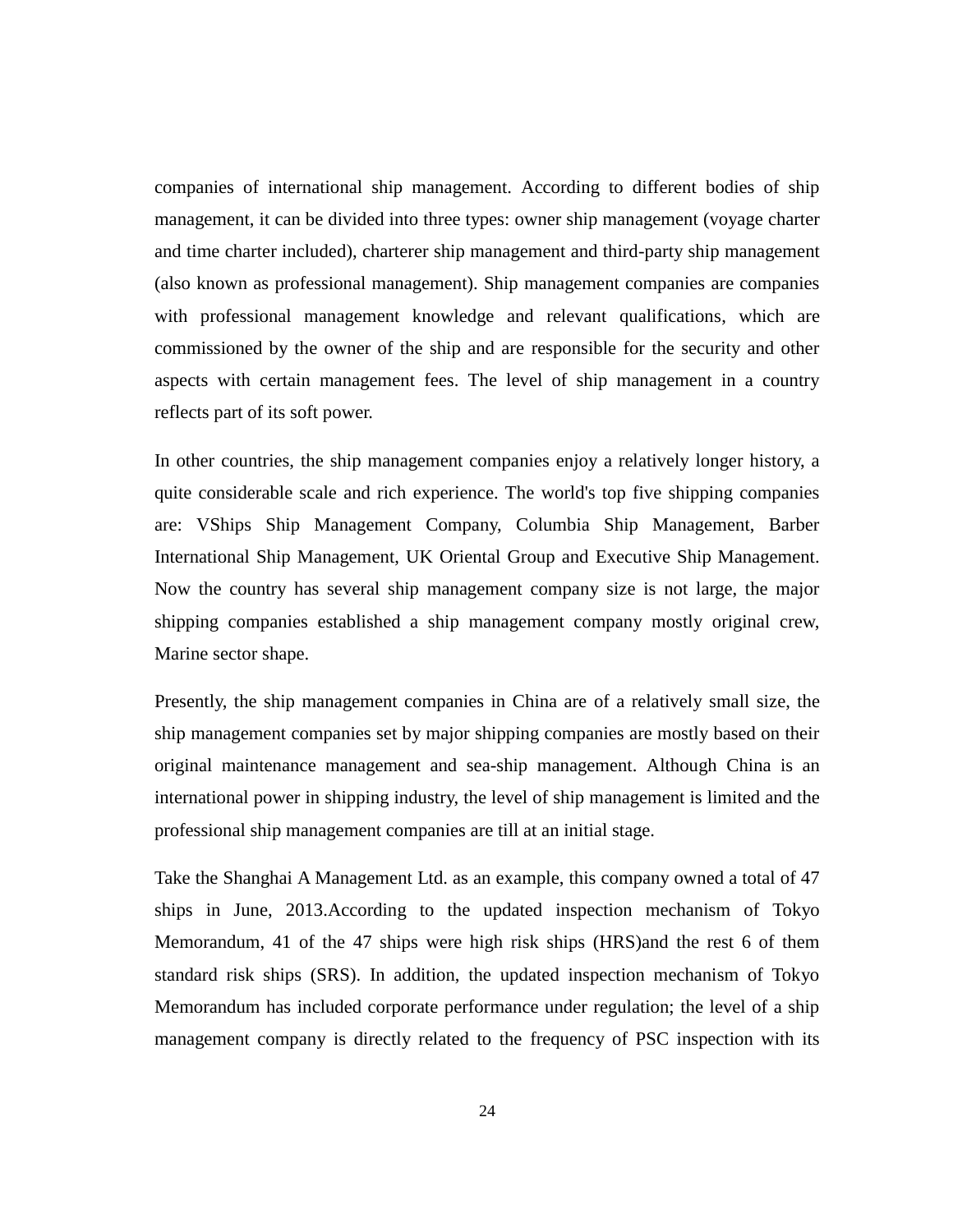companies of international ship management. According to different bodies of ship management, it can be divided into three types: owner ship management (voyage charter and time charter included), charterer ship management and third-party ship management (also known as professional management). Ship management companies are companies with professional management knowledge and relevant qualifications, which are commissioned by the owner of the ship and are responsible for the security and other aspects with certain management fees. The level of ship management in a country reflects part of its soft power.

<span id="page-28-0"></span>In other countries, the ship management companies enjoy a relatively longer history, a quite considerable scale and rich experience. The world's top five shipping companies are: VShips Ship Management Company, Columbia Ship Management, Barber International Ship Management, UK Oriental Group and Executive Ship Management. Now the country has several ship management company size is not large, the major shipping companies established a ship management company mostly original crew, Marine sector shape.

Presently, the ship management companies in China are of a relatively small size, the ship management companies set by major shipping companies are mostly based on their original maintenance management and sea-ship management. Although China is an international power in shipping industry, the level of ship management is limited and the professional ship management companies are till at an initial stage.

Take the Shanghai A Management Ltd. as an example, this company owned a total of 47 ships in June, 2013.According to the updated inspection mechanism of Tokyo Memorandum, 41 of the 47 ships were high risk ships (HRS)and the rest 6 of them standard risk ships (SRS). In addition, the updated inspection mechanism of Tokyo Memorandum has included corporate performance under regulation; the level of a ship management company is directly related to the frequency of PSC inspection with its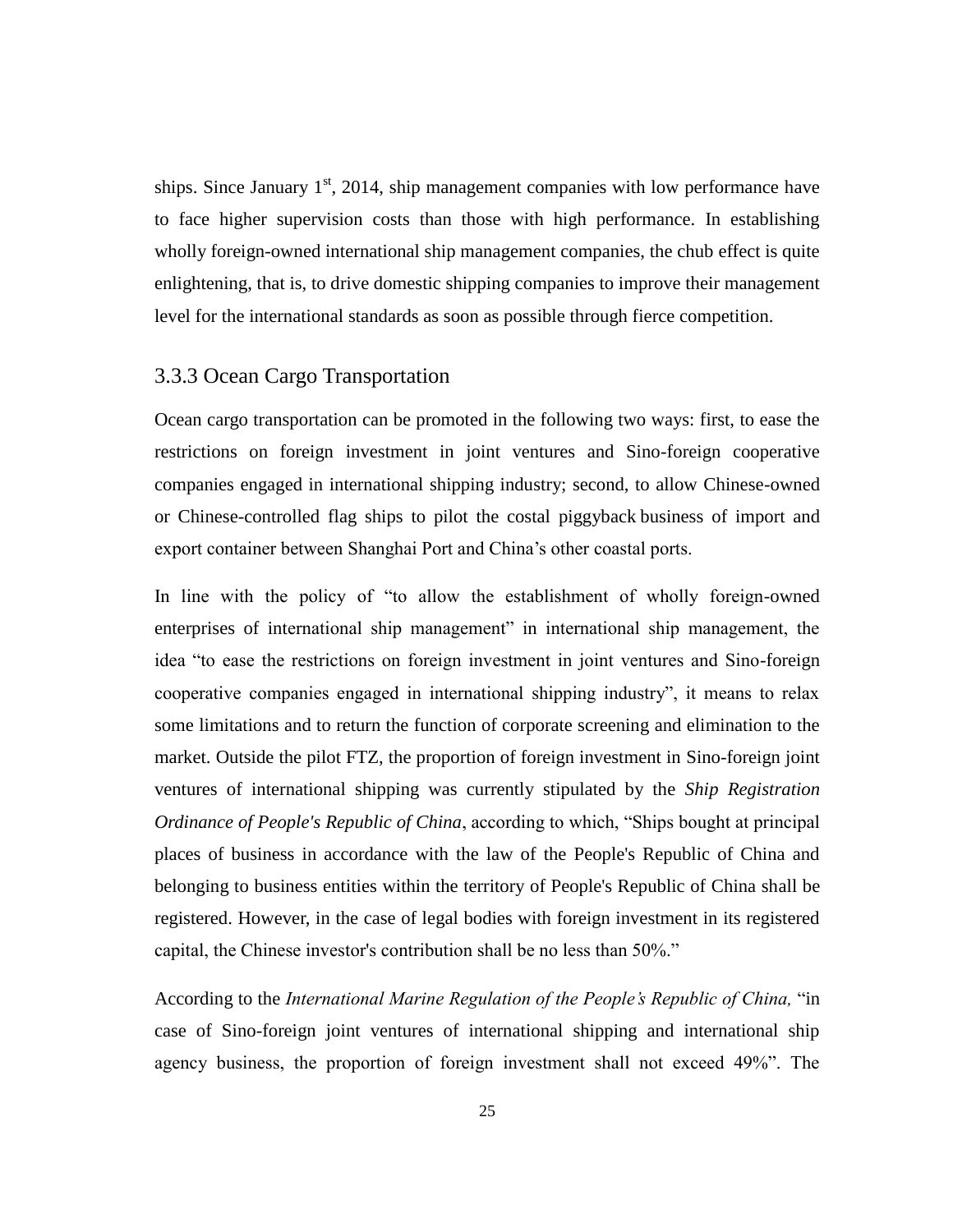ships. Since January  $1<sup>st</sup>$ , 2014, ship management companies with low performance have to face higher supervision costs than those with high performance. In establishing wholly foreign-owned international ship management companies, the chub effect is quite enlightening, that is, to drive domestic shipping companies to improve their management level for the international standards as soon as possible through fierce competition.

## 3.3.3 Ocean Cargo Transportation

Ocean cargo transportation can be promoted in the following two ways: first, to ease the restrictions on foreign investment in joint ventures and Sino-foreign cooperative companies engaged in international shipping industry; second, to allow Chinese-owned or Chinese-controlled flag ships to pilot the costal piggyback business of import and export container between Shanghai Port and China's other coastal ports.

In line with the policy of "to allow the establishment of wholly foreign-owned enterprises of international ship management" in international ship management, the idea "to ease the restrictions on foreign investment in joint ventures and Sino-foreign cooperative companies engaged in international shipping industry", it means to relax some limitations and to return the function of corporate screening and elimination to the market. Outside the pilot FTZ, the proportion of foreign investment in Sino-foreign joint ventures of international shipping was currently stipulated by the *Ship Registration Ordinance of People's Republic of China*, according to which, "Ships bought at principal places of business in accordance with the law of the People's Republic of China and belonging to business entities within the territory of People's Republic of China shall be registered. However, in the case of legal bodies with foreign investment in its registered capital, the Chinese investor's contribution shall be no less than 50%."

According to the *International Marine Regulation of the People's Republic of China,* "in case of Sino-foreign joint ventures of international shipping and international ship agency business, the proportion of foreign investment shall not exceed 49%". The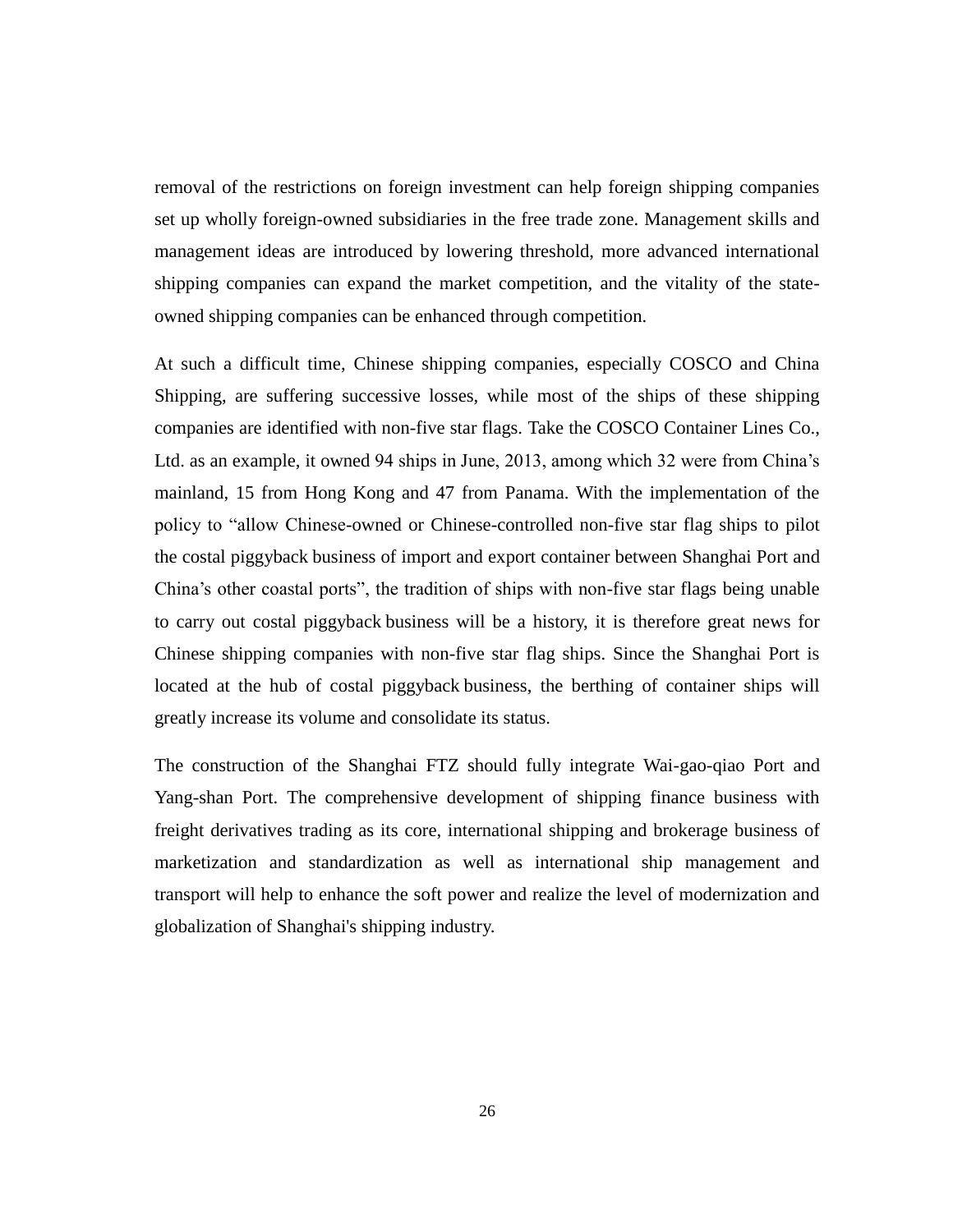<span id="page-30-0"></span>removal of the restrictions on foreign investment can help foreign shipping companies set up wholly foreign-owned subsidiaries in the free trade zone. Management skills and management ideas are introduced by lowering threshold, more advanced international shipping companies can expand the market competition, and the vitality of the stateowned shipping companies can be enhanced through competition.

<span id="page-30-1"></span>At such a difficult time, Chinese shipping companies, especially COSCO and China Shipping, are suffering successive losses, while most of the ships of these shipping companies are identified with non-five star flags. Take the COSCO Container Lines Co., Ltd. as an example, it owned 94 ships in June, 2013, among which 32 were from China's mainland, 15 from Hong Kong and 47 from Panama. With the implementation of the policy to "allow Chinese-owned or Chinese-controlled non-five star flag ships to pilot the costal piggyback business of import and export container between Shanghai Port and China's other coastal ports", the tradition of ships with non-five star flags being unable to carry out costal piggyback business will be a history, it is therefore great news for Chinese shipping companies with non-five star flag ships. Since the Shanghai Port is located at the hub of costal piggyback business, the berthing of container ships will greatly increase its volume and consolidate its status.

The construction of the Shanghai FTZ should fully integrate Wai-gao-qiao Port and Yang-shan Port. The comprehensive development of shipping finance business with freight derivatives trading as its core, international shipping and brokerage business of marketization and standardization as well as international ship management and transport will help to enhance the soft power and realize the level of modernization and globalization of Shanghai's shipping industry.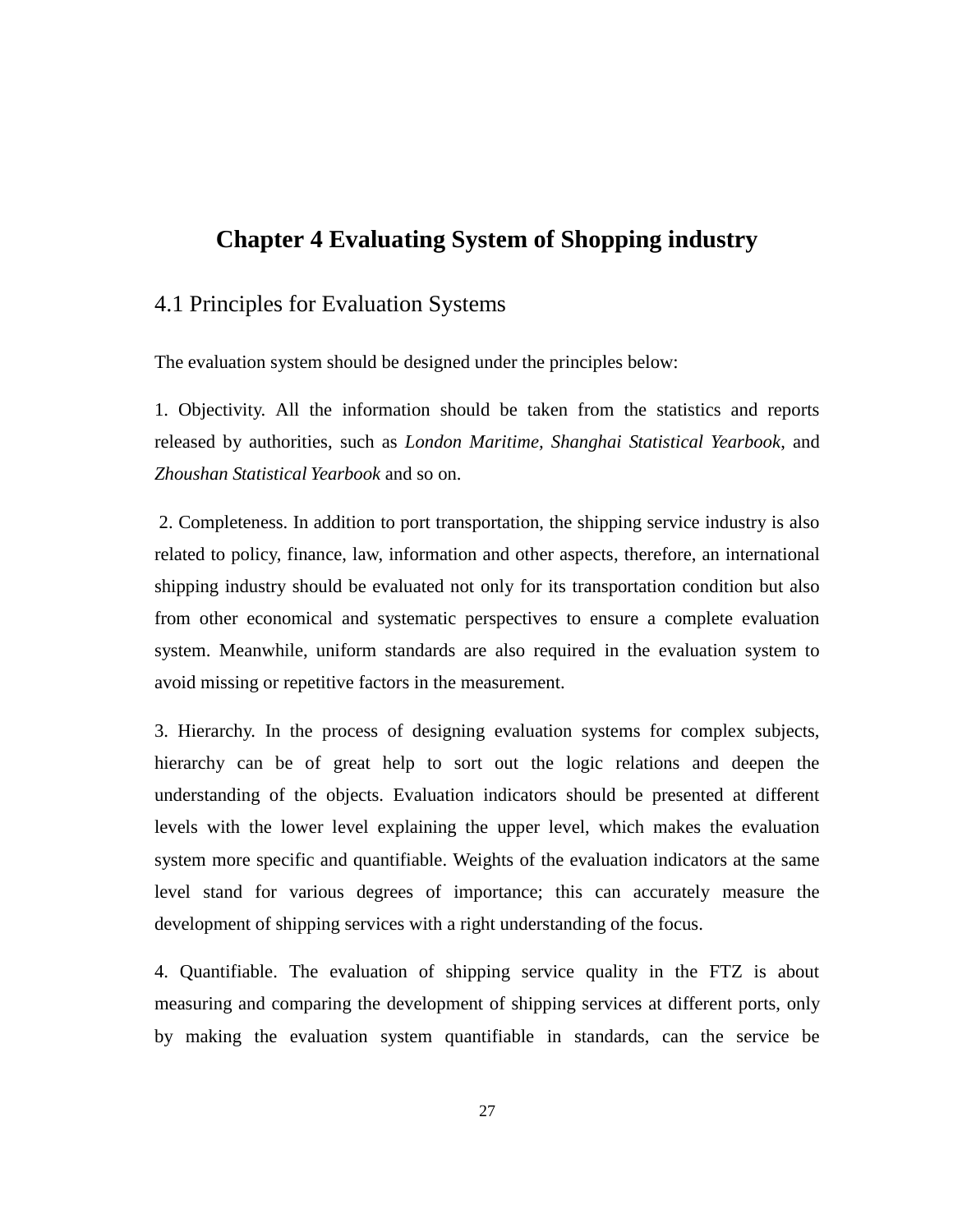# **Chapter 4 Evaluating System of Shopping industry**

# 4.1 Principles for Evaluation Systems

The evaluation system should be designed under the principles below:

<span id="page-31-0"></span>1. Objectivity. All the information should be taken from the statistics and reports released by authorities, such as *London Maritime, Shanghai Statistical Yearbook*, and *Zhoushan Statistical Yearbook* and so on.

<span id="page-31-1"></span>2. Completeness. In addition to port transportation, the shipping service industry is also related to policy, finance, law, information and other aspects, therefore, an international shipping industry should be evaluated not only for its transportation condition but also from other economical and systematic perspectives to ensure a complete evaluation system. Meanwhile, uniform standards are also required in the evaluation system to avoid missing or repetitive factors in the measurement.

3. Hierarchy. In the process of designing evaluation systems for complex subjects, hierarchy can be of great help to sort out the logic relations and deepen the understanding of the objects. Evaluation indicators should be presented at different levels with the lower level explaining the upper level, which makes the evaluation system more specific and quantifiable. Weights of the evaluation indicators at the same level stand for various degrees of importance; this can accurately measure the development of shipping services with a right understanding of the focus.

<span id="page-31-2"></span>4. Quantifiable. The evaluation of shipping service quality in the FTZ is about measuring and comparing the development of shipping services at different ports, only by making the evaluation system quantifiable in standards, can the service be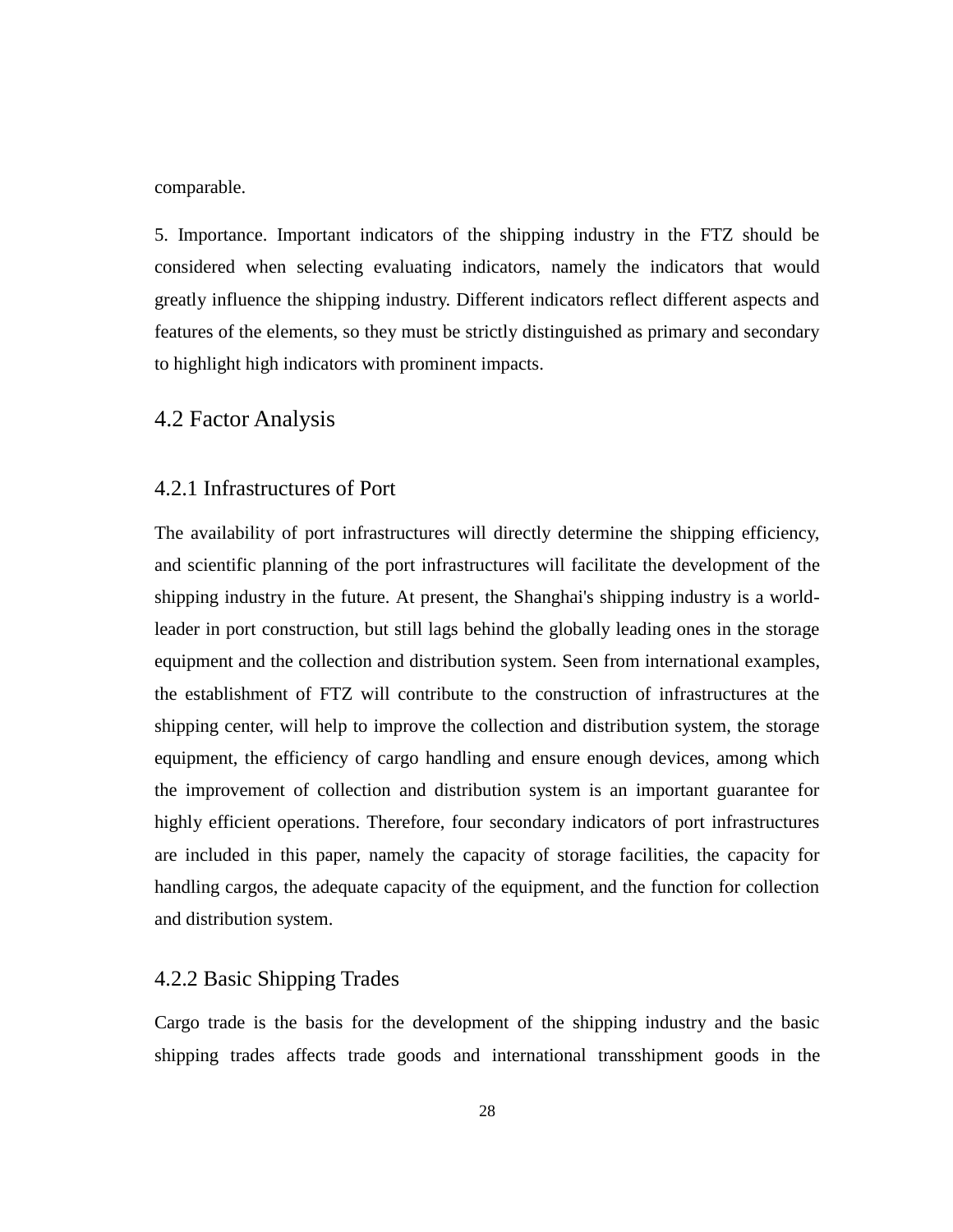#### comparable.

5. Importance. Important indicators of the shipping industry in the FTZ should be considered when selecting evaluating indicators, namely the indicators that would greatly influence the shipping industry. Different indicators reflect different aspects and features of the elements, so they must be strictly distinguished as primary and secondary to highlight high indicators with prominent impacts.

## <span id="page-32-0"></span>4.2 Factor Analysis

### 4.2.1 Infrastructures of Port

The availability of port infrastructures will directly determine the shipping efficiency, and scientific planning of the port infrastructures will facilitate the development of the shipping industry in the future. At present, the Shanghai's shipping industry is a worldleader in port construction, but still lags behind the globally leading ones in the storage equipment and the collection and distribution system. Seen from international examples, the establishment of FTZ will contribute to the construction of infrastructures at the shipping center, will help to improve the collection and distribution system, the storage equipment, the efficiency of cargo handling and ensure enough devices, among which the improvement of collection and distribution system is an important guarantee for highly efficient operations. Therefore, four secondary indicators of port infrastructures are included in this paper, namely the capacity of storage facilities, the capacity for handling cargos, the adequate capacity of the equipment, and the function for collection and distribution system.

## <span id="page-32-1"></span>4.2.2 Basic Shipping Trades

Cargo trade is the basis for the development of the shipping industry and the basic shipping trades affects trade goods and international transshipment goods in the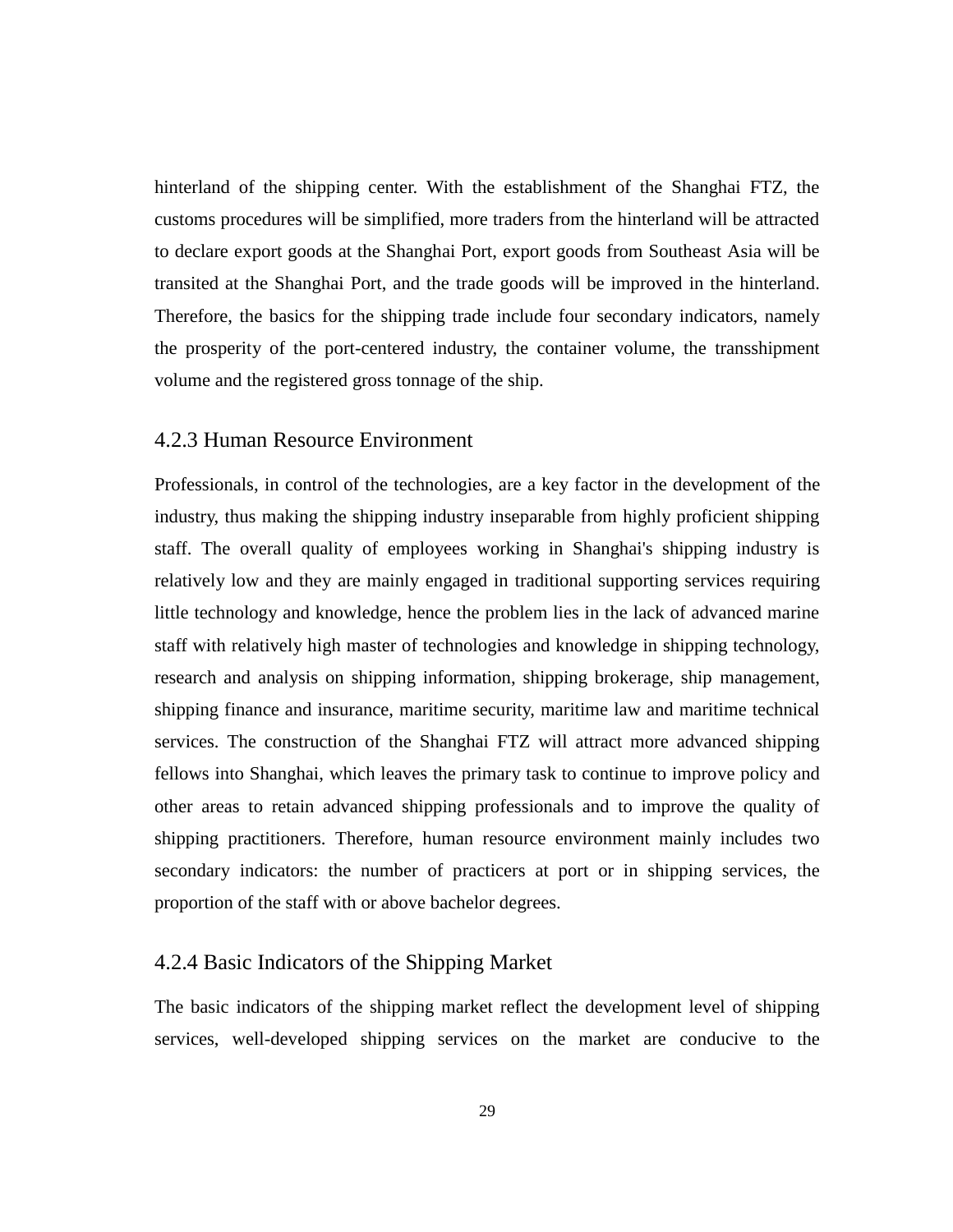hinterland of the shipping center. With the establishment of the Shanghai FTZ, the customs procedures will be simplified, more traders from the hinterland will be attracted to declare export goods at the Shanghai Port, export goods from Southeast Asia will be transited at the Shanghai Port, and the trade goods will be improved in the hinterland. Therefore, the basics for the shipping trade include four secondary indicators, namely the prosperity of the port-centered industry, the container volume, the transshipment volume and the registered gross tonnage of the ship.

## <span id="page-33-0"></span>4.2.3 Human Resource Environment

Professionals, in control of the technologies, are a key factor in the development of the industry, thus making the shipping industry inseparable from highly proficient shipping staff. The overall quality of employees working in Shanghai's shipping industry is relatively low and they are mainly engaged in traditional supporting services requiring little technology and knowledge, hence the problem lies in the lack of advanced marine staff with relatively high master of technologies and knowledge in shipping technology, research and analysis on shipping information, shipping brokerage, ship management, shipping finance and insurance, maritime security, maritime law and maritime technical services. The construction of the Shanghai FTZ will attract more advanced shipping fellows into Shanghai, which leaves the primary task to continue to improve policy and other areas to retain advanced shipping professionals and to improve the quality of shipping practitioners. Therefore, human resource environment mainly includes two secondary indicators: the number of practicers at port or in shipping services, the proportion of the staff with or above bachelor degrees.

# <span id="page-33-2"></span><span id="page-33-1"></span>4.2.4 Basic Indicators of the Shipping Market

The basic indicators of the shipping market reflect the development level of shipping services, well-developed shipping services on the market are conducive to the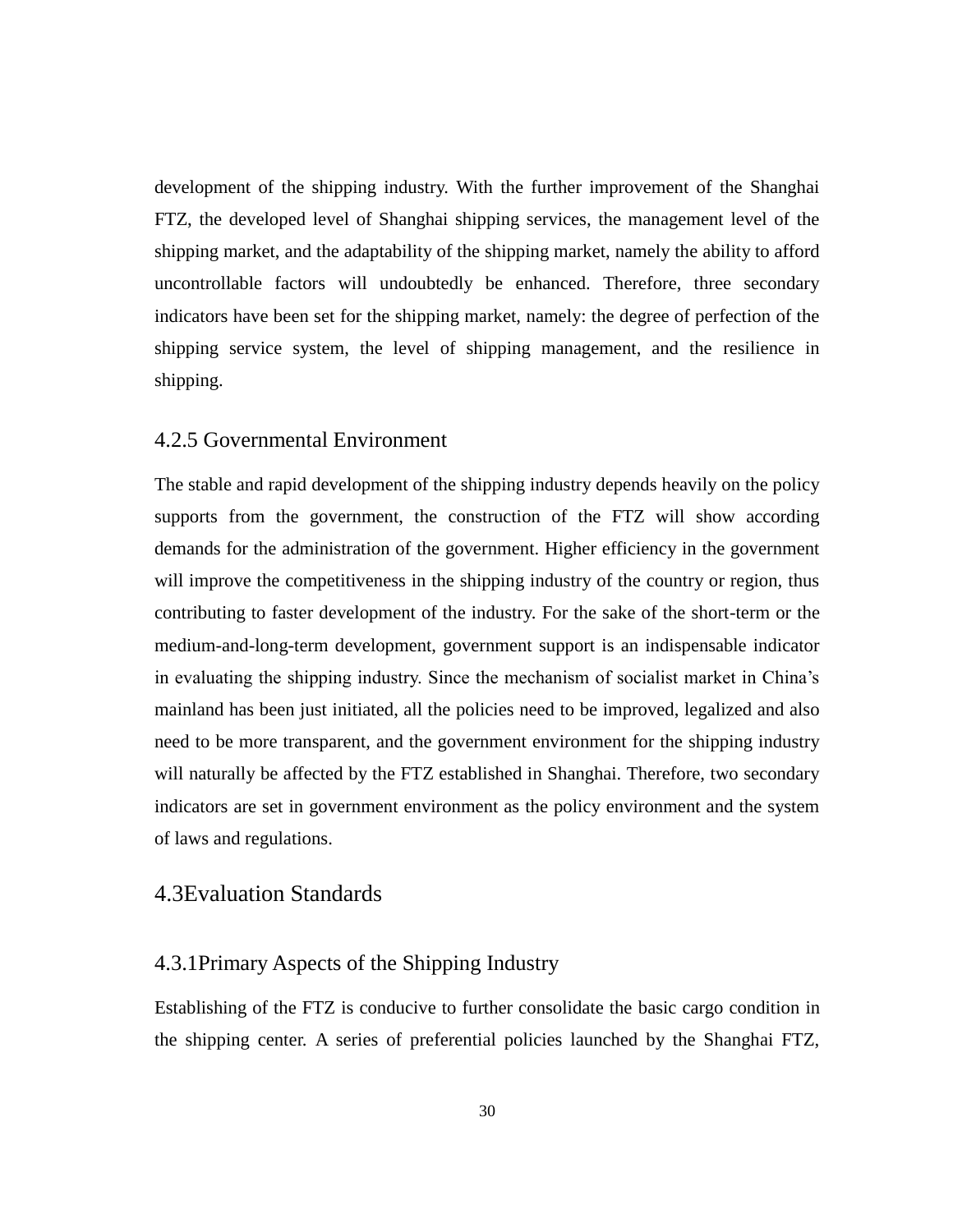development of the shipping industry. With the further improvement of the Shanghai FTZ, the developed level of Shanghai shipping services, the management level of the shipping market, and the adaptability of the shipping market, namely the ability to afford uncontrollable factors will undoubtedly be enhanced. Therefore, three secondary indicators have been set for the shipping market, namely: the degree of perfection of the shipping service system, the level of shipping management, and the resilience in shipping.

## 4.2.5 Governmental Environment

<span id="page-34-0"></span>The stable and rapid development of the shipping industry depends heavily on the policy supports from the government, the construction of the FTZ will show according demands for the administration of the government. Higher efficiency in the government will improve the competitiveness in the shipping industry of the country or region, thus contributing to faster development of the industry. For the sake of the short-term or the medium-and-long-term development, government support is an indispensable indicator in evaluating the shipping industry. Since the mechanism of socialist market in China's mainland has been just initiated, all the policies need to be improved, legalized and also need to be more transparent, and the government environment for the shipping industry will naturally be affected by the FTZ established in Shanghai. Therefore, two secondary indicators are set in government environment as the policy environment and the system of laws and regulations.

## 4.3Evaluation Standards

## 4.3.1Primary Aspects of the Shipping Industry

Establishing of the FTZ is conducive to further consolidate the basic cargo condition in the shipping center. A series of preferential policies launched by the Shanghai FTZ,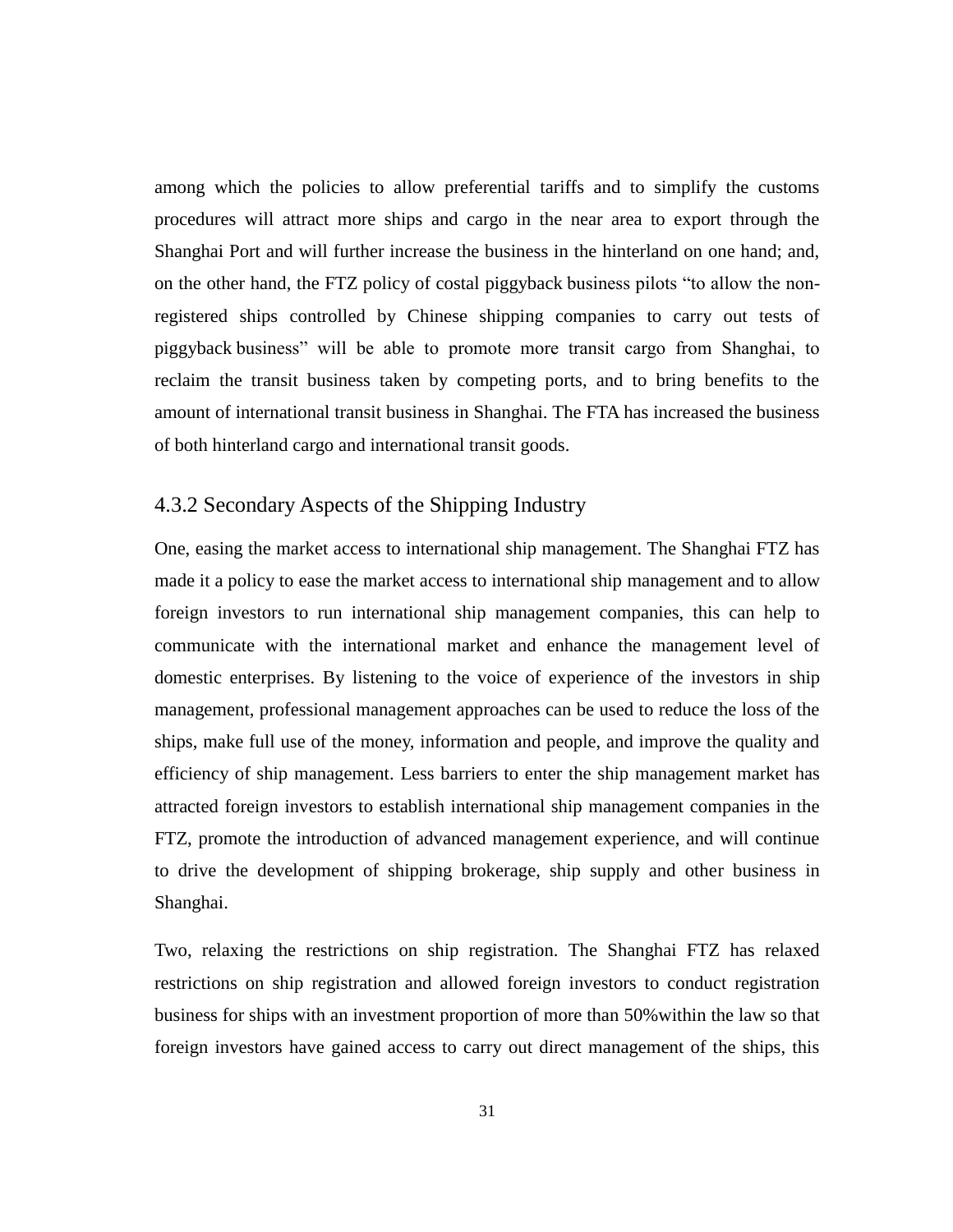among which the policies to allow preferential tariffs and to simplify the customs procedures will attract more ships and cargo in the near area to export through the Shanghai Port and will further increase the business in the hinterland on one hand; and, on the other hand, the FTZ policy of costal piggyback business pilots "to allow the nonregistered ships controlled by Chinese shipping companies to carry out tests of piggyback business" will be able to promote more transit cargo from Shanghai, to reclaim the transit business taken by competing ports, and to bring benefits to the amount of international transit business in Shanghai. The FTA has increased the business of both hinterland cargo and international transit goods.

## <span id="page-35-0"></span>4.3.2 Secondary Aspects of the Shipping Industry

One, easing the market access to international ship management. The Shanghai FTZ has made it a policy to ease the market access to international ship management and to allow foreign investors to run international ship management companies, this can help to communicate with the international market and enhance the management level of domestic enterprises. By listening to the voice of experience of the investors in ship management, professional management approaches can be used to reduce the loss of the ships, make full use of the money, information and people, and improve the quality and efficiency of ship management. Less barriers to enter the ship management market has attracted foreign investors to establish international ship management companies in the FTZ, promote the introduction of advanced management experience, and will continue to drive the development of shipping brokerage, ship supply and other business in Shanghai.

Two, relaxing the restrictions on ship registration. The Shanghai FTZ has relaxed restrictions on ship registration and allowed foreign investors to conduct registration business for ships with an investment proportion of more than 50%within the law so that foreign investors have gained access to carry out direct management of the ships, this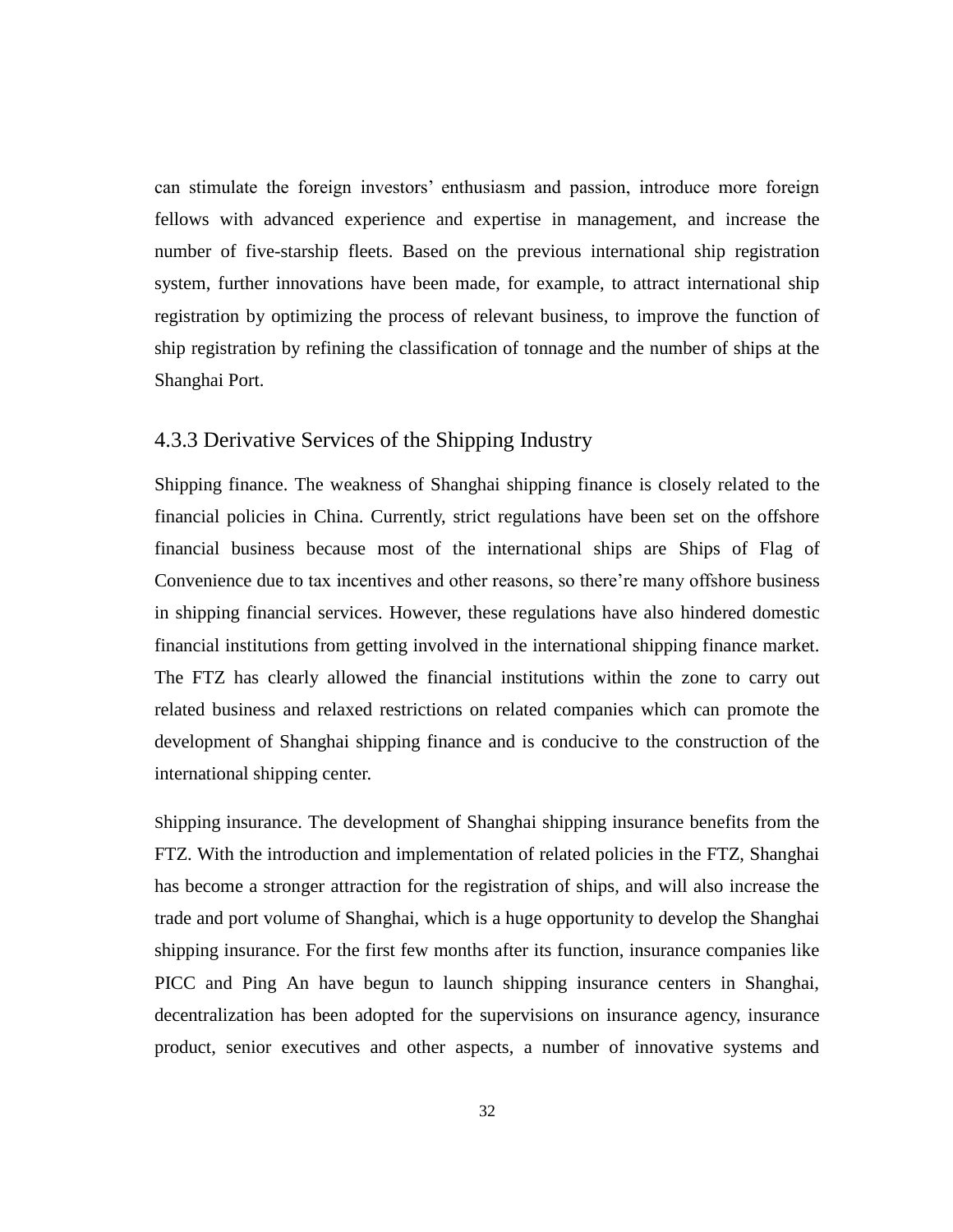can stimulate the foreign investors' enthusiasm and passion, introduce more foreign fellows with advanced experience and expertise in management, and increase the number of five-starship fleets. Based on the previous international ship registration system, further innovations have been made, for example, to attract international ship registration by optimizing the process of relevant business, to improve the function of ship registration by refining the classification of tonnage and the number of ships at the Shanghai Port.

## 4.3.3 Derivative Services of the Shipping Industry

Shipping finance. The weakness of Shanghai shipping finance is closely related to the financial policies in China. Currently, strict regulations have been set on the offshore financial business because most of the international ships are Ships of Flag of Convenience due to tax incentives and other reasons, so there're many offshore business in shipping financial services. However, these regulations have also hindered domestic financial institutions from getting involved in the international shipping finance market. The FTZ has clearly allowed the financial institutions within the zone to carry out related business and relaxed restrictions on related companies which can promote the development of Shanghai shipping finance and is conducive to the construction of the international shipping center.

Shipping insurance. The development of Shanghai shipping insurance benefits from the FTZ. With the introduction and implementation of related policies in the FTZ, Shanghai has become a stronger attraction for the registration of ships, and will also increase the trade and port volume of Shanghai, which is a huge opportunity to develop the Shanghai shipping insurance. For the first few months after its function, insurance companies like PICC and Ping An have begun to launch shipping insurance centers in Shanghai, decentralization has been adopted for the supervisions on insurance agency, insurance product, senior executives and other aspects, a number of innovative systems and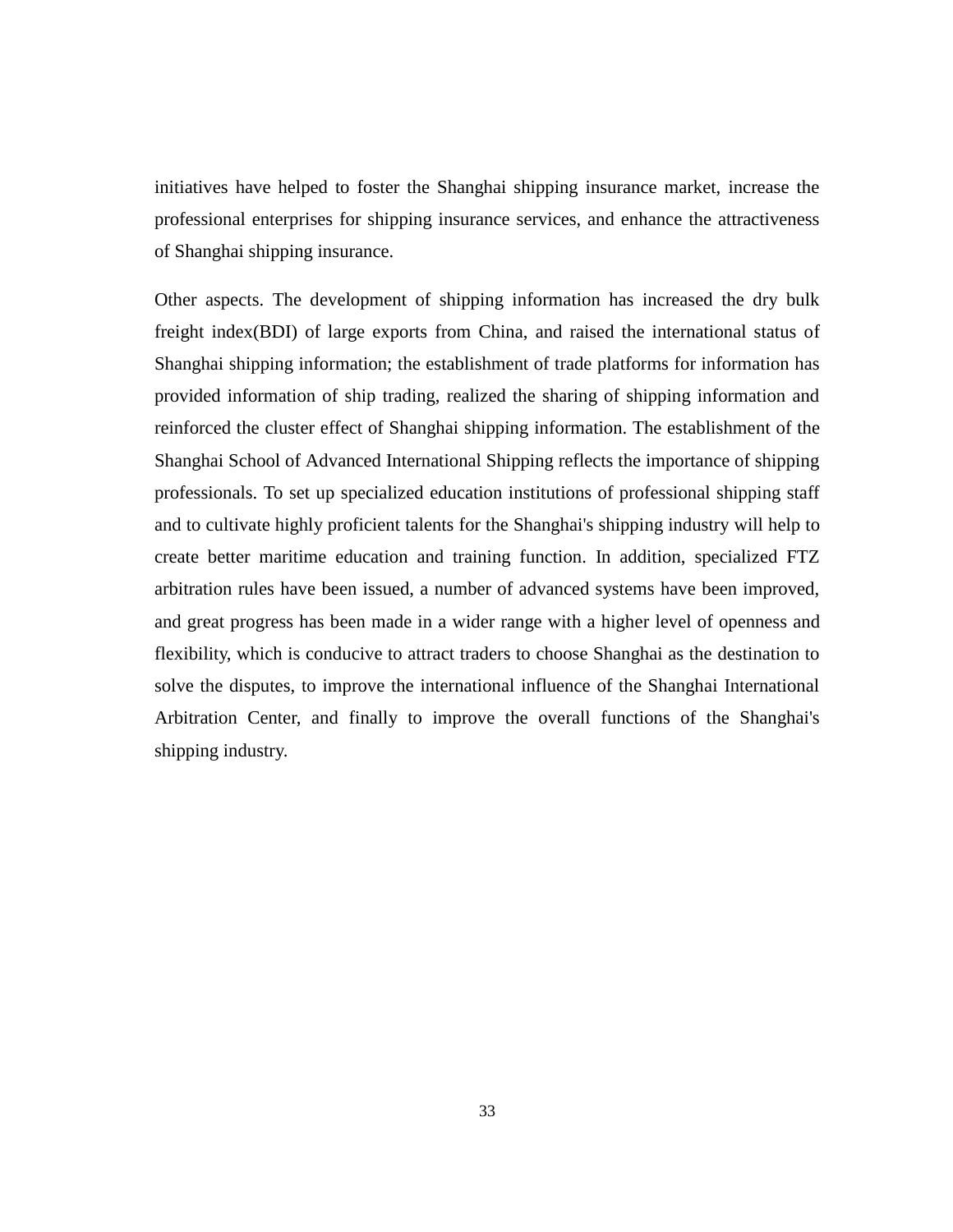initiatives have helped to foster the Shanghai shipping insurance market, increase the professional enterprises for shipping insurance services, and enhance the attractiveness of Shanghai shipping insurance.

Other aspects. The development of shipping information has increased the dry bulk freight index(BDI) of large exports from China, and raised the international status of Shanghai shipping information; the establishment of trade platforms for information has provided information of ship trading, realized the sharing of shipping information and reinforced the cluster effect of Shanghai shipping information. The establishment of the Shanghai School of Advanced International Shipping reflects the importance of shipping professionals. To set up specialized education institutions of professional shipping staff and to cultivate highly proficient talents for the Shanghai's shipping industry will help to create better maritime education and training function. In addition, specialized FTZ arbitration rules have been issued, a number of advanced systems have been improved, and great progress has been made in a wider range with a higher level of openness and flexibility, which is conducive to attract traders to choose Shanghai as the destination to solve the disputes, to improve the international influence of the Shanghai International Arbitration Center, and finally to improve the overall functions of the Shanghai's shipping industry.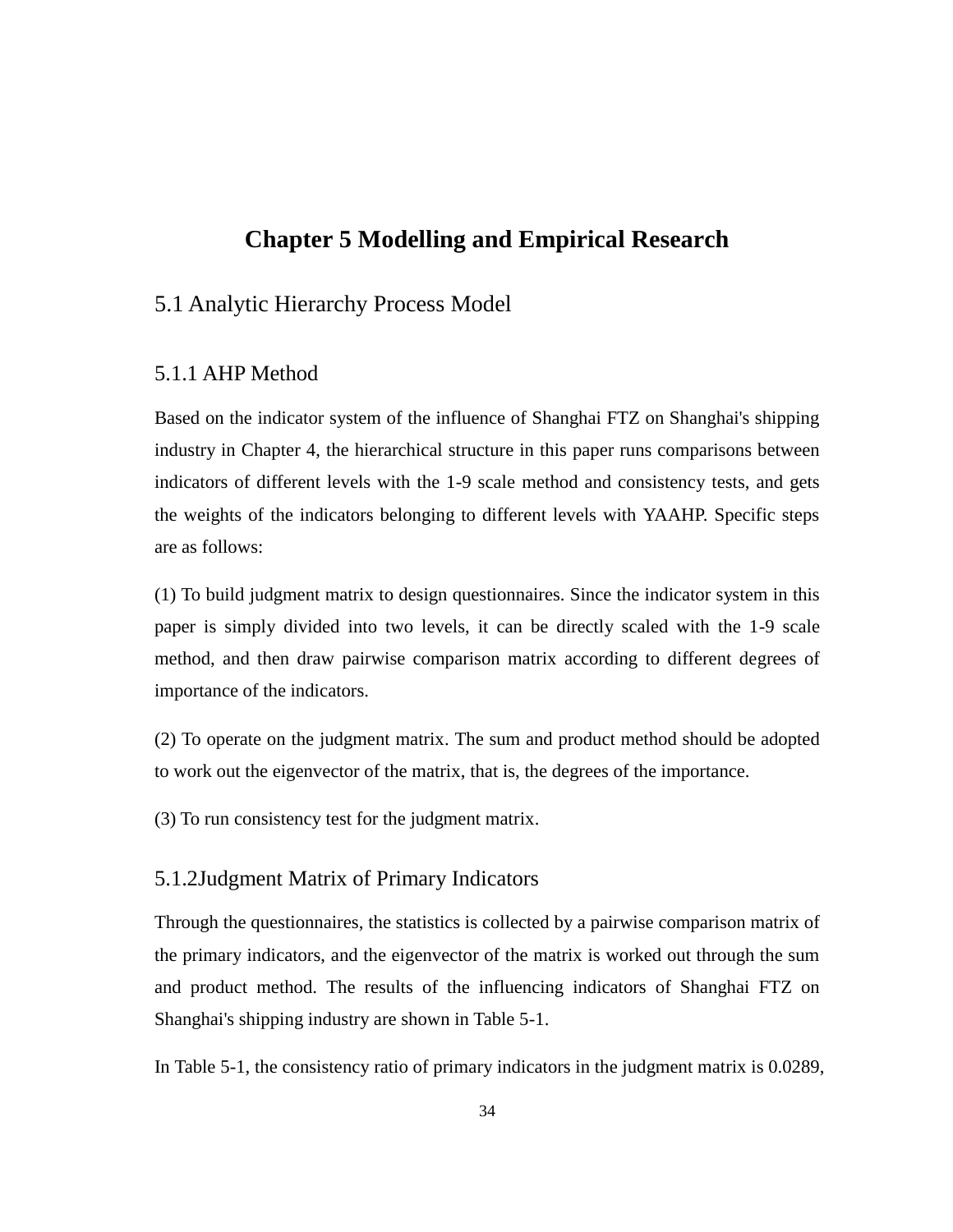# **Chapter 5 Modelling and Empirical Research**

# 5.1 Analytic Hierarchy Process Model

## 5.1.1 AHP Method

Based on the indicator system of the influence of Shanghai FTZ on Shanghai's shipping industry in Chapter 4, the hierarchical structure in this paper runs comparisons between indicators of different levels with the 1-9 scale method and consistency tests, and gets the weights of the indicators belonging to different levels with YAAHP. Specific steps are as follows:

(1) To build judgment matrix to design questionnaires. Since the indicator system in this paper is simply divided into two levels, it can be directly scaled with the 1-9 scale method, and then draw pairwise comparison matrix according to different degrees of importance of the indicators.

(2) To operate on the judgment matrix. The sum and product method should be adopted to work out the eigenvector of the matrix, that is, the degrees of the importance.

(3) To run consistency test for the judgment matrix.

## 5.1.2Judgment Matrix of Primary Indicators

Through the questionnaires, the statistics is collected by a pairwise comparison matrix of the primary indicators, and the eigenvector of the matrix is worked out through the sum and product method. The results of the influencing indicators of Shanghai FTZ on Shanghai's shipping industry are shown in Table 5-1.

In Table 5-1, the consistency ratio of primary indicators in the judgment matrix is 0.0289,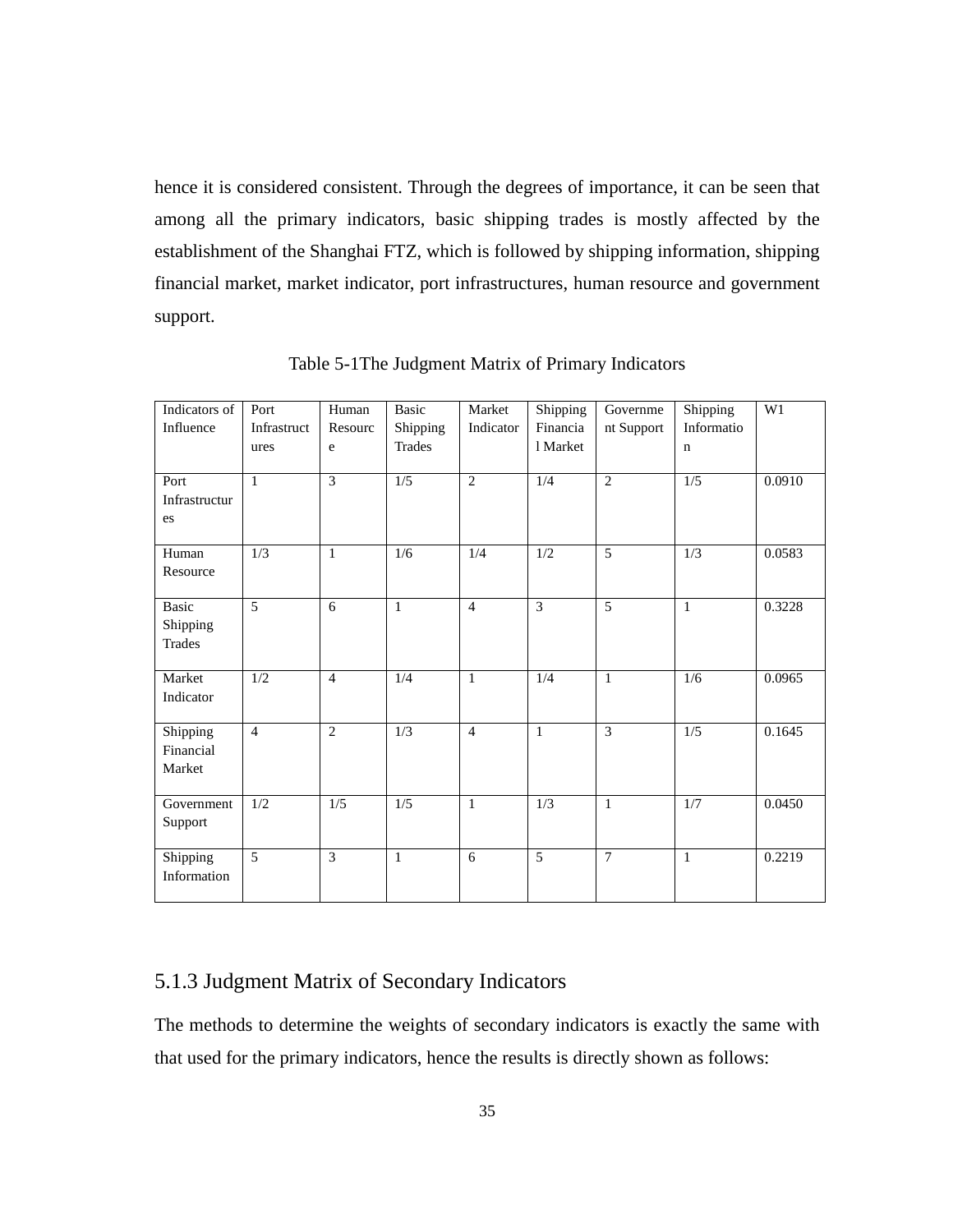hence it is considered consistent. Through the degrees of importance, it can be seen that among all the primary indicators, basic shipping trades is mostly affected by the establishment of the Shanghai FTZ, which is followed by shipping information, shipping financial market, market indicator, port infrastructures, human resource and government support.

| Indicators of<br>Influence                | Port<br>Infrastruct<br>ures | Human<br>Resourc<br>e | Basic<br>Shipping<br><b>Trades</b> | Market<br>Indicator | Shipping<br>Financia<br>1 Market | Governme<br>nt Support | Shipping<br>Informatio<br>$\mathbf n$ | W1     |
|-------------------------------------------|-----------------------------|-----------------------|------------------------------------|---------------------|----------------------------------|------------------------|---------------------------------------|--------|
| Port<br>Infrastructur<br>es               | $\mathbf{1}$                | 3                     | 1/5                                | $\overline{c}$      | 1/4                              | 2                      | 1/5                                   | 0.0910 |
| Human<br>Resource                         | 1/3                         | $\mathbf{1}$          | 1/6                                | 1/4                 | $1/2$                            | 5                      | 1/3                                   | 0.0583 |
| <b>Basic</b><br>Shipping<br><b>Trades</b> | 5                           | 6                     | $\mathbf{1}$                       | $\overline{4}$      | $\overline{\mathcal{E}}$         | 5                      | $\mathbf{1}$                          | 0.3228 |
| Market<br>Indicator                       | $\overline{1/2}$            | $\overline{4}$        | 1/4                                | $\mathbf{1}$        | $\overline{1/4}$                 | $\mathbf{1}$           | 1/6                                   | 0.0965 |
| Shipping<br>Financial<br>Market           | $\overline{4}$              | $\overline{2}$        | 1/3                                | $\overline{4}$      | $\mathbf{1}$                     | 3                      | 1/5                                   | 0.1645 |
| Government<br>Support                     | $\overline{1/2}$            | 1/5                   | $\overline{1/5}$                   | $\mathbf{1}$        | $\overline{1/3}$                 | $\mathbf{1}$           | $\overline{1/7}$                      | 0.0450 |
| Shipping<br>Information                   | $\overline{5}$              | $\overline{3}$        | $\mathbf{1}$                       | 6                   | $\overline{5}$                   | $\overline{7}$         | $\mathbf{1}$                          | 0.2219 |

Table 5-1The Judgment Matrix of Primary Indicators

# 5.1.3 Judgment Matrix of Secondary Indicators

The methods to determine the weights of secondary indicators is exactly the same with that used for the primary indicators, hence the results is directly shown as follows: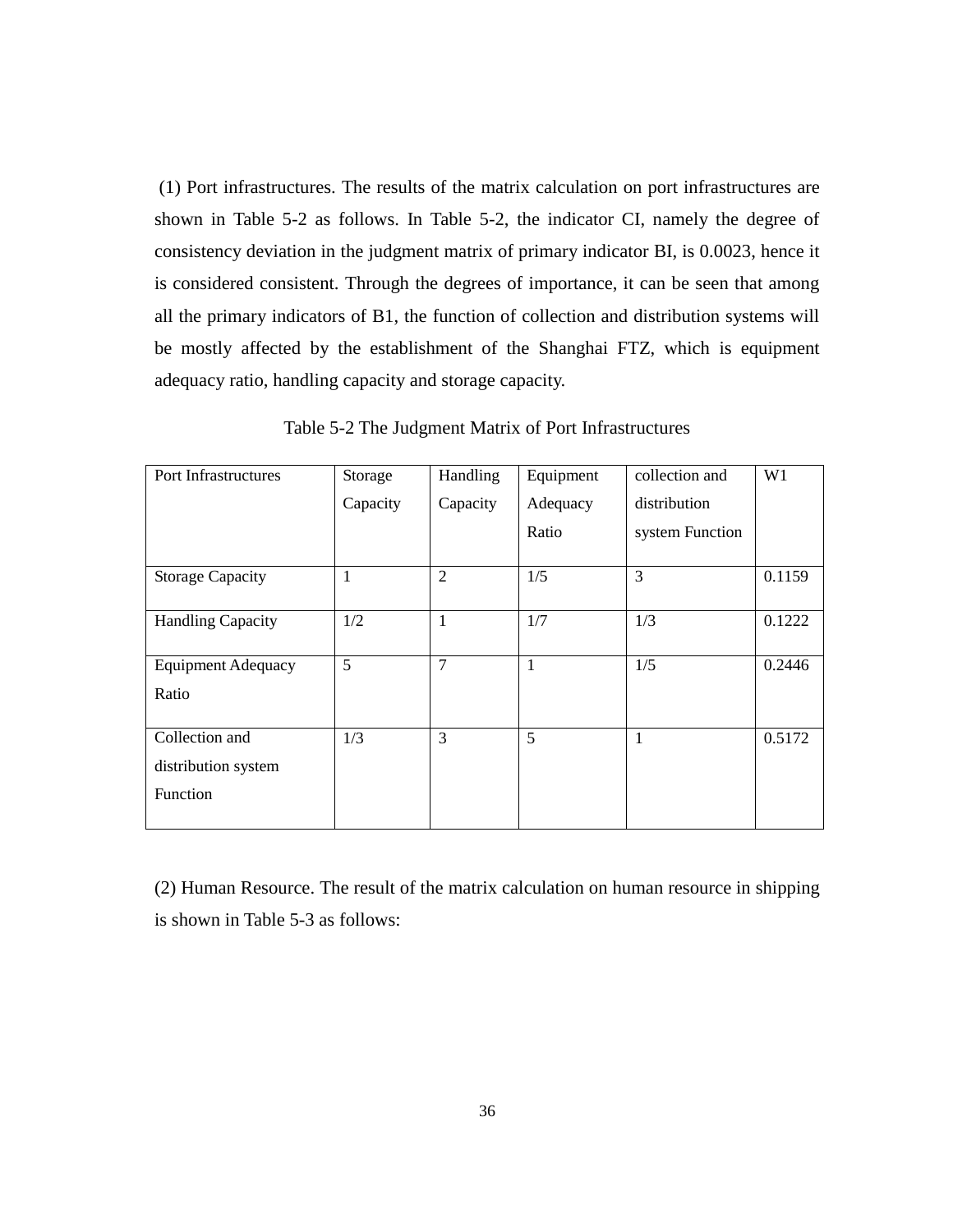(1) Port infrastructures. The results of the matrix calculation on port infrastructures are shown in Table 5-2 as follows. In Table 5-2, the indicator CI, namely the degree of consistency deviation in the judgment matrix of primary indicator BI, is 0.0023, hence it is considered consistent. Through the degrees of importance, it can be seen that among all the primary indicators of B1, the function of collection and distribution systems will be mostly affected by the establishment of the Shanghai FTZ, which is equipment adequacy ratio, handling capacity and storage capacity.

| Port Infrastructures      | Storage  | Handling       | Equipment    | collection and  | W1     |
|---------------------------|----------|----------------|--------------|-----------------|--------|
|                           | Capacity | Capacity       | Adequacy     | distribution    |        |
|                           |          |                | Ratio        | system Function |        |
| <b>Storage Capacity</b>   | 1        | $\overline{2}$ | 1/5          | 3               | 0.1159 |
| <b>Handling Capacity</b>  | 1/2      | $\mathbf{1}$   | 1/7          | 1/3             | 0.1222 |
| <b>Equipment Adequacy</b> | 5        | $\overline{7}$ | $\mathbf{1}$ | 1/5             | 0.2446 |
| Ratio                     |          |                |              |                 |        |
| Collection and            | 1/3      | 3              | 5            | 1               | 0.5172 |
| distribution system       |          |                |              |                 |        |
| Function                  |          |                |              |                 |        |
|                           |          |                |              |                 |        |

Table 5-2 The Judgment Matrix of Port Infrastructures

(2) Human Resource. The result of the matrix calculation on human resource in shipping is shown in Table 5-3 as follows: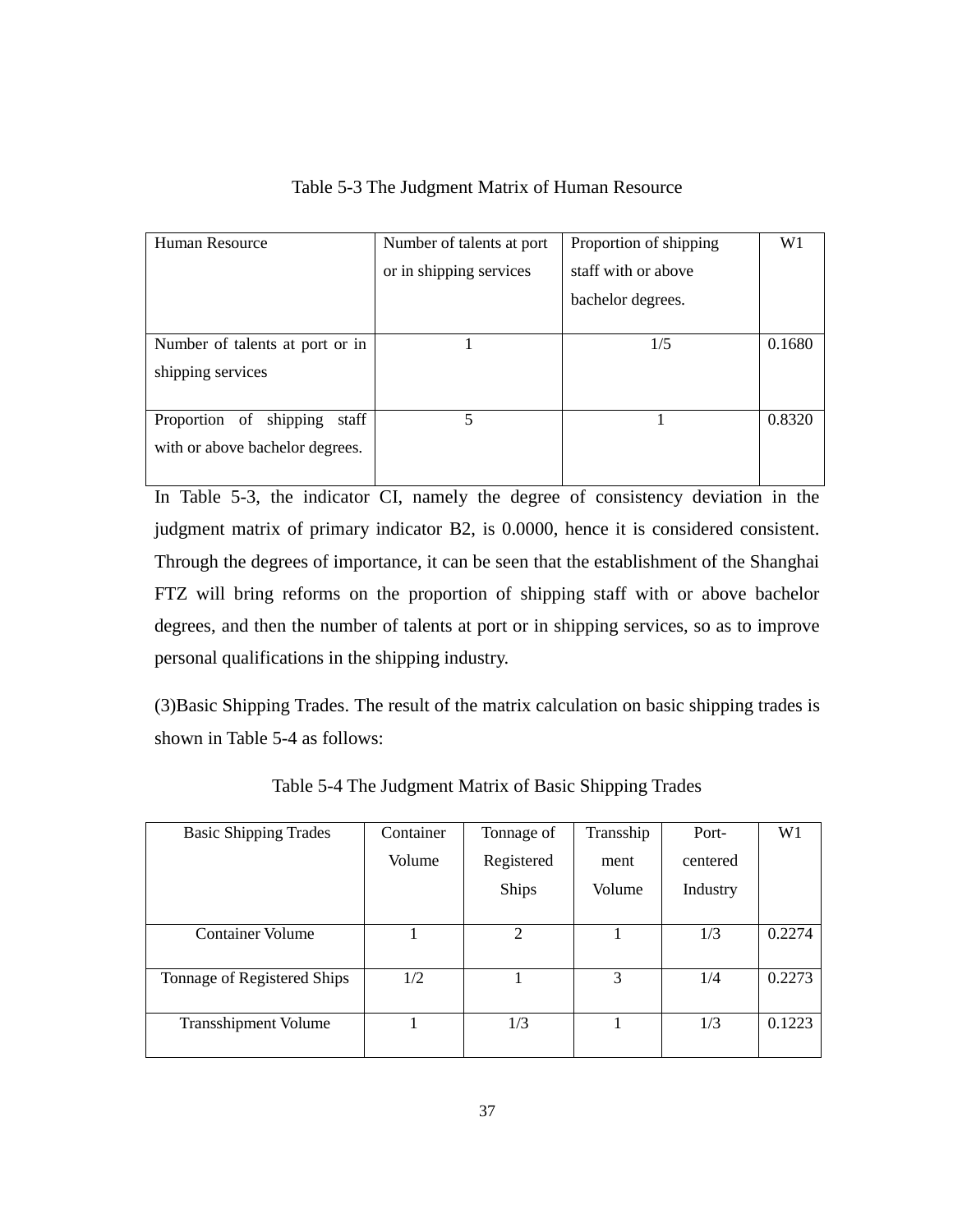| Human Resource                  | Number of talents at port | Proportion of shipping | W <sub>1</sub> |
|---------------------------------|---------------------------|------------------------|----------------|
|                                 | or in shipping services   | staff with or above    |                |
|                                 |                           | bachelor degrees.      |                |
|                                 |                           |                        |                |
| Number of talents at port or in |                           | 1/5                    | 0.1680         |
| shipping services               |                           |                        |                |
|                                 |                           |                        |                |
| Proportion of shipping<br>staff | 5                         |                        | 0.8320         |
| with or above bachelor degrees. |                           |                        |                |
|                                 |                           |                        |                |

Table 5-3 The Judgment Matrix of Human Resource

In Table 5-3, the indicator CI, namely the degree of consistency deviation in the judgment matrix of primary indicator B2, is 0.0000, hence it is considered consistent. Through the degrees of importance, it can be seen that the establishment of the Shanghai FTZ will bring reforms on the proportion of shipping staff with or above bachelor degrees, and then the number of talents at port or in shipping services, so as to improve personal qualifications in the shipping industry.

(3)Basic Shipping Trades. The result of the matrix calculation on basic shipping trades is shown in Table 5-4 as follows:

| <b>Basic Shipping Trades</b> | Container | Tonnage of   | Transship | Port-    | W <sub>1</sub> |
|------------------------------|-----------|--------------|-----------|----------|----------------|
|                              | Volume    | Registered   | ment      | centered |                |
|                              |           | <b>Ships</b> | Volume    | Industry |                |
| <b>Container Volume</b>      |           | 2            |           | 1/3      | 0.2274         |
|                              |           |              |           |          |                |
| Tonnage of Registered Ships  | 1/2       |              | 3         | 1/4      | 0.2273         |
|                              |           |              |           |          |                |
| <b>Transshipment Volume</b>  |           | 1/3          |           | 1/3      | 0.1223         |
|                              |           |              |           |          |                |

Table 5-4 The Judgment Matrix of Basic Shipping Trades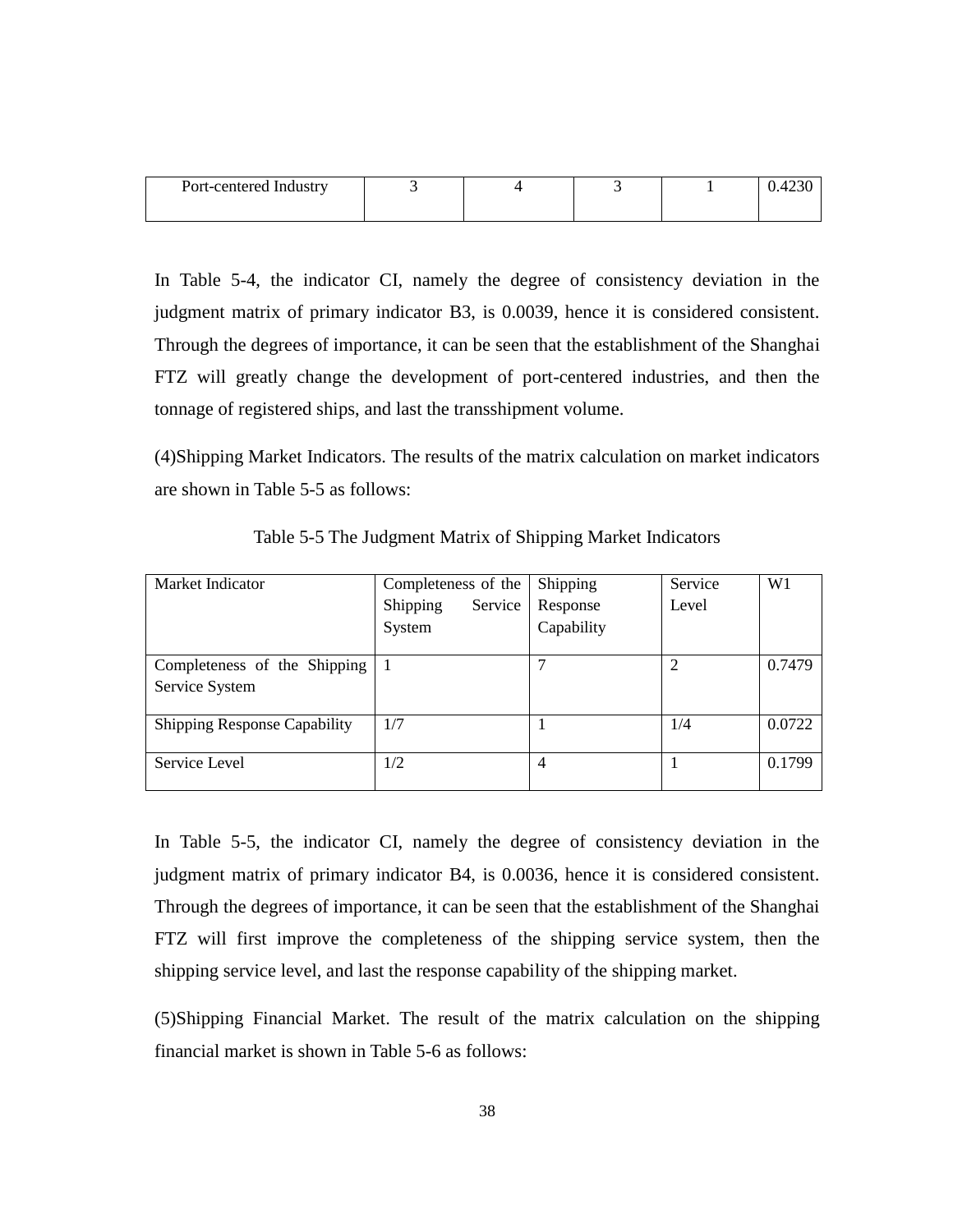| Port-centered Industry |  |  | 42JU |
|------------------------|--|--|------|
|                        |  |  |      |

In Table 5-4, the indicator CI, namely the degree of consistency deviation in the judgment matrix of primary indicator B3, is 0.0039, hence it is considered consistent. Through the degrees of importance, it can be seen that the establishment of the Shanghai FTZ will greatly change the development of port-centered industries, and then the tonnage of registered ships, and last the transshipment volume.

(4)Shipping Market Indicators. The results of the matrix calculation on market indicators are shown in Table 5-5 as follows:

| Market Indicator                    | Completeness of the | Shipping   | Service | W1     |
|-------------------------------------|---------------------|------------|---------|--------|
|                                     | Shipping<br>Service | Response   | Level   |        |
|                                     | System              | Capability |         |        |
| Completeness of the Shipping        |                     |            | 2       | 0.7479 |
| Service System                      |                     |            |         |        |
| <b>Shipping Response Capability</b> | 1/7                 |            | 1/4     | 0.0722 |
| Service Level                       | 1/2                 | 4          |         | 0.1799 |

Table 5-5 The Judgment Matrix of Shipping Market Indicators

In Table 5-5, the indicator CI, namely the degree of consistency deviation in the judgment matrix of primary indicator B4, is 0.0036, hence it is considered consistent. Through the degrees of importance, it can be seen that the establishment of the Shanghai FTZ will first improve the completeness of the shipping service system, then the shipping service level, and last the response capability of the shipping market.

(5)Shipping Financial Market. The result of the matrix calculation on the shipping financial market is shown in Table 5-6 as follows: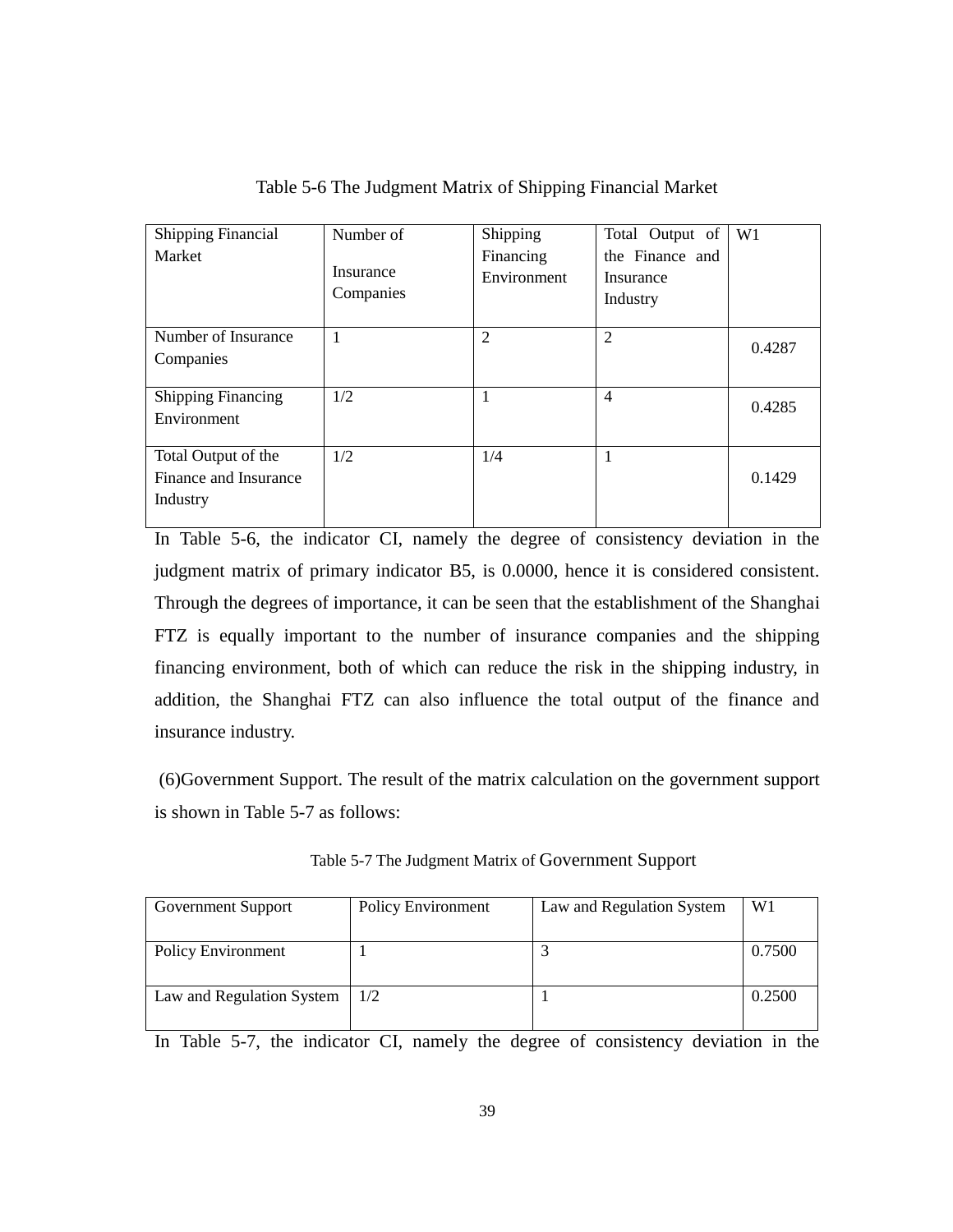| <b>Shipping Financial</b><br>Market                      | Number of<br>Insurance<br>Companies | Shipping<br>Financing<br>Environment | Total Output of<br>the Finance and<br>Insurance<br>Industry | W1     |
|----------------------------------------------------------|-------------------------------------|--------------------------------------|-------------------------------------------------------------|--------|
| Number of Insurance<br>Companies                         |                                     | $\overline{2}$                       | $\mathfrak{D}$                                              | 0.4287 |
| <b>Shipping Financing</b><br>Environment                 | 1/2                                 | 1                                    | 4                                                           | 0.4285 |
| Total Output of the<br>Finance and Insurance<br>Industry | 1/2                                 | 1/4                                  |                                                             | 0.1429 |

Table 5-6 The Judgment Matrix of Shipping Financial Market

In Table 5-6, the indicator CI, namely the degree of consistency deviation in the judgment matrix of primary indicator B5, is 0.0000, hence it is considered consistent. Through the degrees of importance, it can be seen that the establishment of the Shanghai FTZ is equally important to the number of insurance companies and the shipping financing environment, both of which can reduce the risk in the shipping industry, in addition, the Shanghai FTZ can also influence the total output of the finance and insurance industry.

(6)Government Support. The result of the matrix calculation on the government support is shown in Table 5-7 as follows:

| Government Support        | <b>Policy Environment</b> | Law and Regulation System | W <sub>1</sub> |
|---------------------------|---------------------------|---------------------------|----------------|
| <b>Policy Environment</b> |                           |                           | 0.7500         |
|                           |                           |                           |                |
| Law and Regulation System | 1/2                       |                           | 0.2500         |
|                           |                           |                           |                |

Table 5-7 The Judgment Matrix of Government Support

In Table 5-7, the indicator CI, namely the degree of consistency deviation in the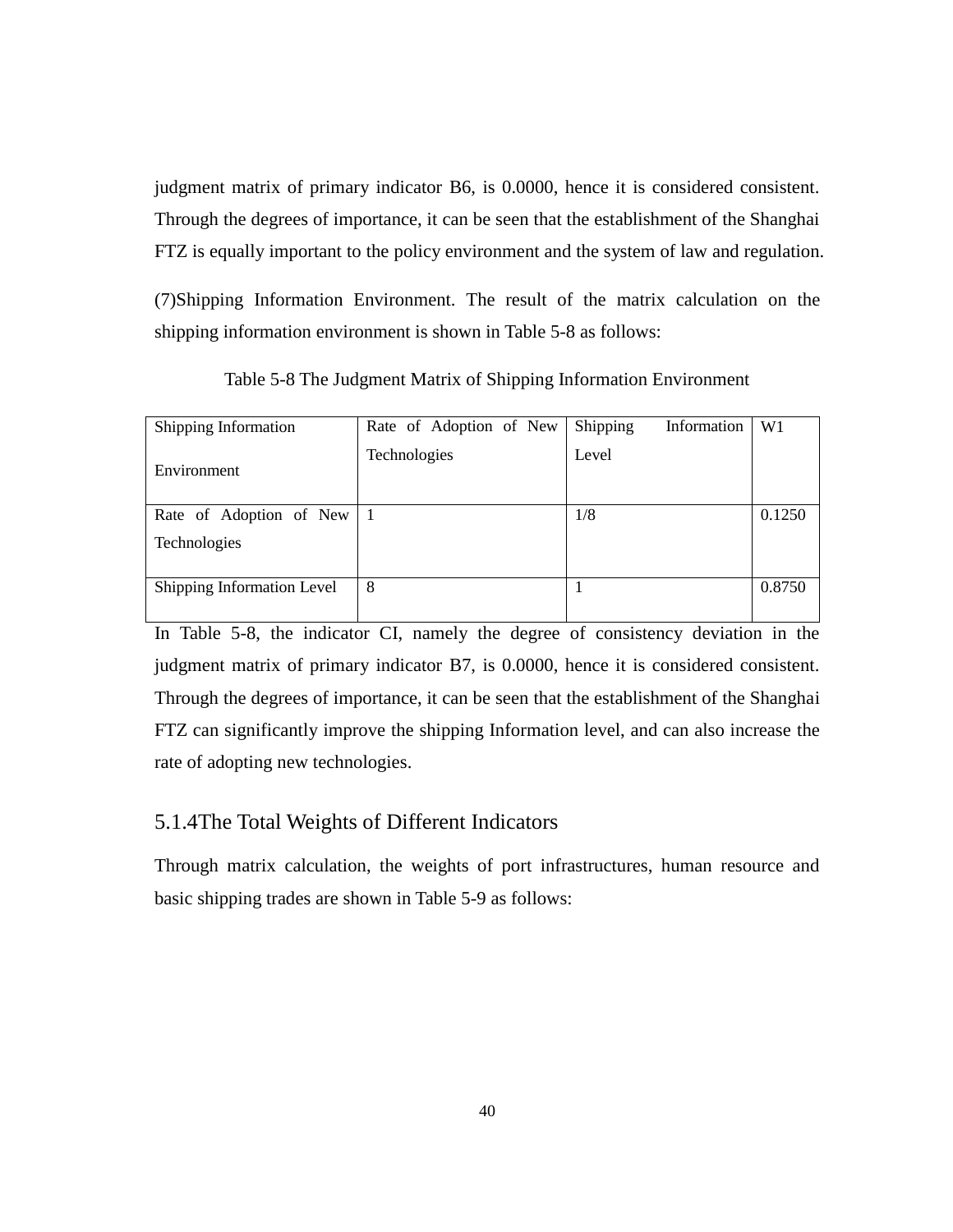judgment matrix of primary indicator B6, is 0.0000, hence it is considered consistent. Through the degrees of importance, it can be seen that the establishment of the Shanghai FTZ is equally important to the policy environment and the system of law and regulation.

(7)Shipping Information Environment. The result of the matrix calculation on the shipping information environment is shown in Table 5-8 as follows:

| Shipping Information       | Rate of Adoption of New | Shipping<br>Information | W <sub>1</sub> |
|----------------------------|-------------------------|-------------------------|----------------|
| Environment                | Technologies            | Level                   |                |
| Rate of Adoption of New 1  |                         | 1/8                     | 0.1250         |
| Technologies               |                         |                         |                |
|                            |                         |                         |                |
| Shipping Information Level | 8                       |                         | 0.8750         |
|                            |                         |                         |                |

Table 5-8 The Judgment Matrix of Shipping Information Environment

In Table 5-8, the indicator CI, namely the degree of consistency deviation in the judgment matrix of primary indicator B7, is 0.0000, hence it is considered consistent. Through the degrees of importance, it can be seen that the establishment of the Shanghai FTZ can significantly improve the shipping Information level, and can also increase the rate of adopting new technologies.

# 5.1.4The Total Weights of Different Indicators

Through matrix calculation, the weights of port infrastructures, human resource and basic shipping trades are shown in Table 5-9 as follows: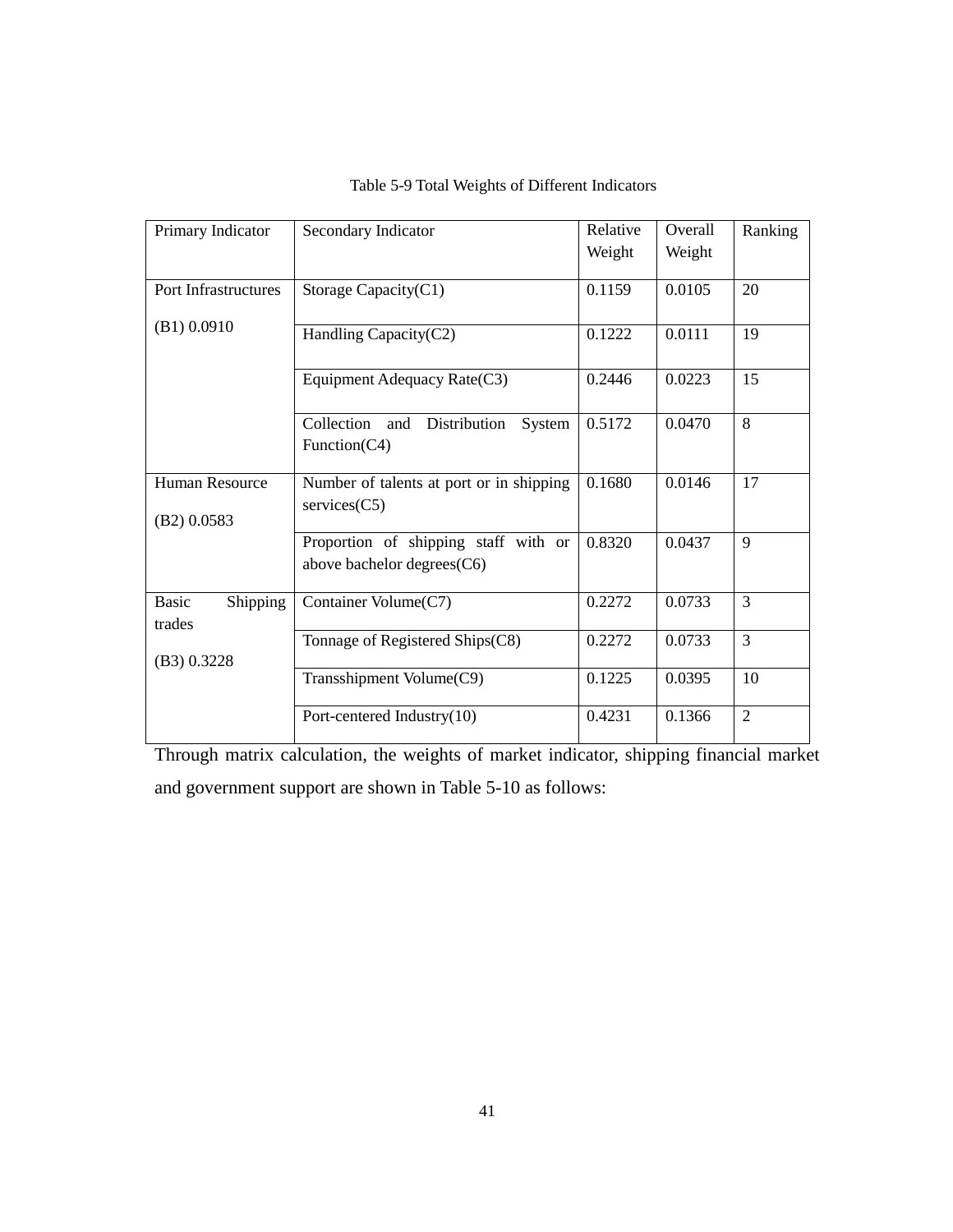| Primary Indicator                  | Secondary Indicator                                                | Relative | Overall | Ranking        |
|------------------------------------|--------------------------------------------------------------------|----------|---------|----------------|
|                                    |                                                                    | Weight   | Weight  |                |
| Port Infrastructures               | Storage Capacity(C1)                                               | 0.1159   | 0.0105  | 20             |
| (B1) 0.0910                        | Handling Capacity(C2)                                              | 0.1222   | 0.0111  | 19             |
|                                    | Equipment Adequacy Rate(C3)                                        | 0.2446   | 0.0223  | 15             |
|                                    | Collection<br>Distribution<br>System<br>and<br>Function( $C4$ )    | 0.5172   | 0.0470  | 8              |
| Human Resource<br>(B2) 0.0583      | Number of talents at port or in shipping<br>$s$ ervices $(C5)$     | 0.1680   | 0.0146  | 17             |
|                                    | Proportion of shipping staff with or<br>above bachelor degrees(C6) | 0.8320   | 0.0437  | 9              |
| <b>Basic</b><br>Shipping<br>trades | Container Volume(C7)                                               | 0.2272   | 0.0733  | $\overline{3}$ |
| (B3) 0.3228                        | Tonnage of Registered Ships(C8)                                    | 0.2272   | 0.0733  | 3              |
|                                    | Transshipment Volume(C9)                                           | 0.1225   | 0.0395  | 10             |
|                                    | Port-centered Industry(10)                                         | 0.4231   | 0.1366  | $\overline{2}$ |

## Table 5-9 Total Weights of Different Indicators

Through matrix calculation, the weights of market indicator, shipping financial market and government support are shown in Table 5-10 as follows: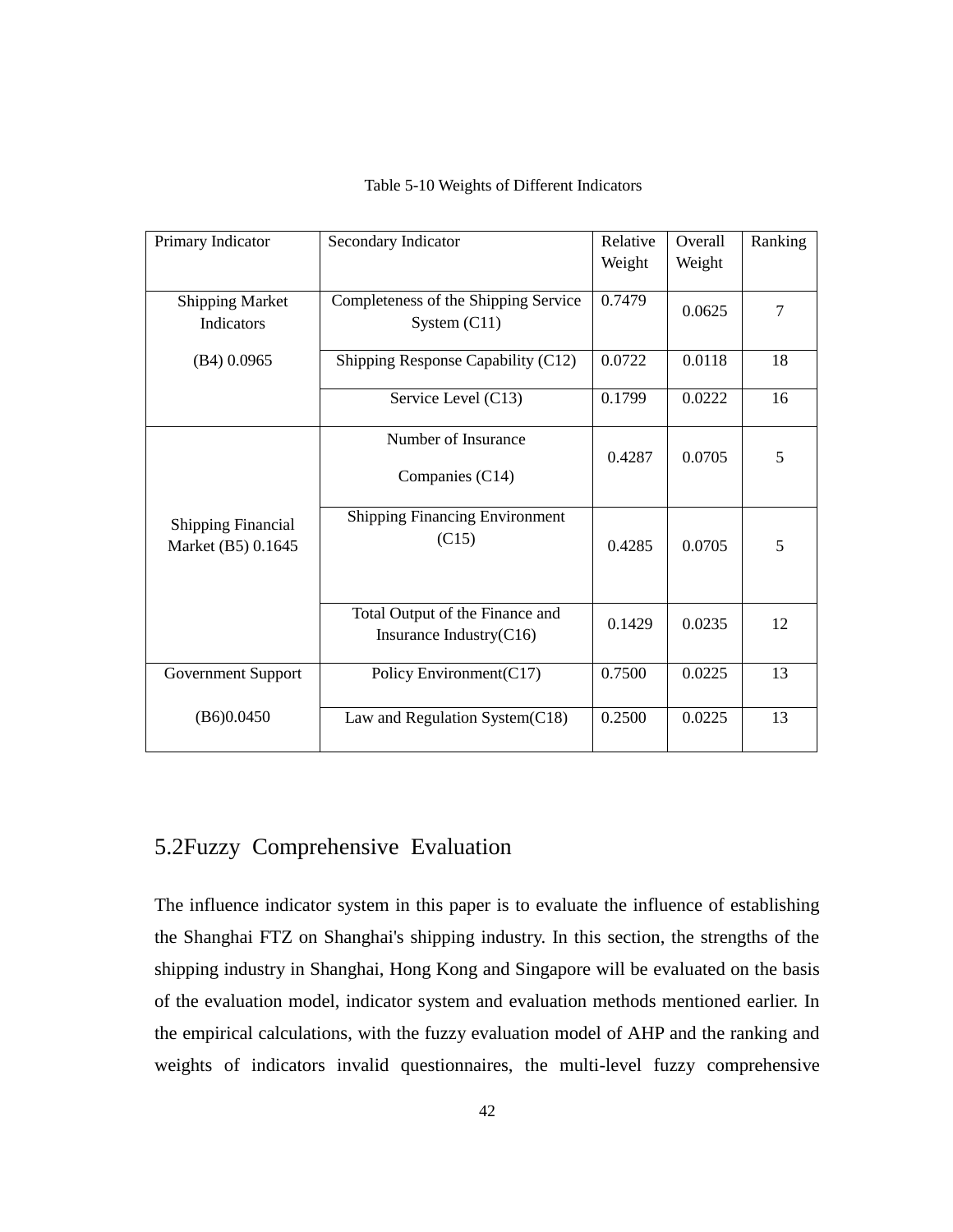| Primary Indicator                               | Secondary Indicator                                        | Relative<br>Weight | Overall<br>Weight | Ranking |
|-------------------------------------------------|------------------------------------------------------------|--------------------|-------------------|---------|
| <b>Shipping Market</b><br><b>Indicators</b>     | Completeness of the Shipping Service<br>System $(C11)$     | 0.7479             | 0.0625            | 7       |
| $(B4)$ 0.0965                                   | Shipping Response Capability (C12)                         | 0.0722             | 0.0118            | 18      |
|                                                 | Service Level (C13)                                        | 0.1799             | 0.0222            | 16      |
|                                                 | Number of Insurance<br>Companies (C14)                     | 0.4287             | 0.0705            | 5       |
| <b>Shipping Financial</b><br>Market (B5) 0.1645 | <b>Shipping Financing Environment</b><br>(C15)             | 0.4285             | 0.0705            | 5       |
|                                                 | Total Output of the Finance and<br>Insurance Industry(C16) | 0.1429             | 0.0235            | 12      |
| Government Support                              | Policy Environment(C17)                                    | 0.7500             | 0.0225            | 13      |
| (B6)0.0450                                      | Law and Regulation System(C18)                             | 0.2500             | 0.0225            | 13      |

### Table 5-10 Weights of Different Indicators

# 5.2Fuzzy [Comprehensive](http://www.so.com/link?url=http://en.cnki.com.cn/Article_en/CJFDTOTAL-DWJS201407041.htm&q=Evaluation+of+multi-level+hierarchical+fuzzy&ts=1467792637&t=8dd67ff00786bfaa52a107ec5203945&src=haosou) Evaluation

The influence indicator system in this paper is to evaluate the influence of establishing the Shanghai FTZ on Shanghai's shipping industry. In this section, the strengths of the shipping industry in Shanghai, Hong Kong and Singapore will be evaluated on the basis of the evaluation model, indicator system and evaluation methods mentioned earlier. In the empirical calculations, with the fuzzy evaluation model of AHP and the ranking and weights of indicators invalid questionnaires, the multi-level fuzzy comprehensive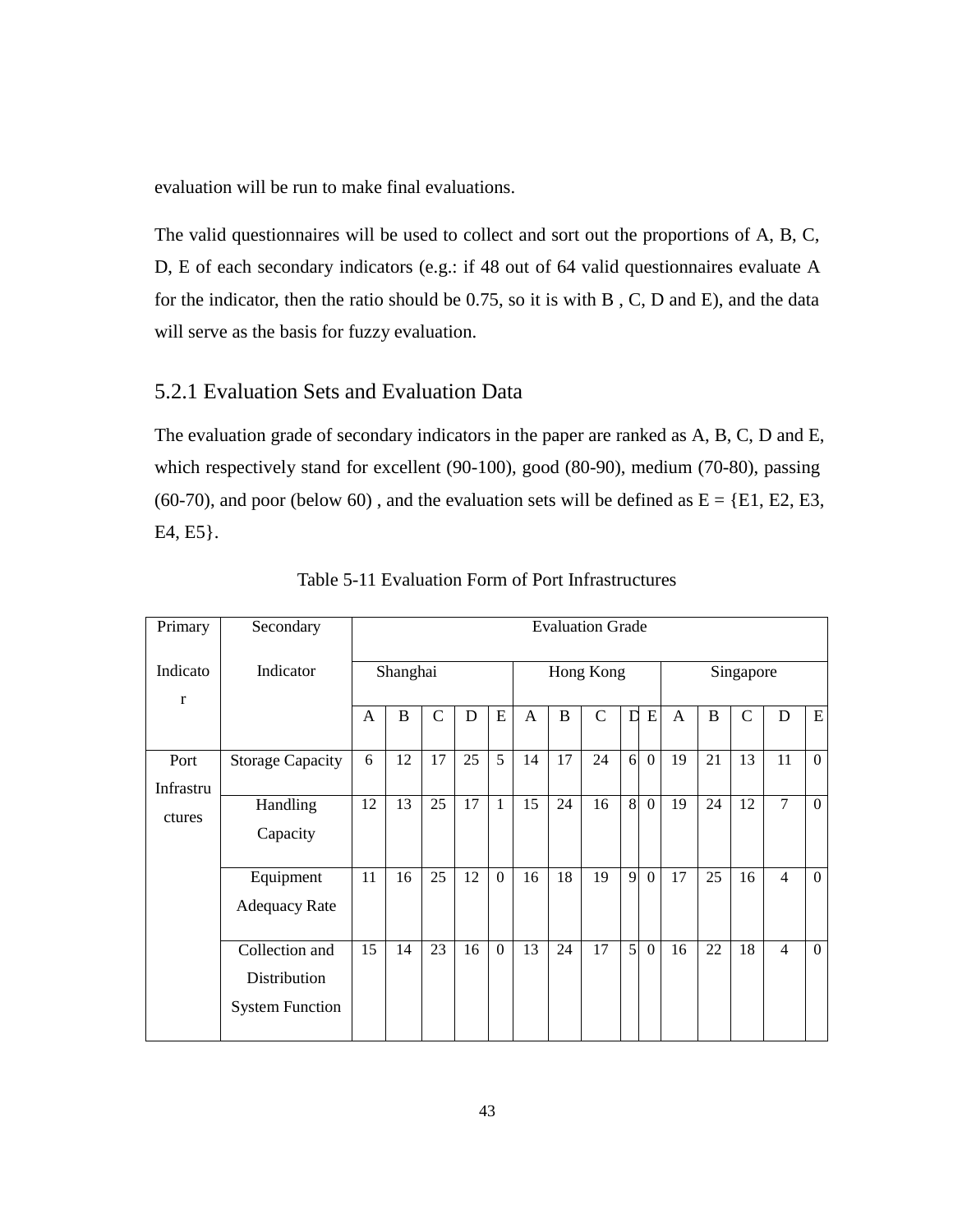evaluation will be run to make final evaluations.

The valid questionnaires will be used to collect and sort out the proportions of A, B, C, D, E of each secondary indicators (e.g.: if 48 out of 64 valid questionnaires evaluate A for the indicator, then the ratio should be 0.75, so it is with B , C, D and E), and the data will serve as the basis for fuzzy evaluation.

## 5.2.1 Evaluation Sets and Evaluation Data

The evaluation grade of secondary indicators in the paper are ranked as A, B, C, D and E, which respectively stand for excellent (90-100), good (80-90), medium (70-80), passing (60-70), and poor (below 60), and the evaluation sets will be defined as  $E = \{E1, E2, E3,$ E4, E5}.

| Primary                  | Secondary                                                |                | <b>Evaluation Grade</b> |               |    |           |              |    |               |             |                |              |          |             |                |                  |
|--------------------------|----------------------------------------------------------|----------------|-------------------------|---------------|----|-----------|--------------|----|---------------|-------------|----------------|--------------|----------|-------------|----------------|------------------|
| Indicato<br>$\mathbf{r}$ | Indicator                                                |                | Shanghai                |               |    | Hong Kong |              |    |               | Singapore   |                |              |          |             |                |                  |
|                          |                                                          | $\overline{A}$ | $\bf{B}$                | $\mathcal{C}$ | D  | E         | $\mathsf{A}$ | B  | $\mathcal{C}$ | $\mathbf D$ | E              | $\mathbf{A}$ | $\bf{B}$ | $\mathbf C$ | D              | ${\bf E}$        |
| Port<br>Infrastru        | <b>Storage Capacity</b>                                  | 6              | 12                      | 17            | 25 | 5         | 14           | 17 | 24            | 6           | $\overline{0}$ | 19           | 21       | 13          | 11             | $\theta$         |
| ctures                   | Handling<br>Capacity                                     | 12             | 13                      | 25            | 17 | 1         | 15           | 24 | 16            | 8           | $\overline{0}$ | 19           | 24       | 12          | $\overline{7}$ | $\boldsymbol{0}$ |
|                          | Equipment<br><b>Adequacy Rate</b>                        | 11             | 16                      | 25            | 12 | $\Omega$  | 16           | 18 | 19            | 9           | $\overline{0}$ | 17           | 25       | 16          | $\overline{4}$ | $\overline{0}$   |
|                          | Collection and<br>Distribution<br><b>System Function</b> | 15             | 14                      | 23            | 16 | $\Omega$  | 13           | 24 | 17            | 5           | $\Omega$       | 16           | 22       | 18          | $\overline{4}$ | $\theta$         |

Table 5-11 Evaluation Form of Port Infrastructures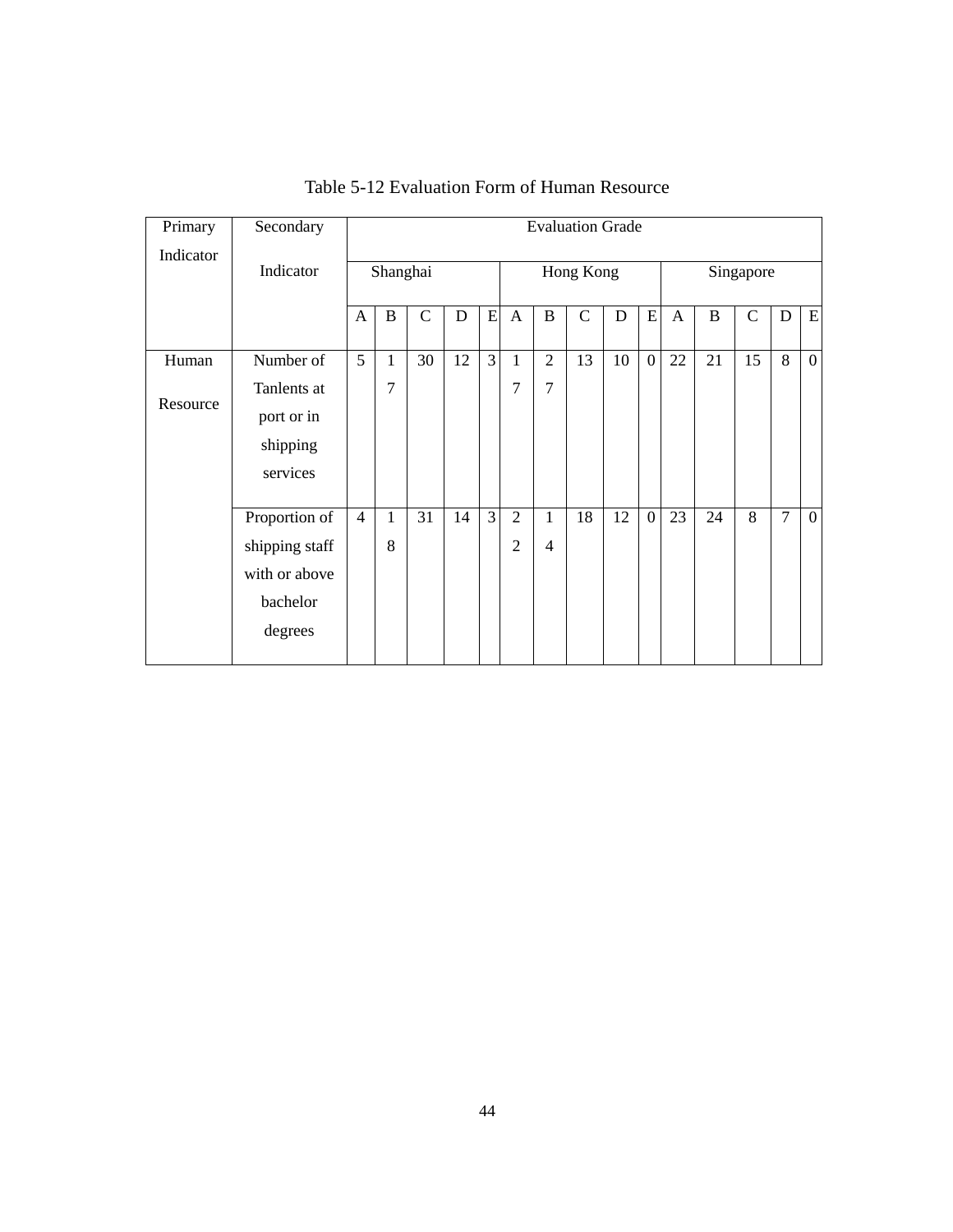| Primary   | Secondary                                                               |                 |          |               |    |                |                                  |                                | <b>Evaluation Grade</b> |           |                |              |          |             |                |              |
|-----------|-------------------------------------------------------------------------|-----------------|----------|---------------|----|----------------|----------------------------------|--------------------------------|-------------------------|-----------|----------------|--------------|----------|-------------|----------------|--------------|
| Indicator | Indicator                                                               |                 | Shanghai |               |    |                |                                  |                                | Hong Kong               |           |                |              |          | Singapore   |                |              |
|           |                                                                         | A               | B        | $\mathcal{C}$ | D  | ${\bf E}$      | $\mathbf{A}$                     | $\bf{B}$                       | $\mathcal{C}$           | ${\bf D}$ | ${\bf E}$      | $\mathbf{A}$ | $\bf{B}$ | $\mathbf C$ | D              | ${\bf E}$    |
| Human     | Number of                                                               | $5\overline{)}$ | 1        | 30            | 12 | $\overline{3}$ | 1                                | 2                              | 13                      | 10        | $\overline{0}$ | 22           | 21       | 15          | 8              | $\mathbf{0}$ |
| Resource  | Tanlents at<br>port or in<br>shipping<br>services                       |                 | 7        |               |    |                | 7                                | $\overline{7}$                 |                         |           |                |              |          |             |                |              |
|           | Proportion of<br>shipping staff<br>with or above<br>bachelor<br>degrees | $\overline{4}$  | 1<br>8   | 31            | 14 | $\overline{3}$ | $\overline{2}$<br>$\overline{2}$ | $\mathbf{1}$<br>$\overline{4}$ | 18                      | 12        | $\overline{0}$ | 23           | 24       | 8           | $\overline{7}$ | $\mathbf{0}$ |

Table 5-12 Evaluation Form of Human Resource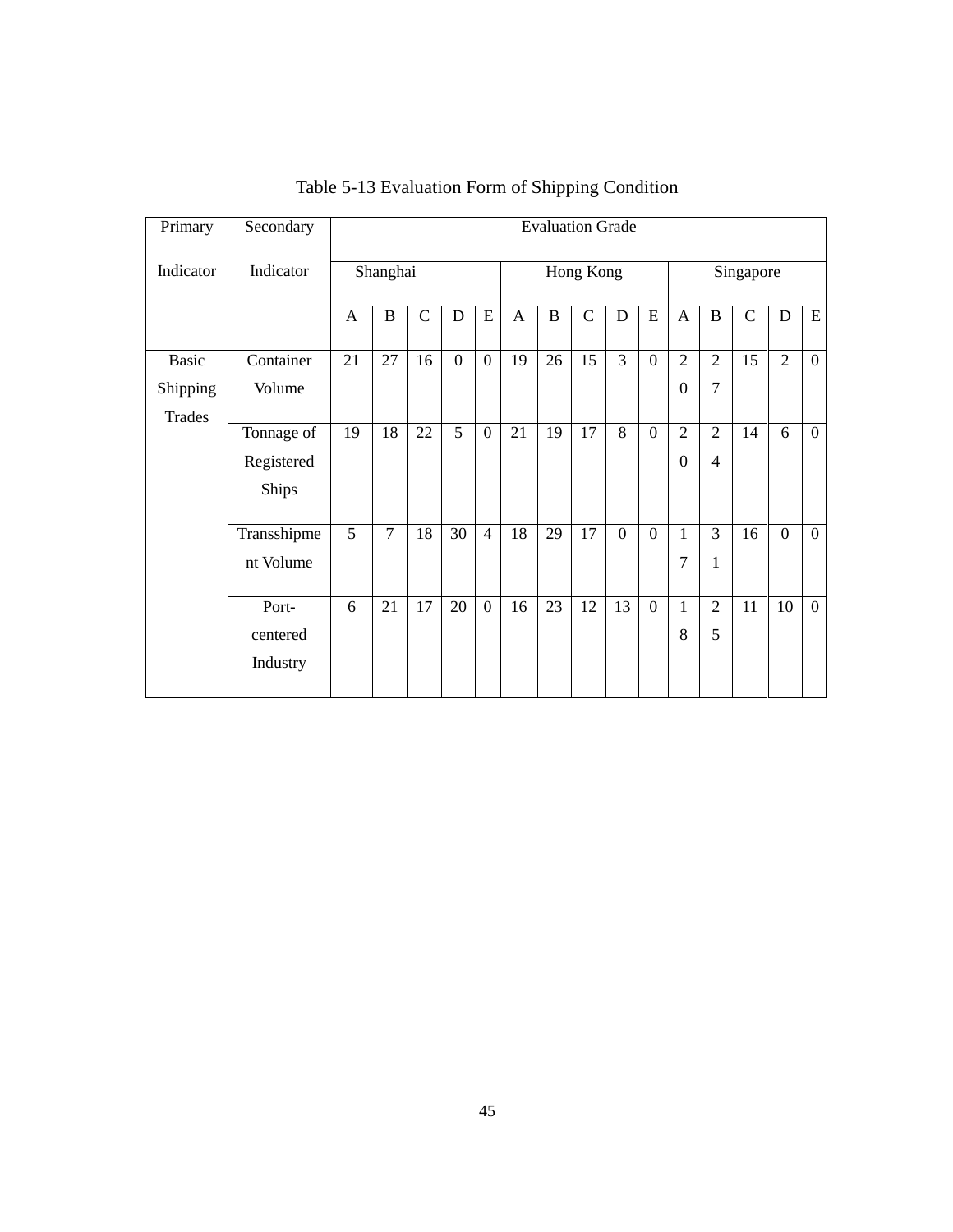| Primary       | Secondary    |    |                |               |                  |                |    |             | <b>Evaluation Grade</b> |                  |                |                |                |               |                  |                |  |  |  |
|---------------|--------------|----|----------------|---------------|------------------|----------------|----|-------------|-------------------------|------------------|----------------|----------------|----------------|---------------|------------------|----------------|--|--|--|
| Indicator     | Indicator    |    | Shanghai       |               |                  |                |    | Hong Kong   |                         |                  |                |                |                | Singapore     |                  |                |  |  |  |
|               |              | A  | $\, {\bf B}$   | $\mathcal{C}$ | D                | E              | A  | $\mathbf B$ | $\mathcal{C}$           | ${\bf D}$        | E              | A              | $\, {\bf B}$   | $\mathcal{C}$ | D                | ${\bf E}$      |  |  |  |
| <b>Basic</b>  | Container    | 21 | 27             | 16            | $\boldsymbol{0}$ | $\overline{0}$ | 19 | 26          | 15                      | 3                | $\overline{0}$ | 2              | 2              | 15            | $\overline{2}$   | $\overline{0}$ |  |  |  |
| Shipping      | Volume       |    |                |               |                  |                |    |             |                         |                  |                | $\Omega$       | $\overline{7}$ |               |                  |                |  |  |  |
| <b>Trades</b> |              |    |                |               |                  |                |    |             |                         |                  |                |                |                |               |                  |                |  |  |  |
|               | Tonnage of   | 19 | 18             | 22            | 5                | $\overline{0}$ | 21 | 19          | 17                      | 8                | $\overline{0}$ | $\overline{2}$ | $\overline{2}$ | 14            | 6                | $\overline{0}$ |  |  |  |
|               | Registered   |    |                |               |                  |                |    |             |                         |                  |                | $\Omega$       | $\overline{4}$ |               |                  |                |  |  |  |
|               | <b>Ships</b> |    |                |               |                  |                |    |             |                         |                  |                |                |                |               |                  |                |  |  |  |
|               | Transshipme  | 5  | $\overline{7}$ | 18            | 30               | $\overline{4}$ | 18 | 29          | 17                      | $\boldsymbol{0}$ | $\overline{0}$ | 1              | $\overline{3}$ | 16            | $\boldsymbol{0}$ | $\overline{0}$ |  |  |  |
|               | nt Volume    |    |                |               |                  |                |    |             |                         |                  |                | 7              | 1              |               |                  |                |  |  |  |
|               |              |    |                |               |                  |                |    |             |                         |                  |                |                |                |               |                  |                |  |  |  |
|               | Port-        | 6  | 21             | 17            | 20               | $\overline{0}$ | 16 | 23          | 12                      | 13               | $\mathbf{0}$   | 1              | 2              | 11            | 10               | $\mathbf{0}$   |  |  |  |
|               | centered     |    |                |               |                  |                |    |             |                         |                  |                | 8              | 5              |               |                  |                |  |  |  |
|               | Industry     |    |                |               |                  |                |    |             |                         |                  |                |                |                |               |                  |                |  |  |  |

Table 5-13 Evaluation Form of Shipping Condition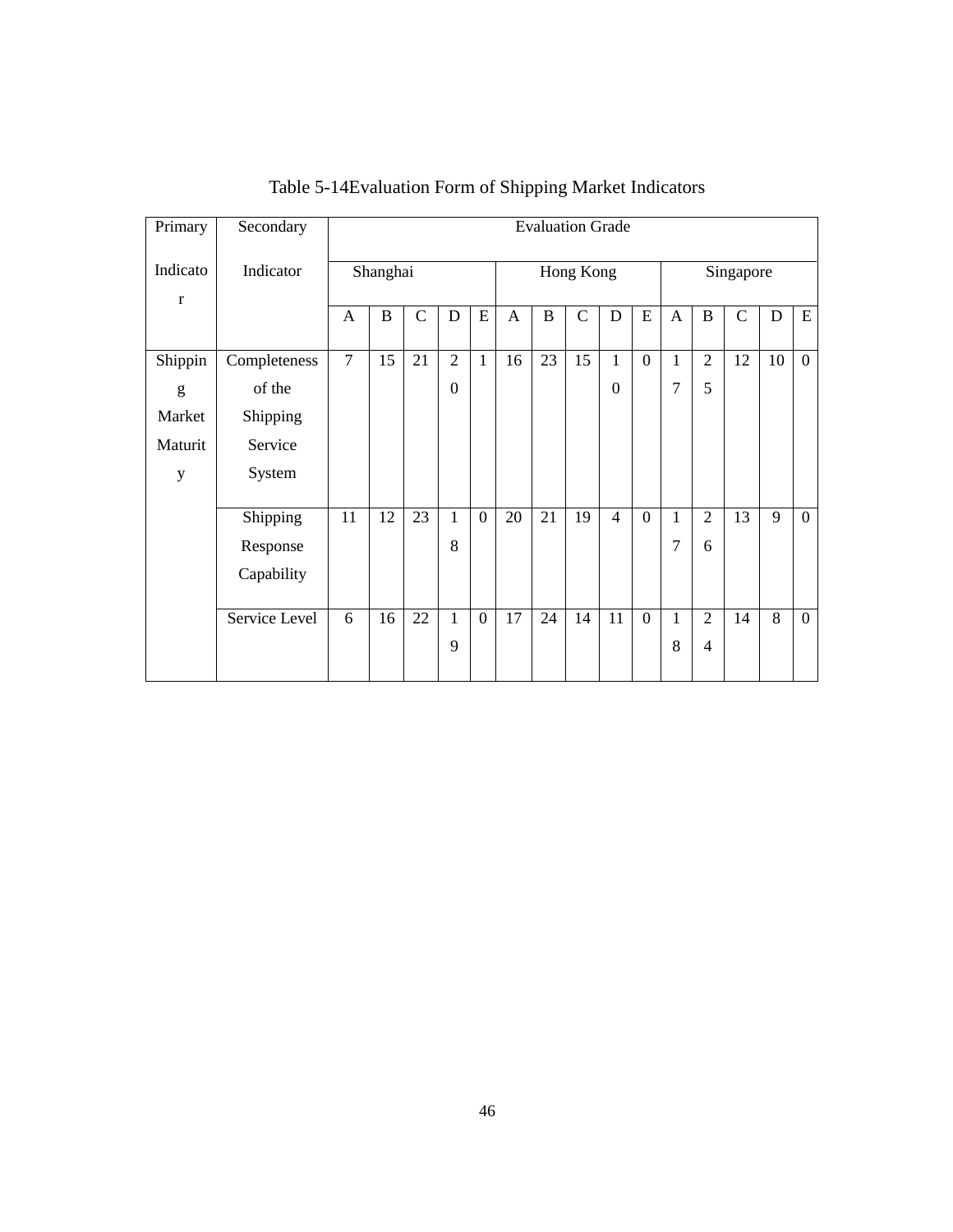| Primary                 | Secondary     |                |          |             |                |                |           |              | <b>Evaluation Grade</b> |                |                |                |                |             |    |                |  |  |
|-------------------------|---------------|----------------|----------|-------------|----------------|----------------|-----------|--------------|-------------------------|----------------|----------------|----------------|----------------|-------------|----|----------------|--|--|
| Indicato<br>$\mathbf r$ | Indicator     | Shanghai       |          |             |                |                | Hong Kong |              |                         |                |                |                | Singapore      |             |    |                |  |  |
|                         |               | A              | $\bf{B}$ | $\mathbf C$ | $\mathbf D$    | E              | A         | $\mathbf{B}$ | $\mathbf C$             | $\mathbf D$    | E              | A              | $\bf{B}$       | $\mathbf C$ | D  | E              |  |  |
| Shippin                 | Completeness  | $\overline{7}$ | 15       | 21          | $\overline{2}$ | $\mathbf{1}$   | 16        | 23           | 15                      | $\mathbf{1}$   | $\overline{0}$ | 1              | $\overline{2}$ | 12          | 10 | $\overline{0}$ |  |  |
| g                       | of the        |                |          |             | $\overline{0}$ |                |           |              |                         | $\mathbf{0}$   |                | $\overline{7}$ | 5              |             |    |                |  |  |
| Market                  | Shipping      |                |          |             |                |                |           |              |                         |                |                |                |                |             |    |                |  |  |
| Maturit                 | Service       |                |          |             |                |                |           |              |                         |                |                |                |                |             |    |                |  |  |
| $\mathbf y$             | System        |                |          |             |                |                |           |              |                         |                |                |                |                |             |    |                |  |  |
|                         | Shipping      | 11             | 12       | 23          | $\mathbf{1}$   | $\mathbf{0}$   | 20        | 21           | 19                      | $\overline{4}$ | $\mathbf{0}$   | 1              | $\overline{2}$ | 13          | 9  | $\overline{0}$ |  |  |
|                         | Response      |                |          |             | 8              |                |           |              |                         |                |                | 7              | 6              |             |    |                |  |  |
|                         | Capability    |                |          |             |                |                |           |              |                         |                |                |                |                |             |    |                |  |  |
|                         | Service Level | 6              | 16       | 22          | $\mathbf{1}$   | $\overline{0}$ | 17        | 24           | 14                      | 11             | $\overline{0}$ | $\mathbf{1}$   | $\overline{2}$ | 14          | 8  | $\overline{0}$ |  |  |
|                         |               |                |          |             | 9              |                |           |              |                         |                |                | 8              | $\overline{4}$ |             |    |                |  |  |

Table 5-14Evaluation Form of Shipping Market Indicators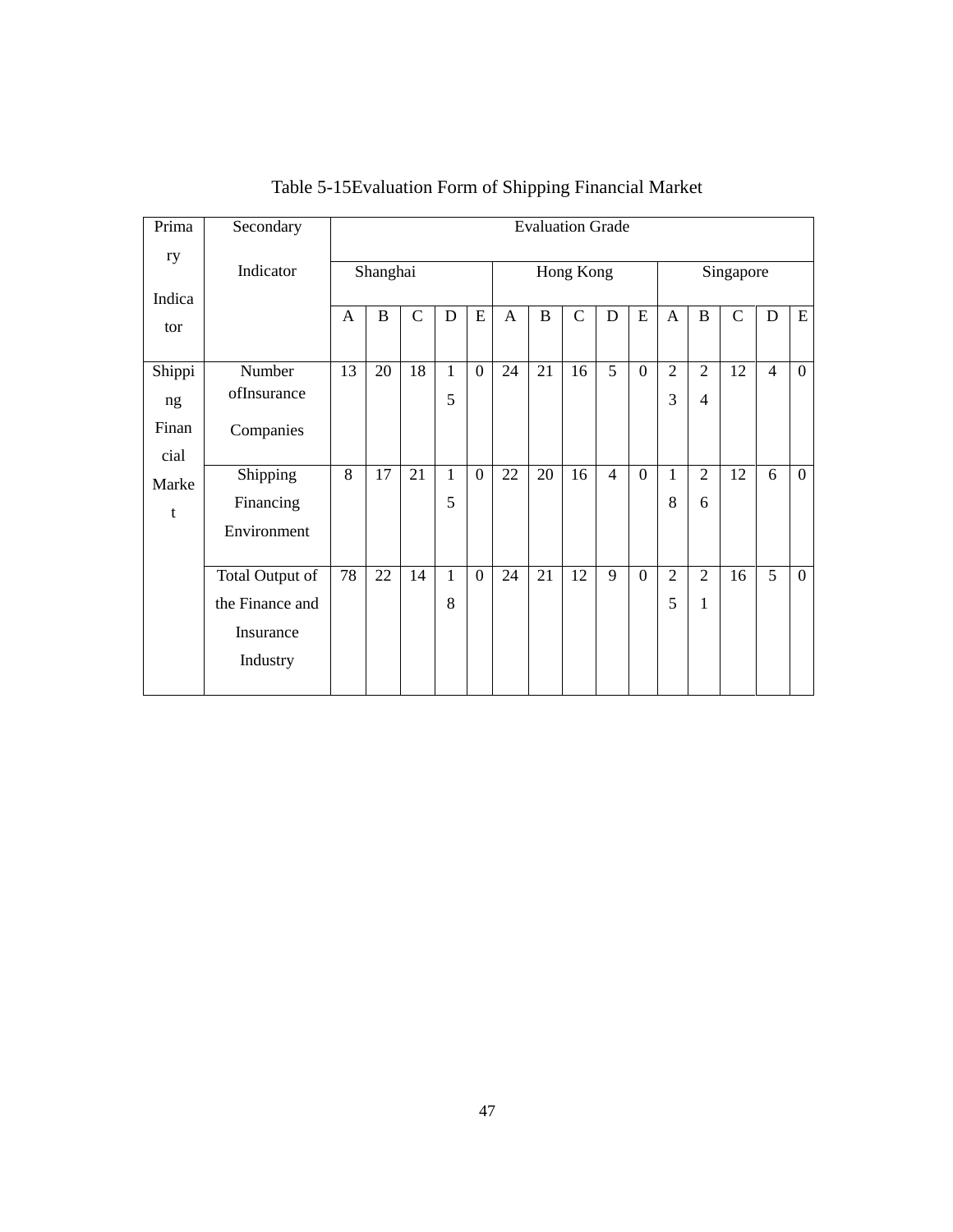|    | <b>Evaluation Grade</b>                                                                                                                                          |         |                    |                                  |                     |         |         |                   |                                  |                   |                |                     |                    |                |  |
|----|------------------------------------------------------------------------------------------------------------------------------------------------------------------|---------|--------------------|----------------------------------|---------------------|---------|---------|-------------------|----------------------------------|-------------------|----------------|---------------------|--------------------|----------------|--|
|    | Shanghai                                                                                                                                                         |         |                    |                                  |                     |         |         |                   |                                  | Singapore         |                |                     |                    |                |  |
|    |                                                                                                                                                                  |         |                    |                                  |                     |         |         |                   |                                  |                   |                |                     |                    |                |  |
|    |                                                                                                                                                                  |         |                    |                                  |                     |         |         |                   |                                  |                   |                |                     |                    | E              |  |
| 13 | 20                                                                                                                                                               | 18      | $\mathbf{1}$       | $\overline{0}$                   | 24                  | 21      | 16      | 5                 | $\mathbf{0}$                     | $\overline{2}$    | $\overline{2}$ | 12                  | $\overline{4}$     | $\overline{0}$ |  |
|    |                                                                                                                                                                  |         | 5                  |                                  |                     |         |         |                   |                                  | 3                 | $\overline{4}$ |                     |                    |                |  |
|    |                                                                                                                                                                  |         |                    |                                  |                     |         |         |                   |                                  |                   |                |                     |                    |                |  |
|    |                                                                                                                                                                  |         |                    |                                  |                     |         |         |                   |                                  |                   |                |                     |                    |                |  |
|    |                                                                                                                                                                  |         |                    |                                  |                     |         |         |                   |                                  |                   |                |                     |                    | $\mathbf{0}$   |  |
|    |                                                                                                                                                                  |         |                    |                                  |                     |         |         |                   |                                  |                   | 6              |                     |                    |                |  |
|    |                                                                                                                                                                  |         |                    |                                  |                     |         |         |                   |                                  |                   |                |                     |                    |                |  |
| 78 | 22                                                                                                                                                               | 14      | $\mathbf{1}$       | $\overline{0}$                   | 24                  | 21      | 12      | 9                 | $\mathbf{0}$                     | $\overline{2}$    | $\overline{2}$ | 16                  | 5                  | $\mathbf{0}$   |  |
|    |                                                                                                                                                                  |         | 8                  |                                  |                     |         |         |                   |                                  | 5                 | 1              |                     |                    |                |  |
|    |                                                                                                                                                                  |         |                    |                                  |                     |         |         |                   |                                  |                   |                |                     |                    |                |  |
|    |                                                                                                                                                                  |         |                    |                                  |                     |         |         |                   |                                  |                   |                |                     |                    |                |  |
|    | Indicator<br>A<br>Number<br>ofInsurance<br>Companies<br>8<br>Shipping<br>Financing<br>Environment<br>Total Output of<br>the Finance and<br>Insurance<br>Industry | B<br>17 | $\mathsf{C}$<br>21 | $\mathbf D$<br>$\mathbf{1}$<br>5 | E<br>$\overline{0}$ | A<br>22 | B<br>20 | $\mathbf C$<br>16 | Hong Kong<br>D<br>$\overline{4}$ | E<br>$\mathbf{0}$ | A<br>1<br>8    | B<br>$\overline{2}$ | $\mathsf{C}$<br>12 | D<br>6         |  |

Table 5-15Evaluation Form of Shipping Financial Market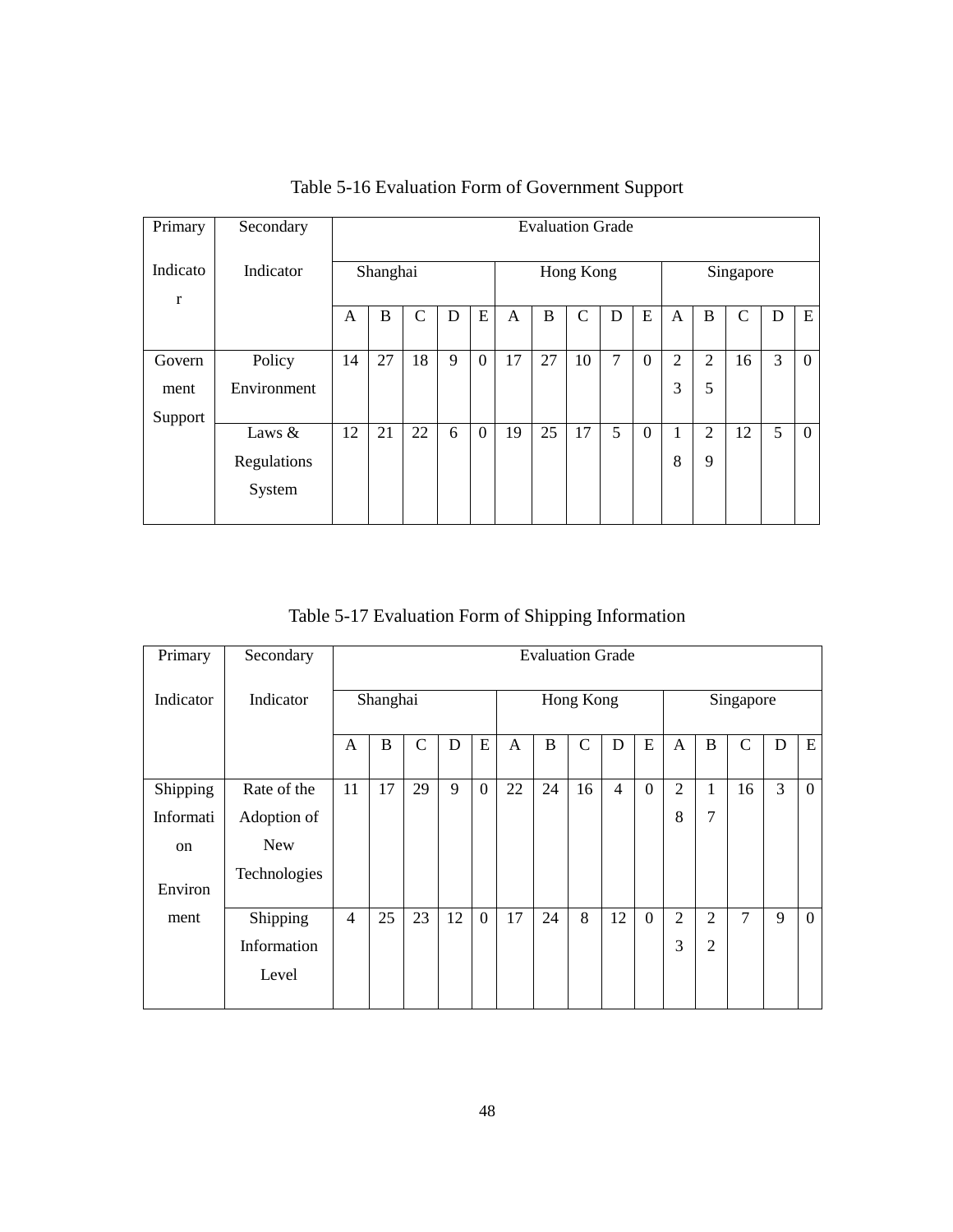| Primary                  | Secondary   |    | <b>Evaluation Grade</b> |              |   |                |           |    |              |   |          |                |                |              |   |          |  |  |
|--------------------------|-------------|----|-------------------------|--------------|---|----------------|-----------|----|--------------|---|----------|----------------|----------------|--------------|---|----------|--|--|
| Indicato<br>$\mathbf{r}$ | Indicator   |    | Shanghai                |              |   |                | Hong Kong |    |              |   |          |                | Singapore      |              |   |          |  |  |
|                          |             | A  | B                       | $\mathsf{C}$ | D | E              | A         | B  | $\mathsf{C}$ | D | E        | A              | B              | $\mathsf{C}$ | D | E        |  |  |
| Govern                   | Policy      | 14 | 27                      | 18           | 9 | $\overline{0}$ | 17        | 27 | 10           | 7 | $\Omega$ | $\overline{2}$ | $\overline{2}$ | 16           | 3 | $\Omega$ |  |  |
| ment                     | Environment |    |                         |              |   |                |           |    |              |   |          | 3              | 5              |              |   |          |  |  |
| Support                  | Laws $&$    | 12 | 21                      | 22           | 6 | $\overline{0}$ | 19        | 25 | 17           | 5 | $\Omega$ |                | $\overline{2}$ | 12           | 5 | $\Omega$ |  |  |
|                          | Regulations |    |                         |              |   |                |           |    |              |   |          | 8              | 9              |              |   |          |  |  |
|                          | System      |    |                         |              |   |                |           |    |              |   |          |                |                |              |   |          |  |  |

Table 5-16 Evaluation Form of Government Support

Table 5-17 Evaluation Form of Shipping Information

| Primary       | Secondary    |                | <b>Evaluation Grade</b> |               |    |              |    |           |               |                |          |                |                |               |   |          |
|---------------|--------------|----------------|-------------------------|---------------|----|--------------|----|-----------|---------------|----------------|----------|----------------|----------------|---------------|---|----------|
| Indicator     | Indicator    | Shanghai       |                         |               |    |              |    | Singapore |               |                |          |                |                |               |   |          |
|               |              | $\mathsf{A}$   | B                       | $\mathcal{C}$ | D  | E            | A  | B         | $\mathcal{C}$ | D              | E        | A              | B              | $\mathcal{C}$ | D | E        |
| Shipping      | Rate of the  | 11             | 17                      | 29            | 9  | $\mathbf{0}$ | 22 | 24        | 16            | $\overline{4}$ | $\theta$ | $\overline{2}$ | 1              | 16            | 3 | $\theta$ |
| Informati     | Adoption of  |                |                         |               |    |              |    |           |               |                |          | 8              | $\overline{7}$ |               |   |          |
| <sub>on</sub> | <b>New</b>   |                |                         |               |    |              |    |           |               |                |          |                |                |               |   |          |
| Environ       | Technologies |                |                         |               |    |              |    |           |               |                |          |                |                |               |   |          |
| ment          | Shipping     | $\overline{4}$ | 25                      | 23            | 12 | $\mathbf{0}$ | 17 | 24        | 8             | 12             | $\theta$ | $\overline{2}$ | 2              | 7             | 9 | $\theta$ |
|               | Information  |                |                         |               |    |              |    |           |               |                |          | 3              | $\overline{2}$ |               |   |          |
|               | Level        |                |                         |               |    |              |    |           |               |                |          |                |                |               |   |          |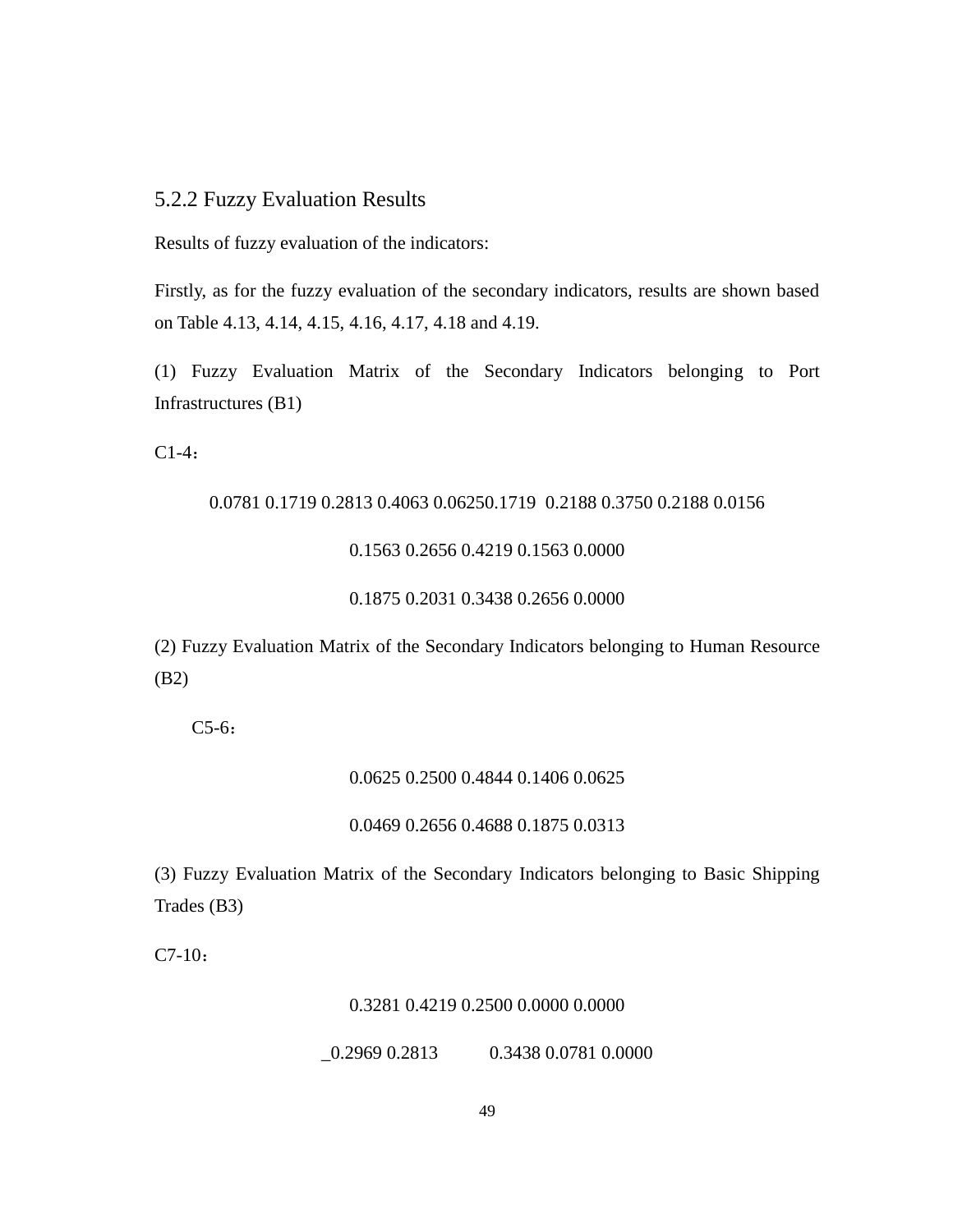# 5.2.2 Fuzzy Evaluation Results

Results of fuzzy evaluation of the indicators:

Firstly, as for the fuzzy evaluation of the secondary indicators, results are shown based on Table 4.13, 4.14, 4.15, 4.16, 4.17, 4.18 and 4.19.

(1) Fuzzy Evaluation Matrix of the Secondary Indicators belonging to Port Infrastructures (B1)

C1-4:

### 0.0781 0.1719 0.2813 0.4063 0.06250.1719 0.2188 0.3750 0.2188 0.0156

### 0.1563 0.2656 0.4219 0.1563 0.0000

### 0.1875 0.2031 0.3438 0.2656 0.0000

(2) Fuzzy Evaluation Matrix of the Secondary Indicators belonging to Human Resource (B2)

C5-6:

## 0.0625 0.2500 0.4844 0.1406 0.0625

### 0.0469 0.2656 0.4688 0.1875 0.0313

(3) Fuzzy Evaluation Matrix of the Secondary Indicators belonging to Basic Shipping Trades (B3)

C7-10:

### 0.3281 0.4219 0.2500 0.0000 0.0000

 $-0.2969$  0.2813 0.3438 0.0781 0.0000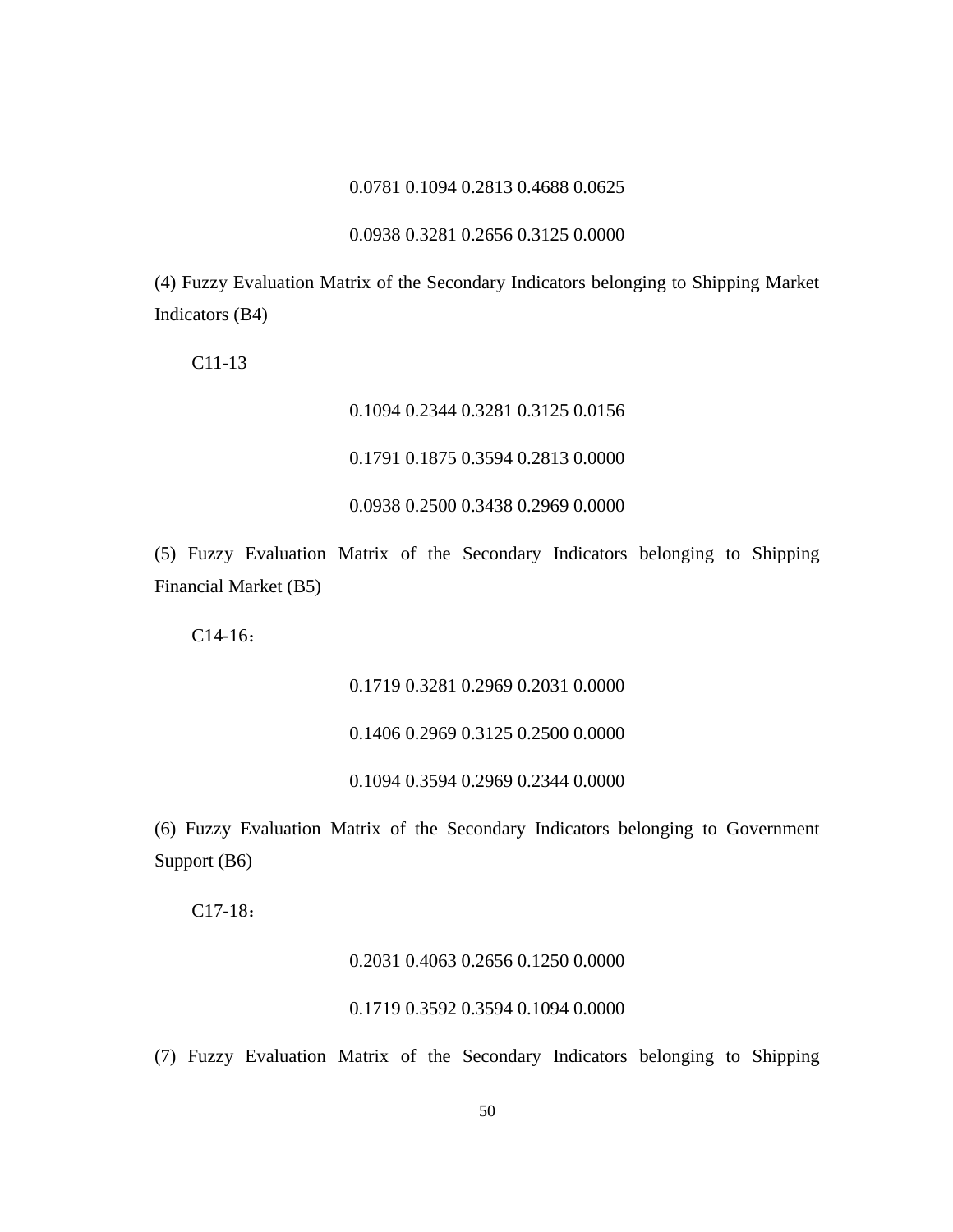### 0.0781 0.1094 0.2813 0.4688 0.0625

### 0.0938 0.3281 0.2656 0.3125 0.0000

(4) Fuzzy Evaluation Matrix of the Secondary Indicators belonging to Shipping Market Indicators (B4)

C11-13

# 0.1094 0.2344 0.3281 0.3125 0.0156 0.1791 0.1875 0.3594 0.2813 0.0000 0.0938 0.2500 0.3438 0.2969 0.0000

(5) Fuzzy Evaluation Matrix of the Secondary Indicators belonging to Shipping Financial Market (B5)

C14-16:

0.1719 0.3281 0.2969 0.2031 0.0000

0.1406 0.2969 0.3125 0.2500 0.0000

0.1094 0.3594 0.2969 0.2344 0.0000

(6) Fuzzy Evaluation Matrix of the Secondary Indicators belonging to Government Support (B6)

C17-18:

### 0.2031 0.4063 0.2656 0.1250 0.0000

### 0.1719 0.3592 0.3594 0.1094 0.0000

(7) Fuzzy Evaluation Matrix of the Secondary Indicators belonging to Shipping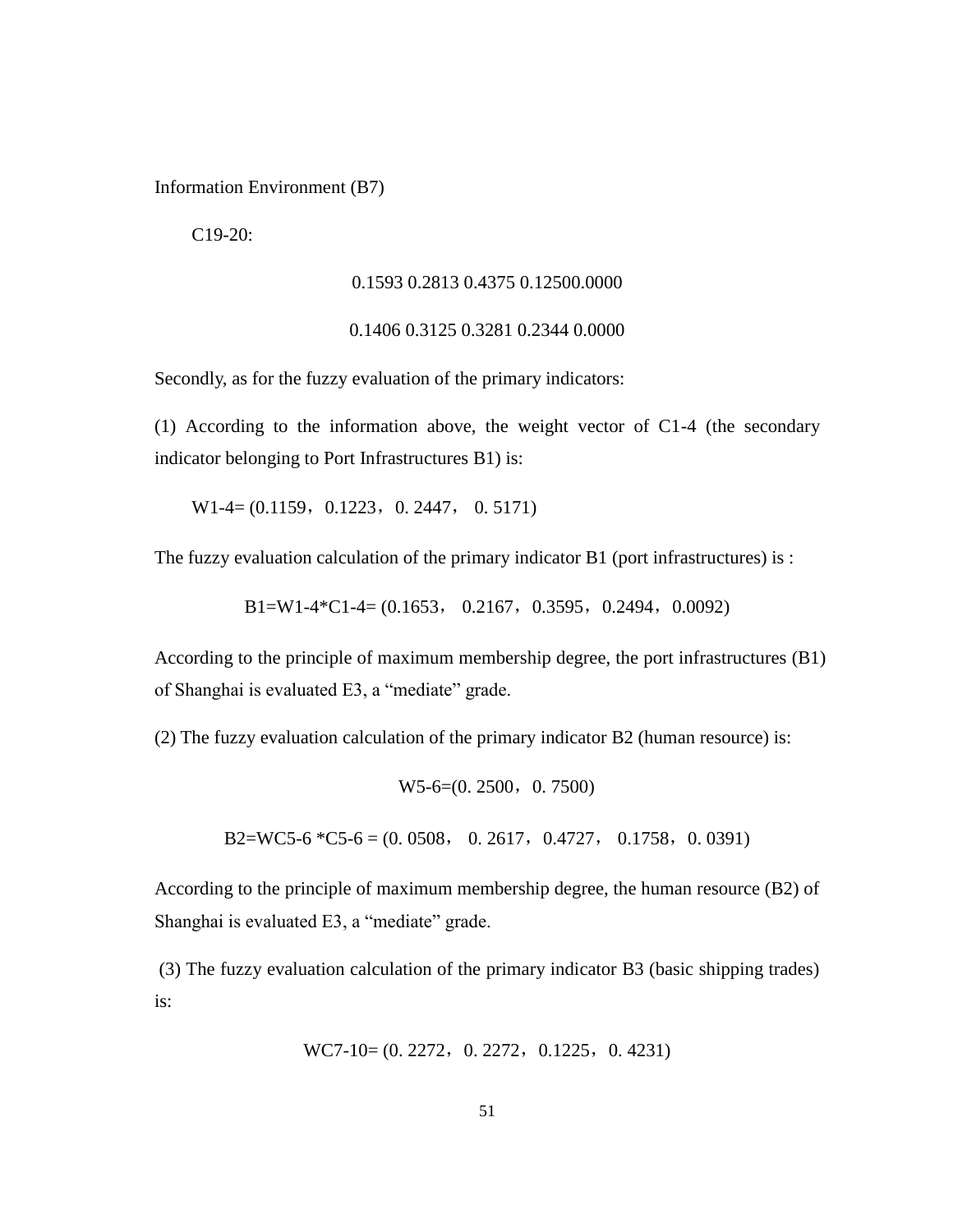Information Environment (B7)

C19-20:

### 0.1593 0.2813 0.4375 0.12500.0000

### 0.1406 0.3125 0.3281 0.2344 0.0000

Secondly, as for the fuzzy evaluation of the primary indicators:

(1) According to the information above, the weight vector of C1-4 (the secondary indicator belonging to Port Infrastructures B1) is:

 $W1-4=(0.1159, 0.1223, 0.2447, 0.5171)$ 

The fuzzy evaluation calculation of the primary indicator B1 (port infrastructures) is :

 $B1=W1-4*C1-4=(0.1653, 0.2167, 0.3595, 0.2494, 0.0092)$ 

According to the principle of maximum membership degree, the port infrastructures (B1) of Shanghai is evaluated E3, a "mediate" grade.

(2) The fuzzy evaluation calculation of the primary indicator B2 (human resource) is:

 $W5-6=(0.2500, 0.7500)$ 

B2=WC5-6  $^*$ C5-6 = (0.0508, 0.2617, 0.4727, 0.1758, 0.0391)

According to the principle of maximum membership degree, the human resource (B2) of Shanghai is evaluated E3, a "mediate" grade.

(3) The fuzzy evaluation calculation of the primary indicator B3 (basic shipping trades) is:

WC7-10= 
$$
(0, 2272, 0, 2272, 0.1225, 0, 4231)
$$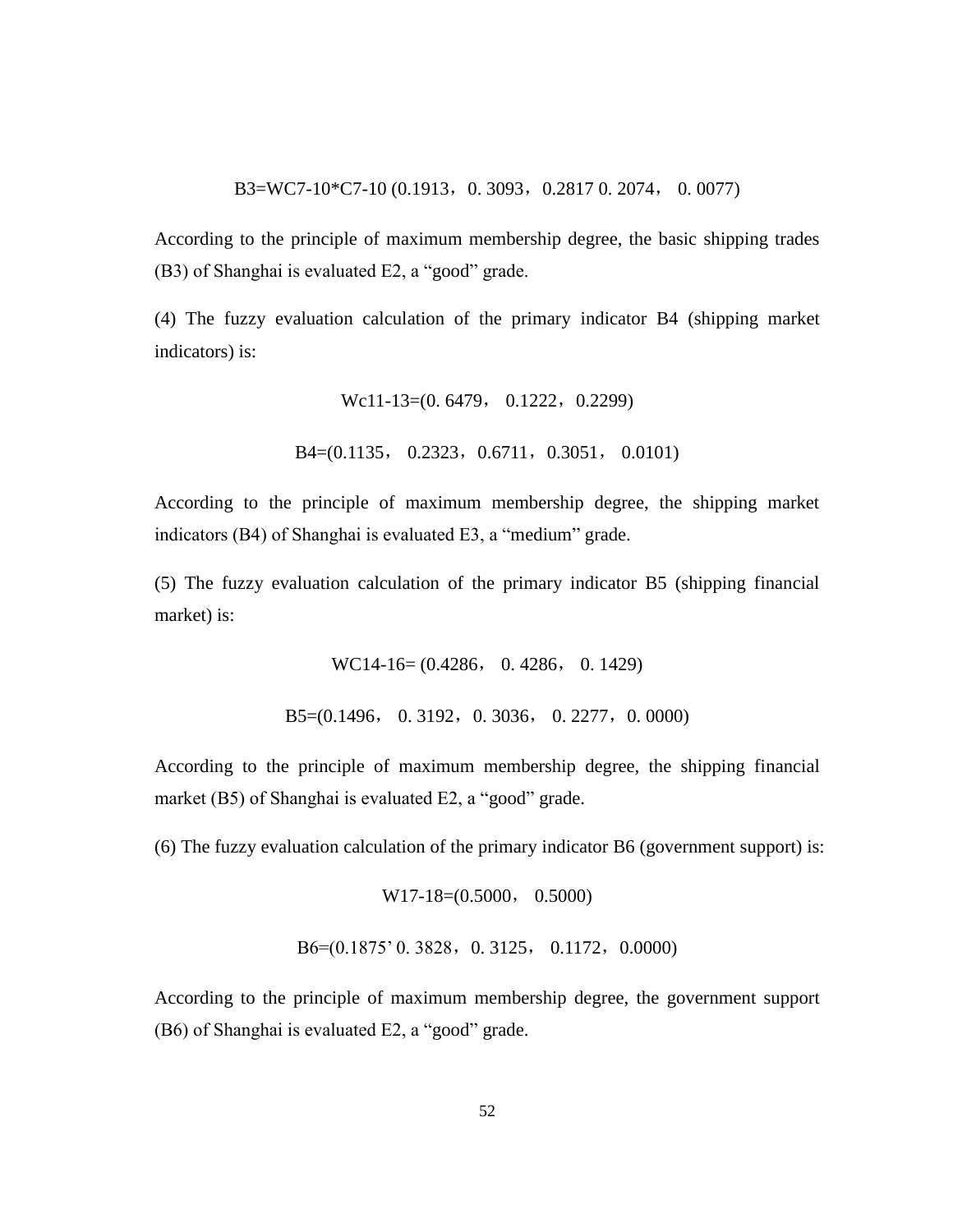According to the principle of maximum membership degree, the basic shipping trades (B3) of Shanghai is evaluated E2, a "good" grade.

(4) The fuzzy evaluation calculation of the primary indicator B4 (shipping market indicators) is:

> Wc11-13=(0.6479, 0.1222, 0.2299) B4=(0.1135, 0.2323, 0.6711, 0.3051, 0.0101)

According to the principle of maximum membership degree, the shipping market indicators (B4) of Shanghai is evaluated E3, a "medium" grade.

(5) The fuzzy evaluation calculation of the primary indicator B5 (shipping financial market) is:

> WC14-16= (0.4286, 0. 4286, 0. 1429) B5=(0.1496, 0.3192, 0.3036, 0.2277, 0.0000)

According to the principle of maximum membership degree, the shipping financial market (B5) of Shanghai is evaluated E2, a "good" grade.

(6) The fuzzy evaluation calculation of the primary indicator B6 (government support) is:

W17-18=(0.5000, 0.5000)

B6=(0.1875' 0.3828, 0.3125, 0.1172, 0.0000)

According to the principle of maximum membership degree, the government support (B6) of Shanghai is evaluated E2, a "good" grade.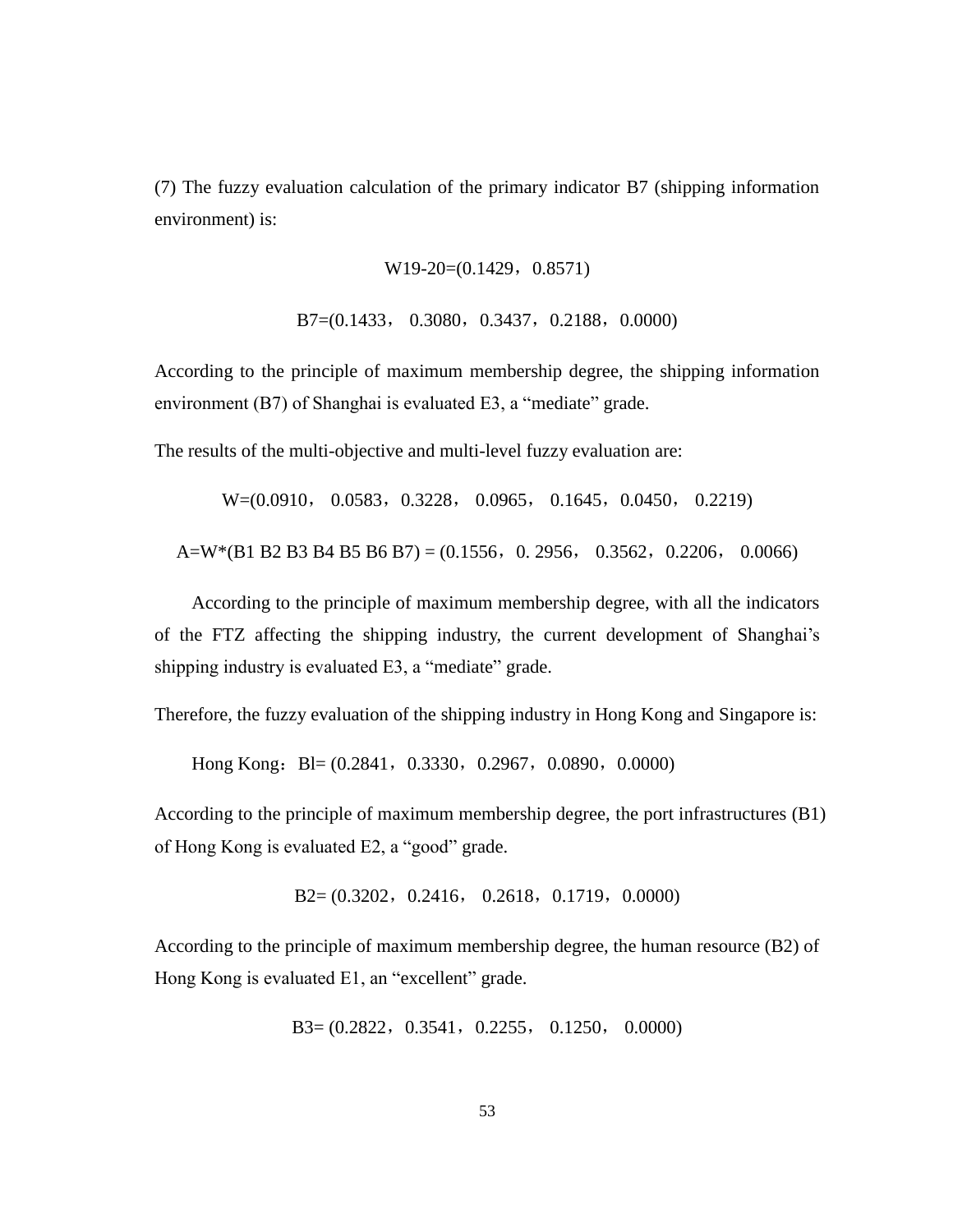(7) The fuzzy evaluation calculation of the primary indicator B7 (shipping information environment) is:

 $W19-20=(0.1429, 0.8571)$ 

B7=(0.1433, 0.3080, 0.3437, 0.2188, 0.0000)

According to the principle of maximum membership degree, the shipping information environment (B7) of Shanghai is evaluated E3, a "mediate" grade.

The results of the multi-objective and multi-level fuzzy evaluation are:

W=(0.0910, 0.0583, 0.3228, 0.0965, 0.1645, 0.0450, 0.2219)

A=W\*(B1 B2 B3 B4 B5 B6 B7) = (0.1556, 0. 2956, 0.3562, 0.2206, 0.0066)

According to the principle of maximum membership degree, with all the indicators of the FTZ affecting the shipping industry, the current development of Shanghai's shipping industry is evaluated E3, a "mediate" grade.

Therefore, the fuzzy evaluation of the shipping industry in Hong Kong and Singapore is:

Hong Kong: Bl=  $(0.2841, 0.3330, 0.2967, 0.0890, 0.0000)$ 

According to the principle of maximum membership degree, the port infrastructures (B1) of Hong Kong is evaluated E2, a "good" grade.

 $B2=(0.3202, 0.2416, 0.2618, 0.1719, 0.0000)$ 

According to the principle of maximum membership degree, the human resource (B2) of Hong Kong is evaluated E1, an "excellent" grade.

B3= (0.2822,0.3541,0.2255, 0.1250, 0.0000)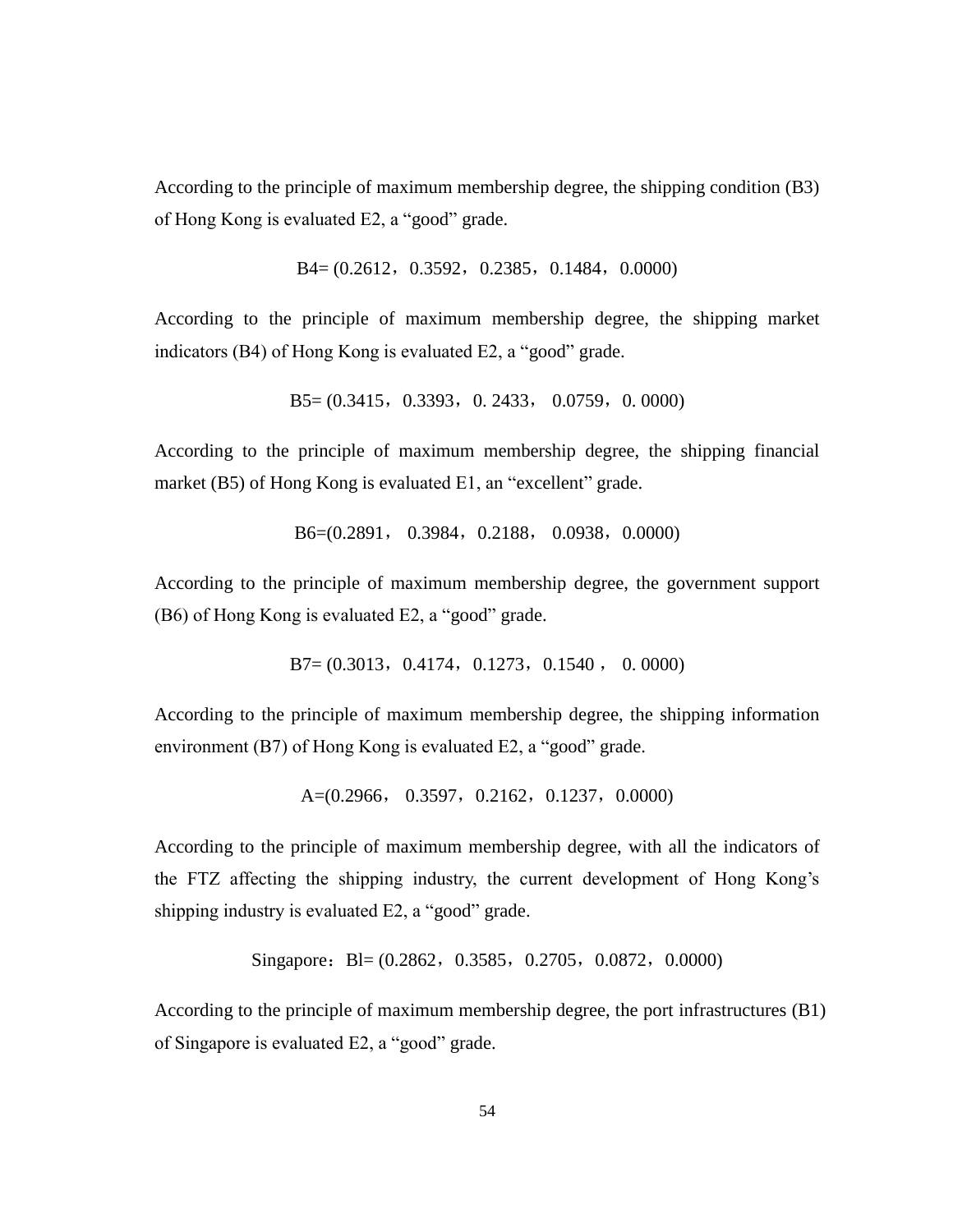According to the principle of maximum membership degree, the shipping condition (B3) of Hong Kong is evaluated E2, a "good" grade.

B4= (0.2612, 0.3592, 0.2385, 0.1484, 0.0000)

According to the principle of maximum membership degree, the shipping market indicators (B4) of Hong Kong is evaluated E2, a "good" grade.

B5= (0.3415, 0.3393, 0.2433, 0.0759, 0.0000)

According to the principle of maximum membership degree, the shipping financial market (B5) of Hong Kong is evaluated E1, an "excellent" grade.

B6=(0.2891, 0.3984, 0.2188, 0.0938, 0.0000)

According to the principle of maximum membership degree, the government support (B6) of Hong Kong is evaluated E2, a "good" grade.

 $B7=(0.3013, 0.4174, 0.1273, 0.1540, 0.0000)$ 

According to the principle of maximum membership degree, the shipping information environment (B7) of Hong Kong is evaluated E2, a "good" grade.

A= $(0.2966, 0.3597, 0.2162, 0.1237, 0.0000)$ 

According to the principle of maximum membership degree, with all the indicators of the FTZ affecting the shipping industry, the current development of Hong Kong's shipping industry is evaluated E2, a "good" grade.

Singapore: Bl=  $(0.2862, 0.3585, 0.2705, 0.0872, 0.0000)$ 

According to the principle of maximum membership degree, the port infrastructures (B1) of Singapore is evaluated E2, a "good" grade.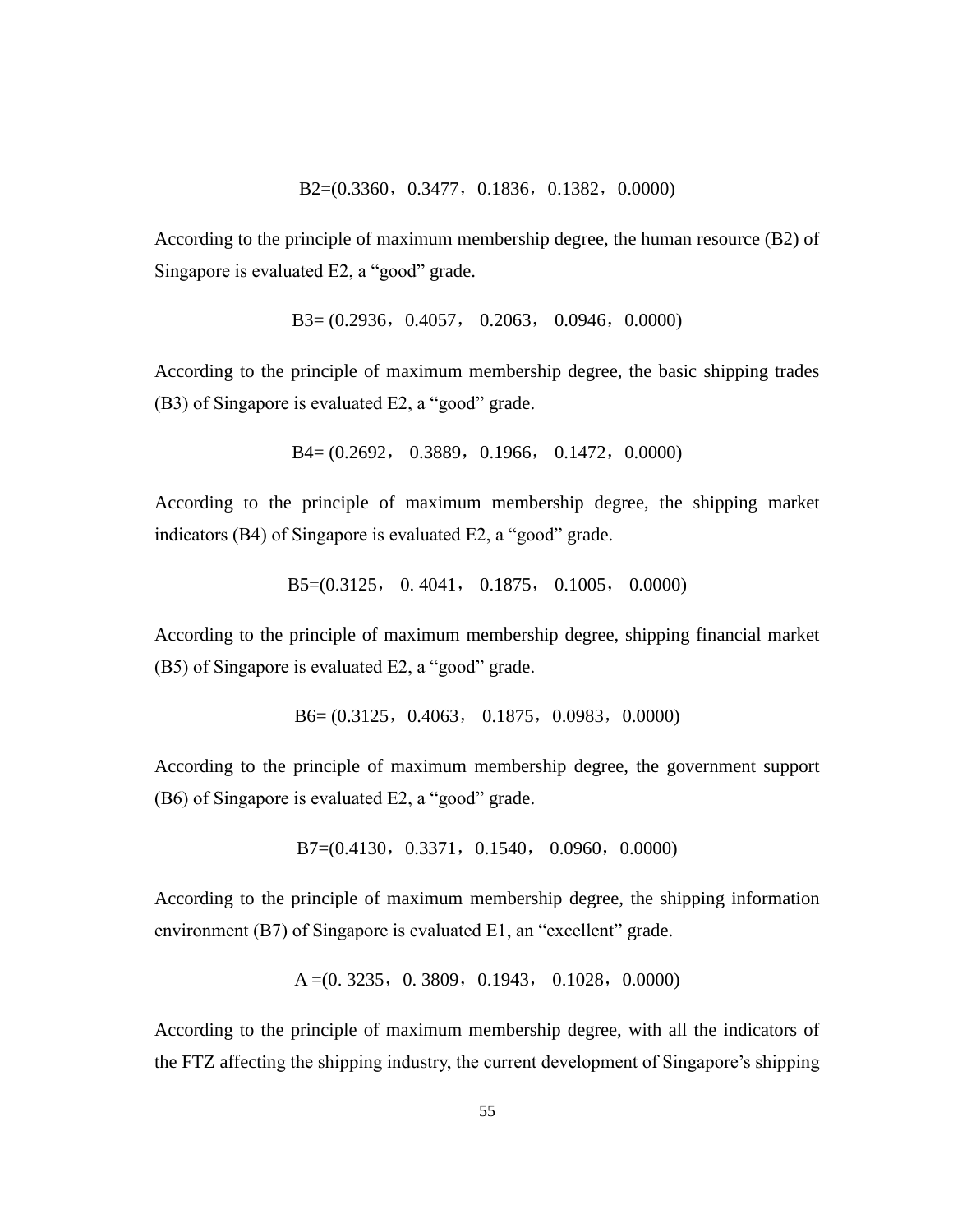According to the principle of maximum membership degree, the human resource (B2) of Singapore is evaluated E2, a "good" grade.

 $B3=(0.2936, 0.4057, 0.2063, 0.0946, 0.0000)$ 

According to the principle of maximum membership degree, the basic shipping trades (B3) of Singapore is evaluated E2, a "good" grade.

 $B4=(0.2692, 0.3889, 0.1966, 0.1472, 0.0000)$ 

According to the principle of maximum membership degree, the shipping market indicators (B4) of Singapore is evaluated E2, a "good" grade.

B5=(0.3125, 0. 4041, 0.1875, 0.1005, 0.0000)

According to the principle of maximum membership degree, shipping financial market (B5) of Singapore is evaluated E2, a "good" grade.

B6= (0.3125, 0.4063, 0.1875, 0.0983, 0.0000)

According to the principle of maximum membership degree, the government support (B6) of Singapore is evaluated E2, a "good" grade.

B7=(0.4130, 0.3371, 0.1540, 0.0960, 0.0000)

According to the principle of maximum membership degree, the shipping information environment (B7) of Singapore is evaluated E1, an "excellent" grade.

 $A = (0.3235, 0.3809, 0.1943, 0.1028, 0.0000)$ 

According to the principle of maximum membership degree, with all the indicators of the FTZ affecting the shipping industry, the current development of Singapore's shipping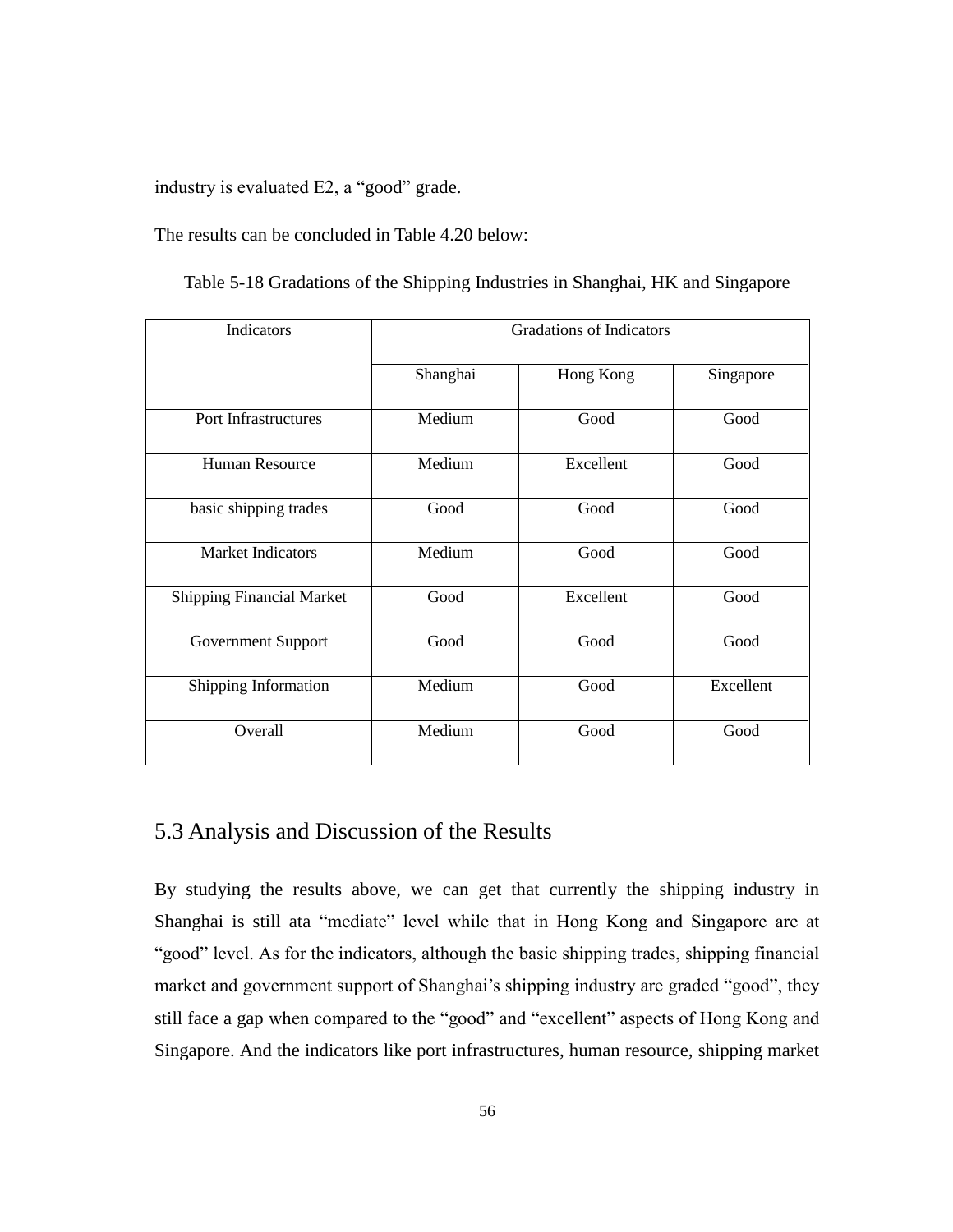industry is evaluated E2, a "good" grade.

The results can be concluded in Table 4.20 below:

| Indicators                       |          | <b>Gradations of Indicators</b> |           |
|----------------------------------|----------|---------------------------------|-----------|
|                                  | Shanghai | Hong Kong                       | Singapore |
| Port Infrastructures             | Medium   | Good                            | Good      |
| Human Resource                   | Medium   | Excellent                       | Good      |
| basic shipping trades            | Good     | Good                            | Good      |
| <b>Market Indicators</b>         | Medium   | Good                            | Good      |
| <b>Shipping Financial Market</b> | Good     | Excellent                       | Good      |
| Government Support               | Good     | Good                            | Good      |
| Shipping Information             | Medium   | Good                            | Excellent |
| Overall                          | Medium   | Good                            | Good      |

Table 5-18 Gradations of the Shipping Industries in Shanghai, HK and Singapore

# 5.3 Analysis and Discussion of the Results

By studying the results above, we can get that currently the shipping industry in Shanghai is still ata "mediate" level while that in Hong Kong and Singapore are at "good" level. As for the indicators, although the basic shipping trades, shipping financial market and government support of Shanghai's shipping industry are graded "good", they still face a gap when compared to the "good" and "excellent" aspects of Hong Kong and Singapore. And the indicators like port infrastructures, human resource, shipping market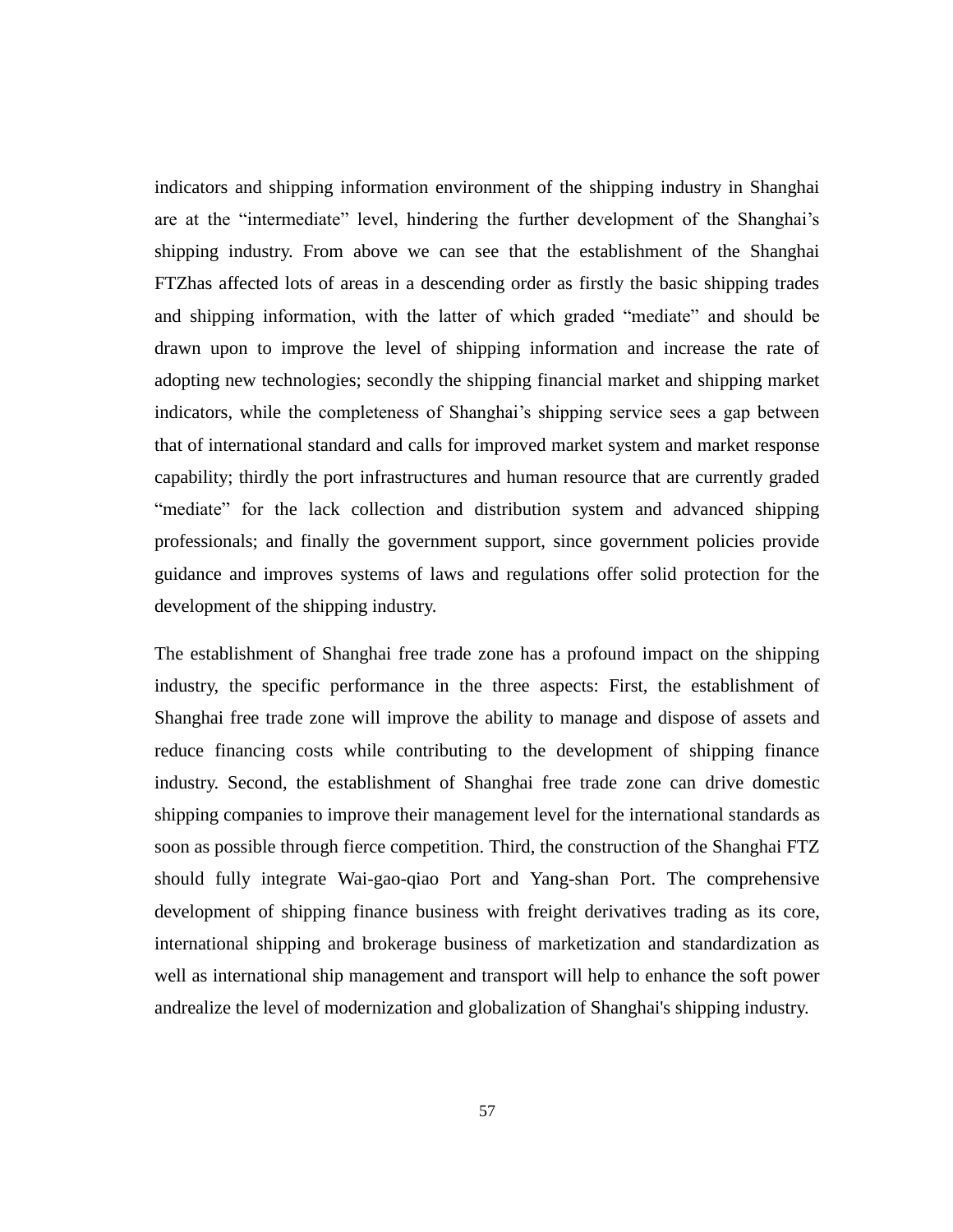indicators and shipping information environment of the shipping industry in Shanghai are at the "intermediate" level, hindering the further development of the Shanghai's shipping industry. From above we can see that the establishment of the Shanghai FTZhas affected lots of areas in a descending order as firstly the basic shipping trades and shipping information, with the latter of which graded "mediate" and should be drawn upon to improve the level of shipping information and increase the rate of adopting new technologies; secondly the shipping financial market and shipping market indicators, while the completeness of Shanghai's shipping service sees a gap between that of international standard and calls for improved market system and market response capability; thirdly the port infrastructures and human resource that are currently graded "mediate" for the lack collection and distribution system and advanced shipping professionals; and finally the government support, since government policies provide guidance and improves systems of laws and regulations offer solid protection for the development of the shipping industry.

The establishment of Shanghai free trade zone has a profound impact on the shipping industry, the specific performance in the three aspects: First, the establishment of Shanghai free trade zone will improve the ability to manage and dispose of assets and reduce financing costs while contributing to the development of shipping finance industry. Second, the establishment of Shanghai free trade zone can drive domestic shipping companies to improve their management level for the international standards as soon as possible through fierce competition. Third, the construction of the Shanghai FTZ should fully integrate Wai-gao-qiao Port and Yang-shan Port. The comprehensive development of shipping finance business with freight derivatives trading as its core, international shipping and brokerage business of marketization and standardization as well as international ship management and transport will help to enhance the soft power andrealize the level of modernization and globalization of Shanghai's shipping industry.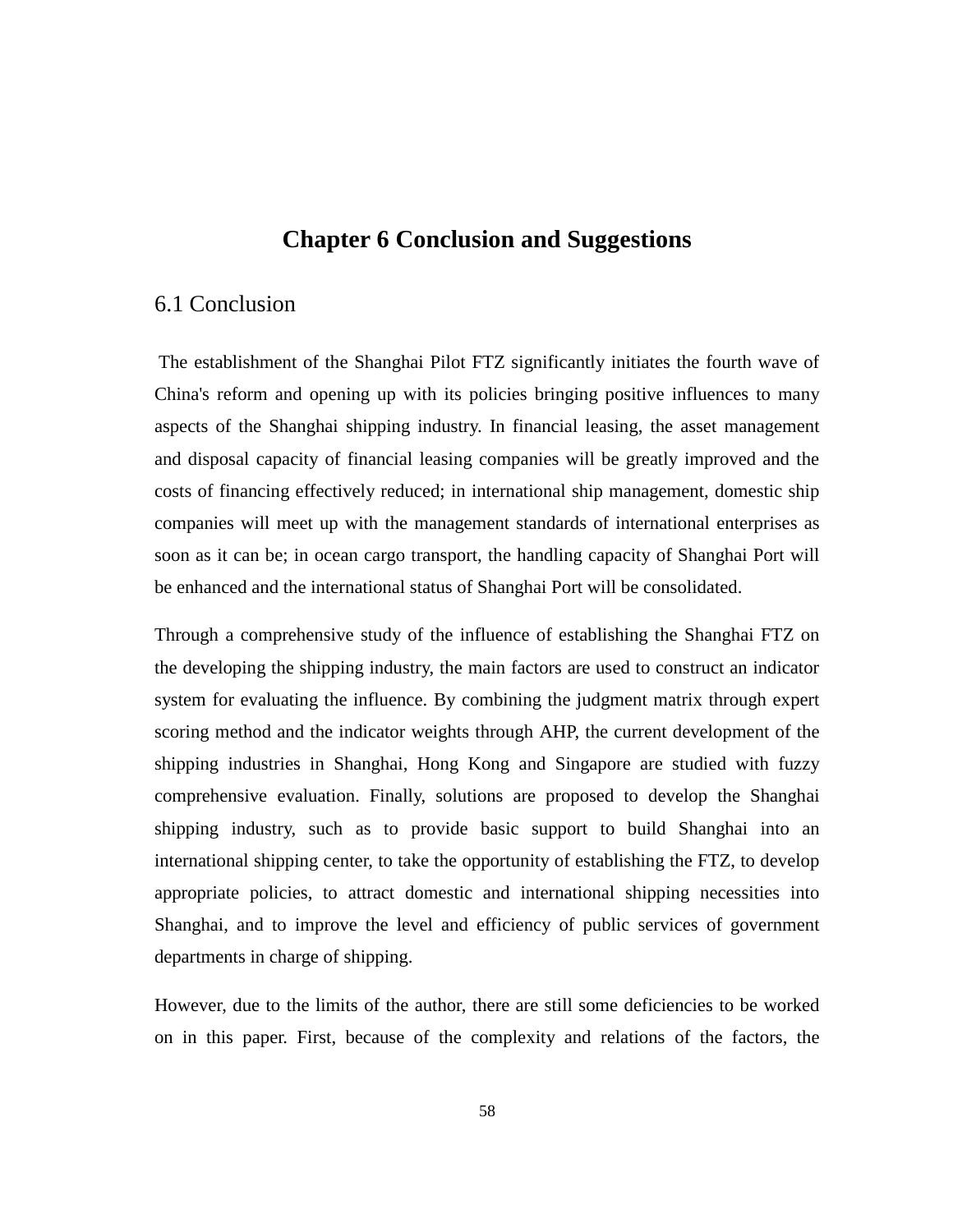# **Chapter 6 Conclusion and Suggestions**

## 6.1 Conclusion

The establishment of the Shanghai Pilot FTZ significantly initiates the fourth wave of China's reform and opening up with its policies bringing positive influences to many aspects of the Shanghai shipping industry. In financial leasing, the asset management and disposal capacity of financial leasing companies will be greatly improved and the costs of financing effectively reduced; in international ship management, domestic ship companies will meet up with the management standards of international enterprises as soon as it can be; in ocean cargo transport, the handling capacity of Shanghai Port will be enhanced and the international status of Shanghai Port will be consolidated.

Through a comprehensive study of the influence of establishing the Shanghai FTZ on the developing the shipping industry, the main factors are used to construct an indicator system for evaluating the influence. By combining the judgment matrix through expert scoring method and the indicator weights through AHP, the current development of the shipping industries in Shanghai, Hong Kong and Singapore are studied with fuzzy comprehensive evaluation. Finally, solutions are proposed to develop the Shanghai shipping industry, such as to provide basic support to build Shanghai into an international shipping center, to take the opportunity of establishing the FTZ, to develop appropriate policies, to attract domestic and international shipping necessities into Shanghai, and to improve the level and efficiency of public services of government departments in charge of shipping.

However, due to the limits of the author, there are still some deficiencies to be worked on in this paper. First, because of the complexity and relations of the factors, the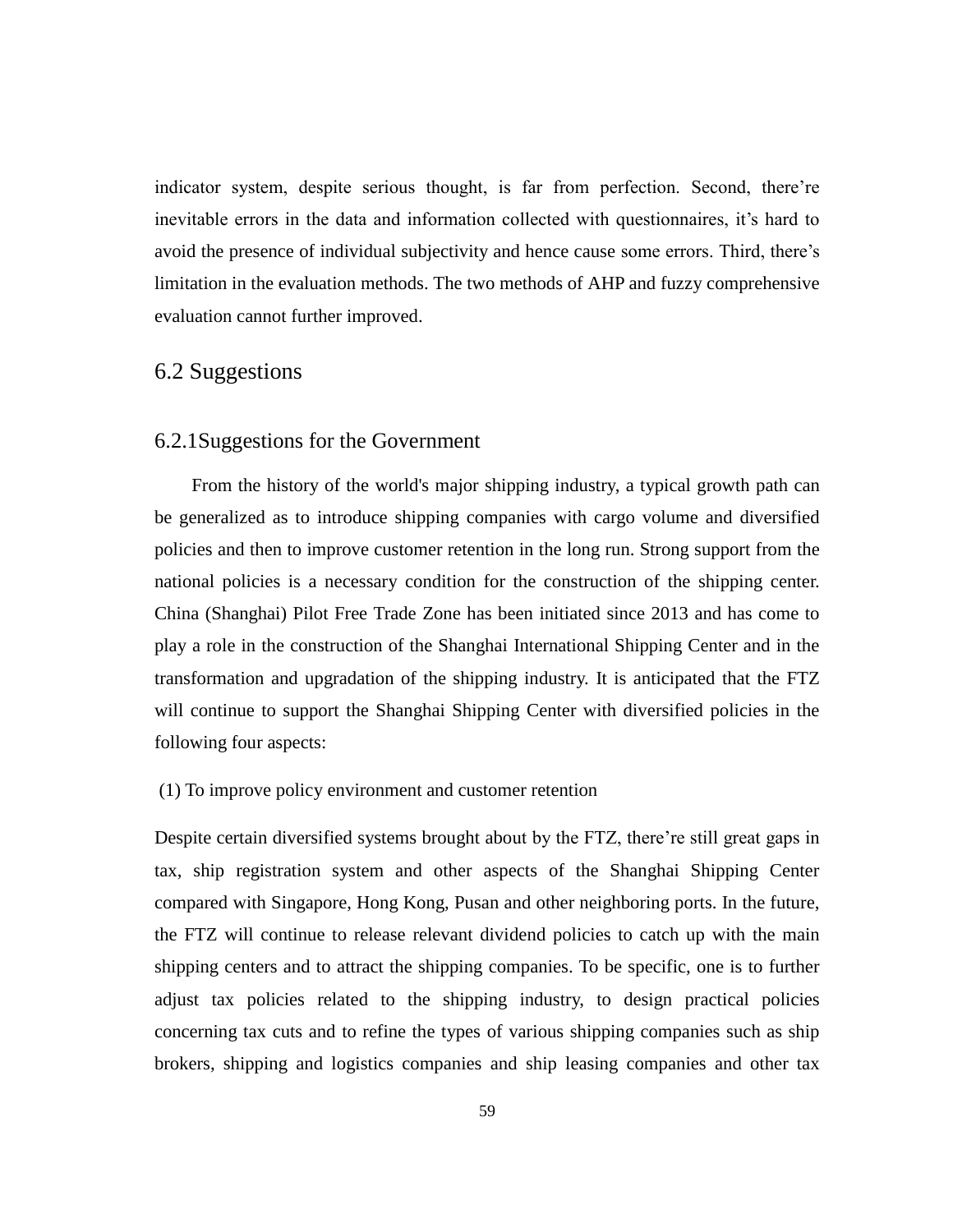indicator system, despite serious thought, is far from perfection. Second, there're inevitable errors in the data and information collected with questionnaires, it's hard to avoid the presence of individual subjectivity and hence cause some errors. Third, there's limitation in the evaluation methods. The two methods of AHP and fuzzy comprehensive evaluation cannot further improved.

# 6.2 Suggestions

## 6.2.1Suggestions for the Government

From the history of the world's major shipping industry, a typical growth path can be generalized as to introduce shipping companies with cargo volume and diversified policies and then to improve customer retention in the long run. Strong support from the national policies is a necessary condition for the construction of the shipping center. China (Shanghai) Pilot Free Trade Zone has been initiated since 2013 and has come to play a role in the construction of the Shanghai International Shipping Center and in the transformation and upgradation of the shipping industry. It is anticipated that the FTZ will continue to support the Shanghai Shipping Center with diversified policies in the following four aspects:

### (1) To improve policy environment and customer retention

Despite certain diversified systems brought about by the FTZ, there're still great gaps in tax, ship registration system and other aspects of the Shanghai Shipping Center compared with Singapore, Hong Kong, Pusan and other neighboring ports. In the future, the FTZ will continue to release relevant dividend policies to catch up with the main shipping centers and to attract the shipping companies. To be specific, one is to further adjust tax policies related to the shipping industry, to design practical policies concerning tax cuts and to refine the types of various shipping companies such as ship brokers, shipping and logistics companies and ship leasing companies and other tax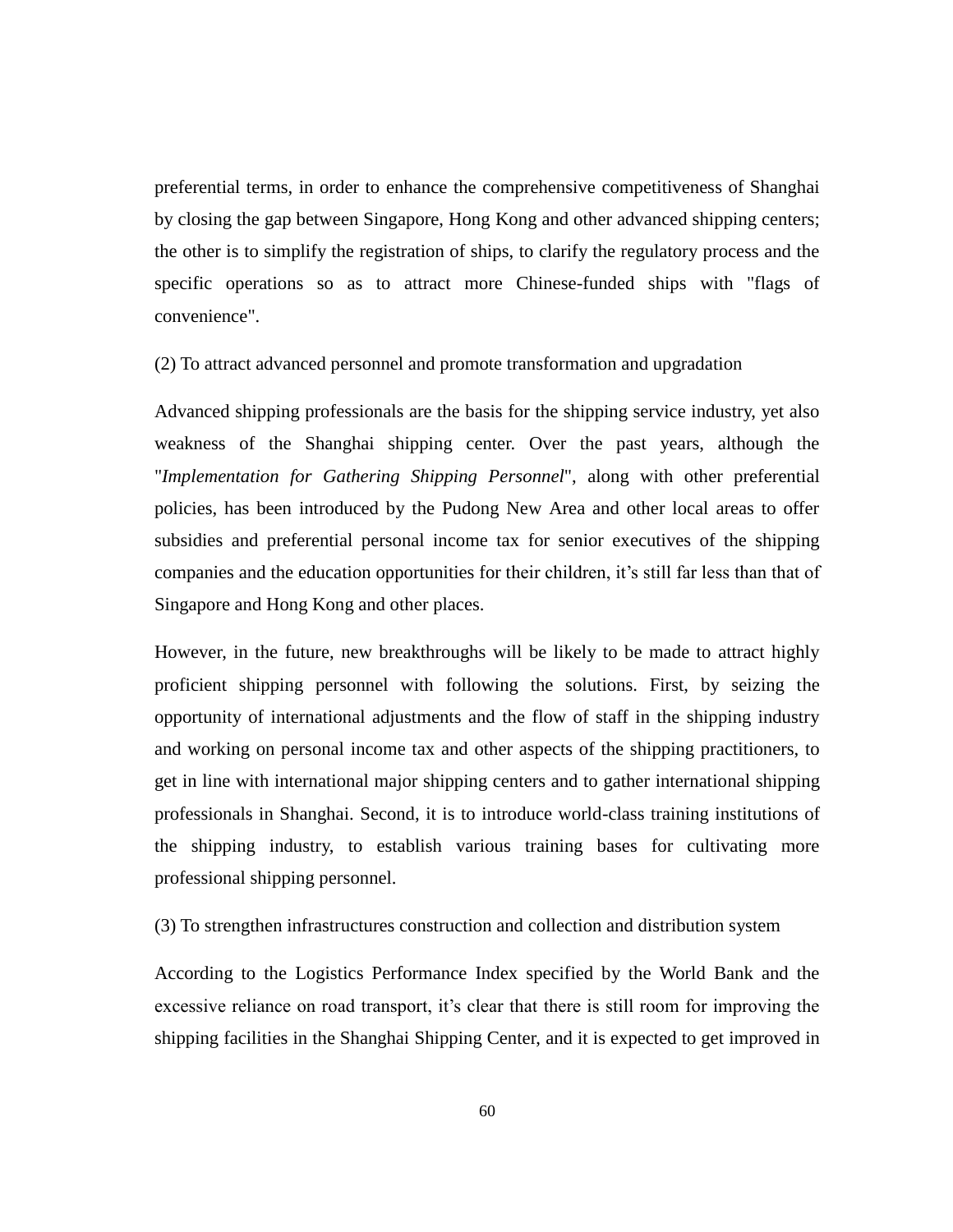preferential terms, in order to enhance the comprehensive competitiveness of Shanghai by closing the gap between Singapore, Hong Kong and other advanced shipping centers; the other is to simplify the registration of ships, to clarify the regulatory process and the specific operations so as to attract more Chinese-funded ships with "flags of convenience".

(2) To attract advanced personnel and promote transformation and upgradation

Advanced shipping professionals are the basis for the shipping service industry, yet also weakness of the Shanghai shipping center. Over the past years, although the "*Implementation for Gathering Shipping Personnel*", along with other preferential policies, has been introduced by the Pudong New Area and other local areas to offer subsidies and preferential personal income tax for senior executives of the shipping companies and the education opportunities for their children, it's still far less than that of Singapore and Hong Kong and other places.

However, in the future, new breakthroughs will be likely to be made to attract highly proficient shipping personnel with following the solutions. First, by seizing the opportunity of international adjustments and the flow of staff in the shipping industry and working on personal income tax and other aspects of the shipping practitioners, to get in line with international major shipping centers and to gather international shipping professionals in Shanghai. Second, it is to introduce world-class training institutions of the shipping industry, to establish various training bases for cultivating more professional shipping personnel.

(3) To strengthen infrastructures construction and collection and distribution system

According to the Logistics Performance Index specified by the World Bank and the excessive reliance on road transport, it's clear that there is still room for improving the shipping facilities in the Shanghai Shipping Center, and it is expected to get improved in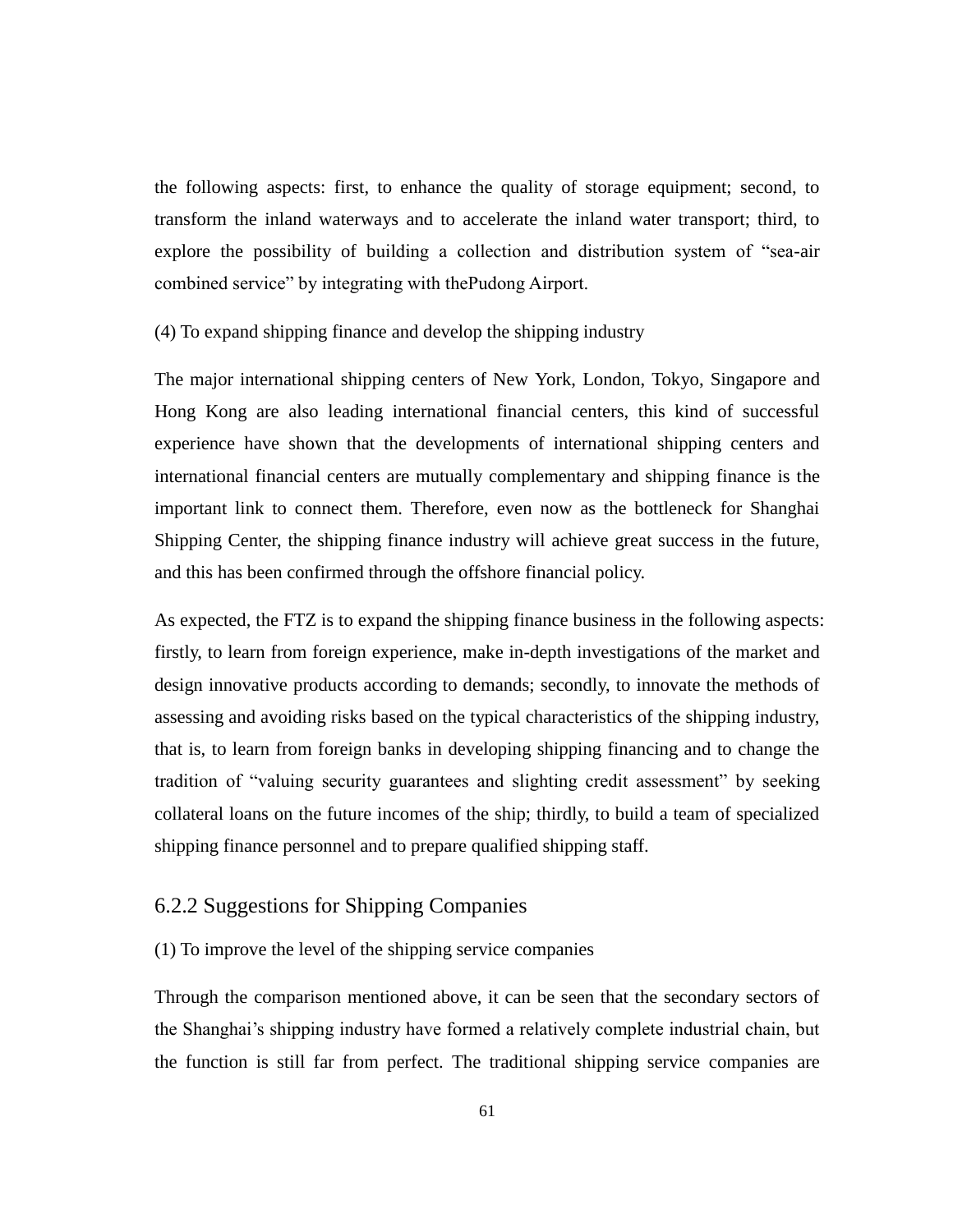the following aspects: first, to enhance the quality of storage equipment; second, to transform the inland waterways and to accelerate the inland water transport; third, to explore the possibility of building a collection and distribution system of "sea-air combined service" by integrating with thePudong Airport.

### (4) To expand shipping finance and develop the shipping industry

The major international shipping centers of New York, London, Tokyo, Singapore and Hong Kong are also leading international financial centers, this kind of successful experience have shown that the developments of international shipping centers and international financial centers are mutually complementary and shipping finance is the important link to connect them. Therefore, even now as the bottleneck for Shanghai Shipping Center, the shipping finance industry will achieve great success in the future, and this has been confirmed through the offshore financial policy.

As expected, the FTZ is to expand the shipping finance business in the following aspects: firstly, to learn from foreign experience, make in-depth investigations of the market and design innovative products according to demands; secondly, to innovate the methods of assessing and avoiding risks based on the typical characteristics of the shipping industry, that is, to learn from foreign banks in developing shipping financing and to change the tradition of "valuing security guarantees and slighting credit assessment" by seeking collateral loans on the future incomes of the ship; thirdly, to build a team of specialized shipping finance personnel and to prepare qualified shipping staff.

## 6.2.2 Suggestions for Shipping Companies

(1) To improve the level of the shipping service companies

Through the comparison mentioned above, it can be seen that the secondary sectors of the Shanghai's shipping industry have formed a relatively complete industrial chain, but the function is still far from perfect. The traditional shipping service companies are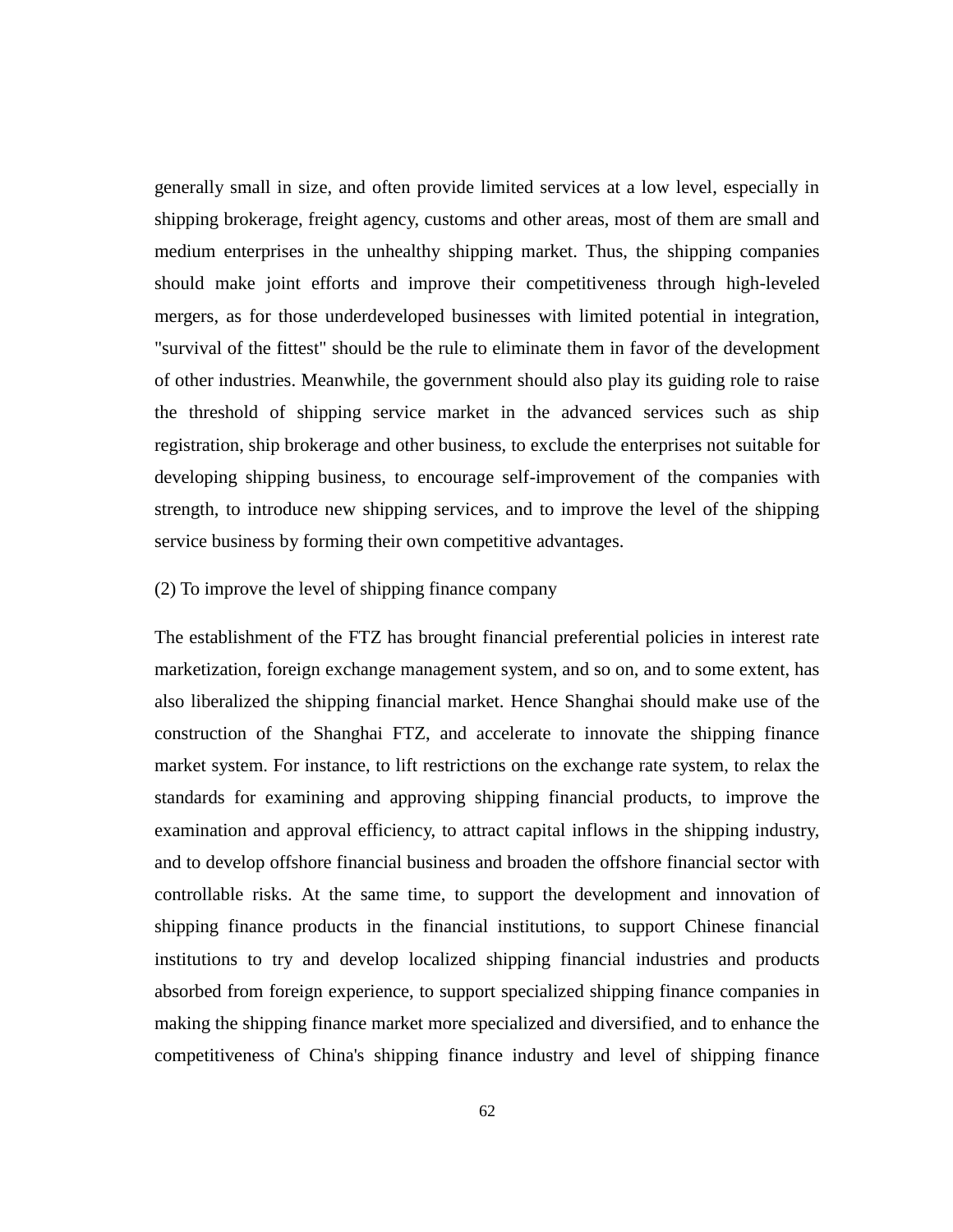generally small in size, and often provide limited services at a low level, especially in shipping brokerage, freight agency, customs and other areas, most of them are small and medium enterprises in the unhealthy shipping market. Thus, the shipping companies should make joint efforts and improve their competitiveness through high-leveled mergers, as for those underdeveloped businesses with limited potential in integration, "survival of the fittest" should be the rule to eliminate them in favor of the development of other industries. Meanwhile, the government should also play its guiding role to raise the threshold of shipping service market in the advanced services such as ship registration, ship brokerage and other business, to exclude the enterprises not suitable for developing shipping business, to encourage self-improvement of the companies with strength, to introduce new shipping services, and to improve the level of the shipping service business by forming their own competitive advantages.

### (2) To improve the level of shipping finance company

The establishment of the FTZ has brought financial preferential policies in interest rate marketization, foreign exchange management system, and so on, and to some extent, has also liberalized the shipping financial market. Hence Shanghai should make use of the construction of the Shanghai FTZ, and accelerate to innovate the shipping finance market system. For instance, to lift restrictions on the exchange rate system, to relax the standards for examining and approving shipping financial products, to improve the examination and approval efficiency, to attract capital inflows in the shipping industry, and to develop offshore financial business and broaden the offshore financial sector with controllable risks. At the same time, to support the development and innovation of shipping finance products in the financial institutions, to support Chinese financial institutions to try and develop localized shipping financial industries and products absorbed from foreign experience, to support specialized shipping finance companies in making the shipping finance market more specialized and diversified, and to enhance the competitiveness of China's shipping finance industry and level of shipping finance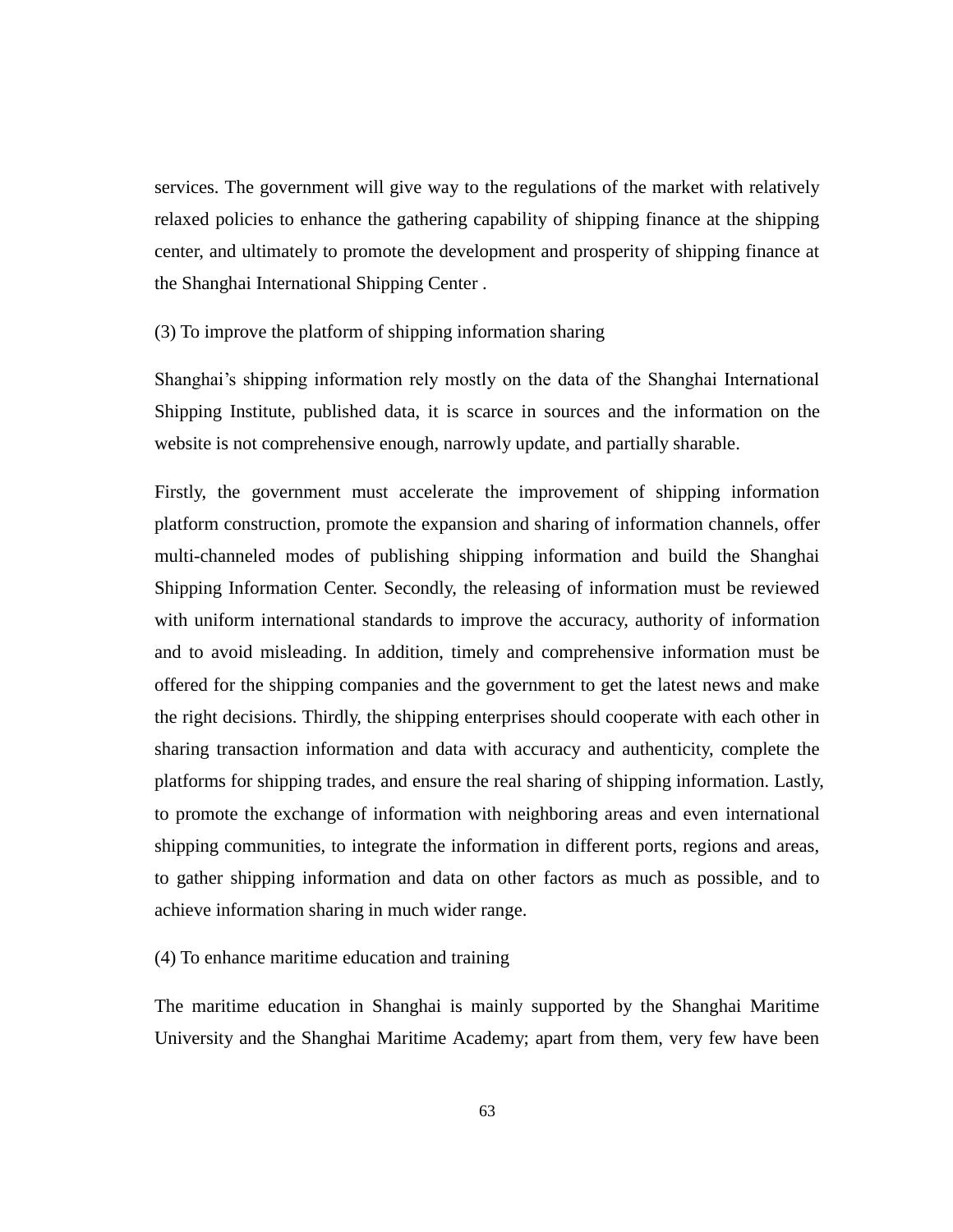services. The government will give way to the regulations of the market with relatively relaxed policies to enhance the gathering capability of shipping finance at the shipping center, and ultimately to promote the development and prosperity of shipping finance at the Shanghai International Shipping Center .

### (3) To improve the platform of shipping information sharing

Shanghai's shipping information rely mostly on the data of the Shanghai International Shipping Institute, published data, it is scarce in sources and the information on the website is not comprehensive enough, narrowly update, and partially sharable.

Firstly, the government must accelerate the improvement of shipping information platform construction, promote the expansion and sharing of information channels, offer multi-channeled modes of publishing shipping information and build the Shanghai Shipping Information Center. Secondly, the releasing of information must be reviewed with uniform international standards to improve the accuracy, authority of information and to avoid misleading. In addition, timely and comprehensive information must be offered for the shipping companies and the government to get the latest news and make the right decisions. Thirdly, the shipping enterprises should cooperate with each other in sharing transaction information and data with accuracy and authenticity, complete the platforms for shipping trades, and ensure the real sharing of shipping information. Lastly, to promote the exchange of information with neighboring areas and even international shipping communities, to integrate the information in different ports, regions and areas, to gather shipping information and data on other factors as much as possible, and to achieve information sharing in much wider range.

### (4) To enhance maritime education and training

The maritime education in Shanghai is mainly supported by the Shanghai Maritime University and the Shanghai Maritime Academy; apart from them, very few have been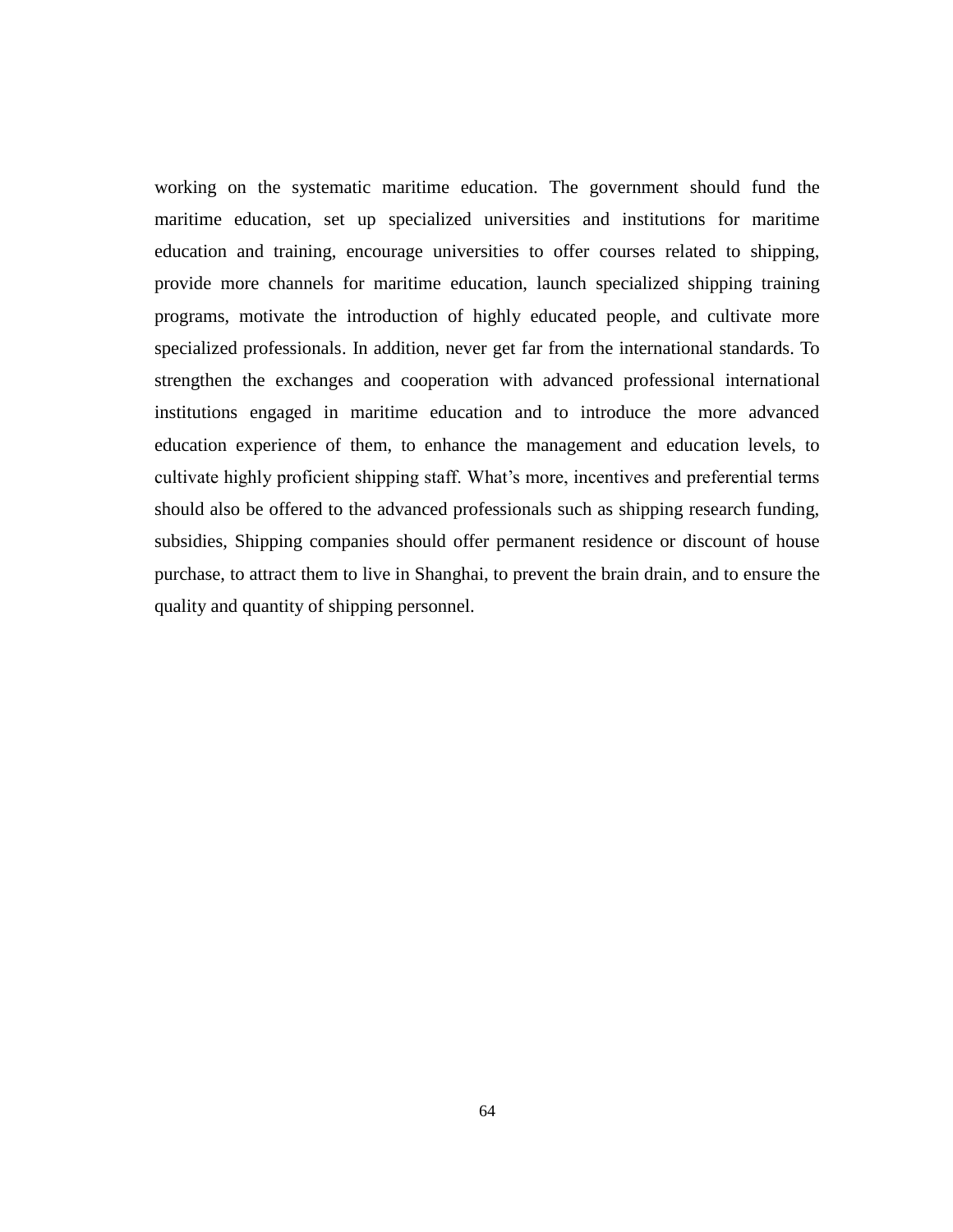working on the systematic maritime education. The government should fund the maritime education, set up specialized universities and institutions for maritime education and training, encourage universities to offer courses related to shipping, provide more channels for maritime education, launch specialized shipping training programs, motivate the introduction of highly educated people, and cultivate more specialized professionals. In addition, never get far from the international standards. To strengthen the exchanges and cooperation with advanced professional international institutions engaged in maritime education and to introduce the more advanced education experience of them, to enhance the management and education levels, to cultivate highly proficient shipping staff. What's more, incentives and preferential terms should also be offered to the advanced professionals such as shipping research funding, subsidies, Shipping companies should offer permanent residence or discount of house purchase, to attract them to live in Shanghai, to prevent the brain drain, and to ensure the quality and quantity of shipping personnel.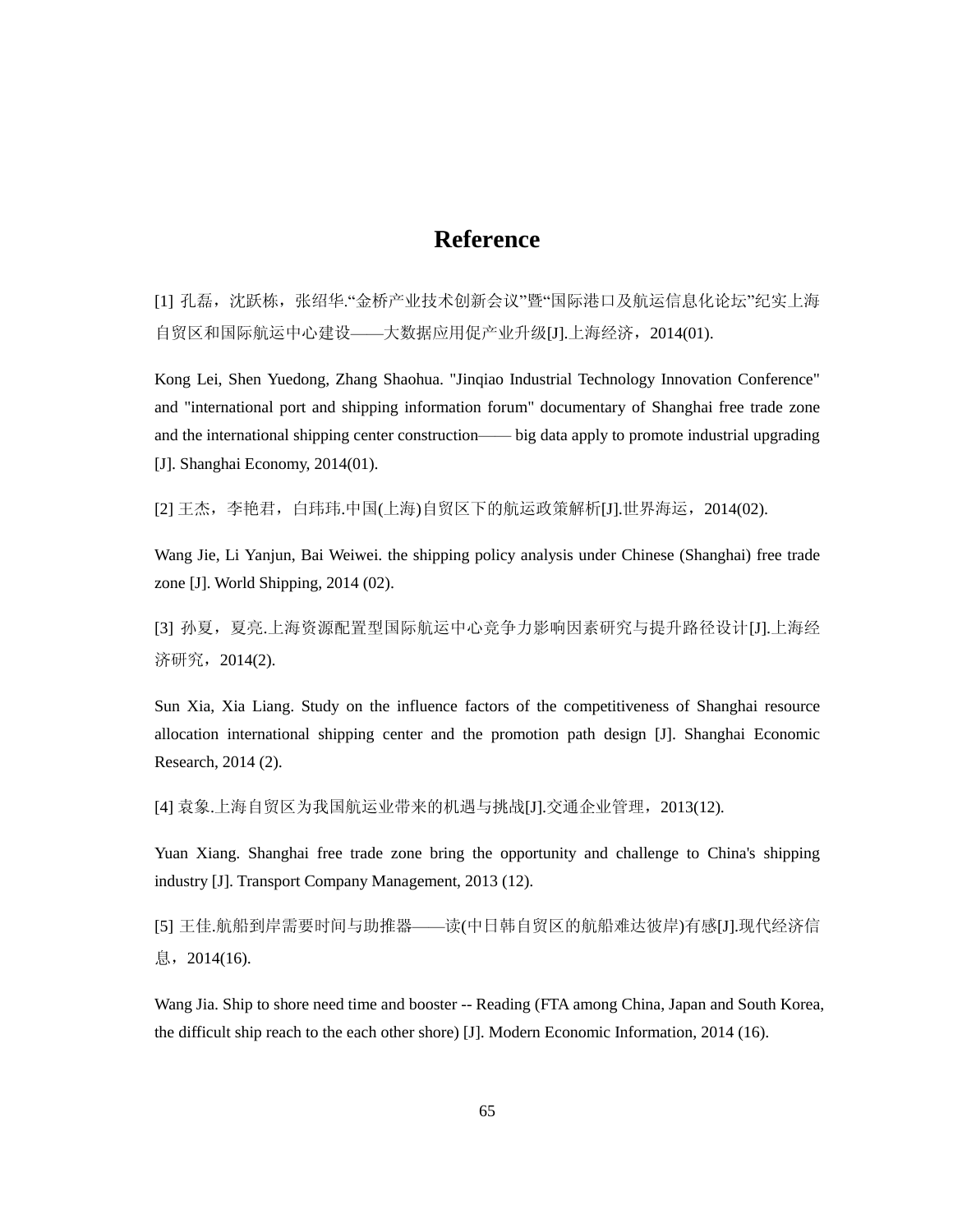# **Reference**

[1] 孔磊,沈跃栋,张绍华."金桥产业技术创新会议"暨"国际港口及航运信息化论坛"纪实上海 自贸区和国际航运中心建设——大数据应用促产业升级[J].上海经济,2014(01).

Kong Lei, Shen Yuedong, Zhang Shaohua. "Jinqiao Industrial Technology Innovation Conference" and "international port and shipping information forum" documentary of Shanghai free trade zone and the international shipping center construction—— big data apply to promote industrial upgrading [J]. Shanghai Economy, 2014(01).

[2] 王杰, 李艳君, 白玮玮.中国(上海)自贸区下的航运政策解析[J].世界海运, 2014(02).

Wang Jie, Li Yanjun, Bai Weiwei. the shipping policy analysis under Chinese (Shanghai) free trade zone [J]. World Shipping, 2014 (02).

[3] 孙夏,夏亮.上海资源配置型国际航运中心竞争力影响因素研究与提升路径设计[J].上海经 济研究,2014(2).

Sun Xia, Xia Liang. Study on the influence factors of the competitiveness of Shanghai resource allocation international shipping center and the promotion path design [J]. Shanghai Economic Research, 2014 (2).

[4] 袁象.上海自贸区为我国航运业带来的机遇与挑战[J].交通企业管理,2013(12).

Yuan Xiang. Shanghai free trade zone bring the opportunity and challenge to China's shipping industry [J]. Transport Company Management, 2013 (12).

[5] 王佳.航船到岸需要时间与助推器——读(中日韩自贸区的航船难达彼岸)有感[J].现代经济信 息,2014(16).

Wang Jia. Ship to shore need time and booster -- Reading (FTA among China, Japan and South Korea, the difficult ship reach to the each other shore) [J]. Modern Economic Information, 2014 (16).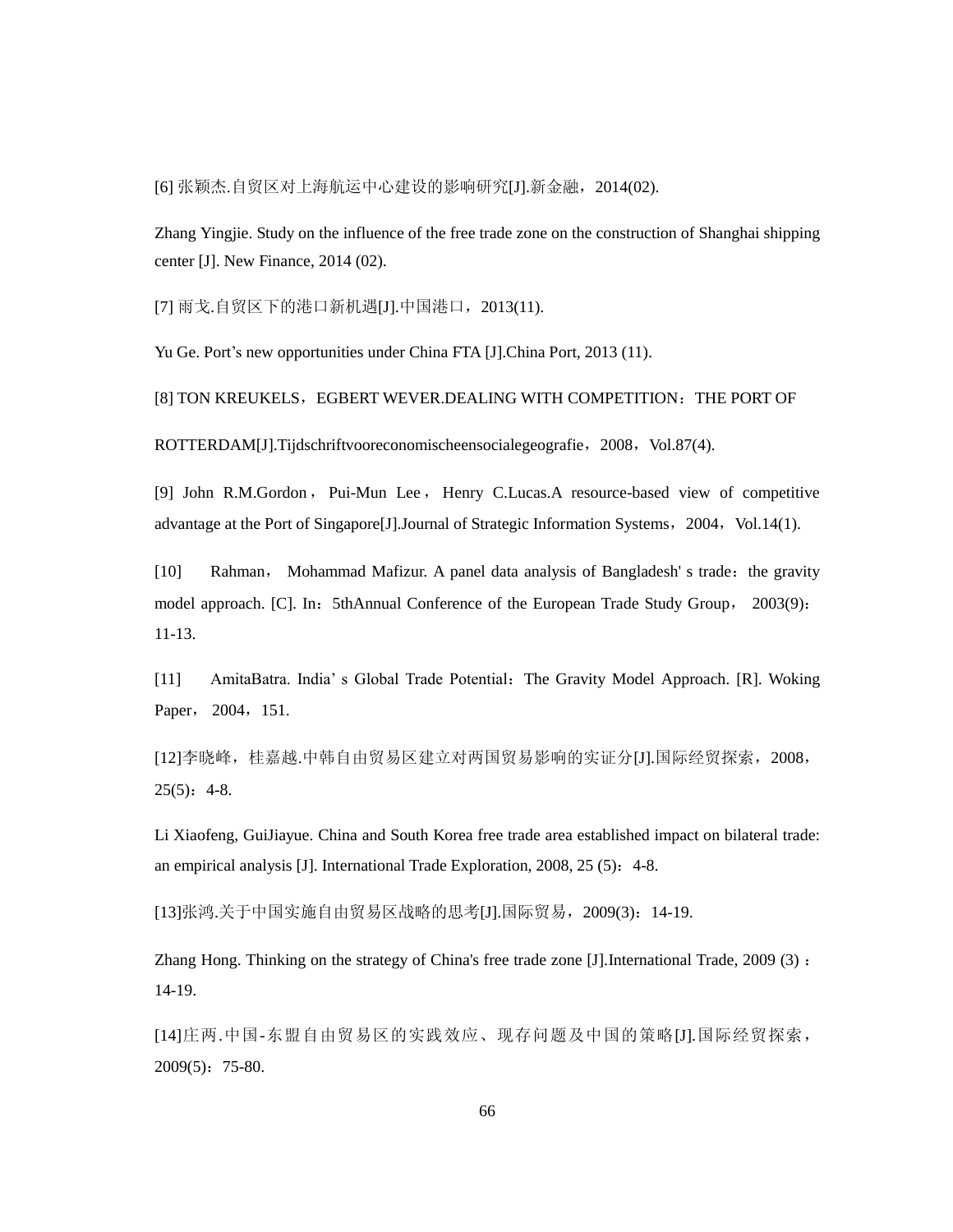[6] 张颖杰.自贸区对上海航运中心建设的影响研究[J].新金融,2014(02).

Zhang Yingjie. Study on the influence of the free trade zone on the construction of Shanghai shipping center [J]. New Finance, 2014 (02).

[7] 雨戈.自贸区下的港口新机遇[J].中国港口,2013(11).

Yu Ge. Port's new opportunities under China FTA [J].China Port, 2013 (11).

[8] TON KREUKELS, EGBERT WEVER.DEALING WITH COMPETITION: THE PORT OF

ROTTERDAM[J].Tijdschriftvooreconomischeensocialegeografie, 2008, Vol.87(4).

[9] John R.M.Gordon, Pui-Mun Lee, Henry C.Lucas.A resource-based view of competitive advantage at the Port of Singapore<sup>[J]</sup>.Journal of Strategic Information Systems, 2004, Vol.14(1).

[10] Rahman, Mohammad Mafizur. A panel data analysis of Bangladesh' s trade: the gravity model approach. [C]. In: 5thAnnual Conference of the European Trade Study Group, 2003(9): 11-13.

[11] AmitaBatra. India' s Global Trade Potential:The Gravity Model Approach. [R]. Woking Paper, 2004, 151.

[12]李晓峰,桂嘉越.中韩自由贸易区建立对两国贸易影响的实证分[J].国际经贸探索,2008,  $25(5): 4-8.$ 

Li Xiaofeng, GuiJiayue. China and South Korea free trade area established impact on bilateral trade: an empirical analysis [J]. International Trade Exploration, 2008, 25 (5): 4-8.

[13]张鸿.关于中国实施自由贸易区战略的思考[J].国际贸易,2009(3):14-19.

Zhang Hong. Thinking on the strategy of China's free trade zone [J].International Trade, 2009 (3) : 14-19.

[14]庄两.中国-东盟自由贸易区的实践效应、现存问题及中国的策略[J].国际经贸探索, 2009(5):75-80.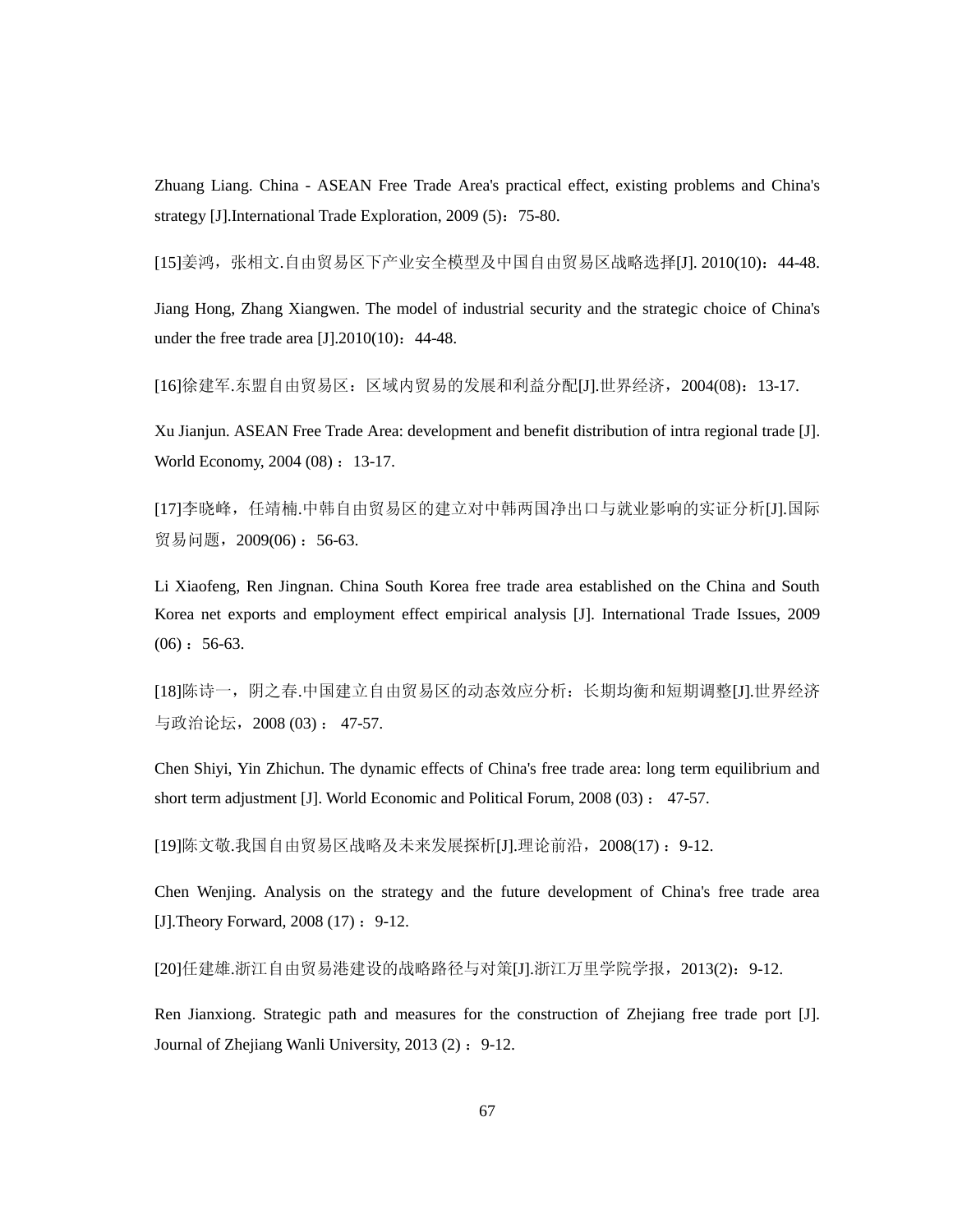Zhuang Liang. China - ASEAN Free Trade Area's practical effect, existing problems and China's strategy [J].International Trade Exploration, 2009 (5): 75-80.

[15]姜鸿,张相文.自由贸易区下产业安全模型及中国自由贸易区战略选择[J]. 2010(10):44-48.

Jiang Hong, Zhang Xiangwen. The model of industrial security and the strategic choice of China's under the free trade area  $[J].2010(10)$ : 44-48.

[16]徐建军.东盟自由贸易区:区域内贸易的发展和利益分配[J].世界经济,2004(08):13-17.

Xu Jianjun. ASEAN Free Trade Area: development and benefit distribution of intra regional trade [J]. World Economy, 2004 (08): 13-17.

[17]李晓峰,任靖楠.中韩自由贸易区的建立对中韩两国净出口与就业影响的实证分析[J].国际 贸易问题, 2009(06): 56-63.

Li Xiaofeng, Ren Jingnan. China South Korea free trade area established on the China and South Korea net exports and employment effect empirical analysis [J]. International Trade Issues, 2009  $(06): 56-63.$ 

[18]陈诗一,阴之春.中国建立自由贸易区的动态效应分析:长期均衡和短期调整[J].世界经济 与政治论坛,2008 (03) : 47-57.

Chen Shiyi, Yin Zhichun. The dynamic effects of China's free trade area: long term equilibrium and short term adjustment [J]. World Economic and Political Forum, 2008 (03) : 47-57.

[19] 陈文敬. 我国自由贸易区战略及未来发展探析 [J]. 理论前沿, 2008(17) : 9-12.

Chen Wenjing. Analysis on the strategy and the future development of China's free trade area [J]. Theory Forward,  $2008(17):9-12$ .

[20]任建雄.浙江自由贸易港建设的战略路径与对策[J].浙江万里学院学报,2013(2):9-12.

Ren Jianxiong. Strategic path and measures for the construction of Zhejiang free trade port [J]. Journal of Zhejiang Wanli University, 2013 (2) : 9-12.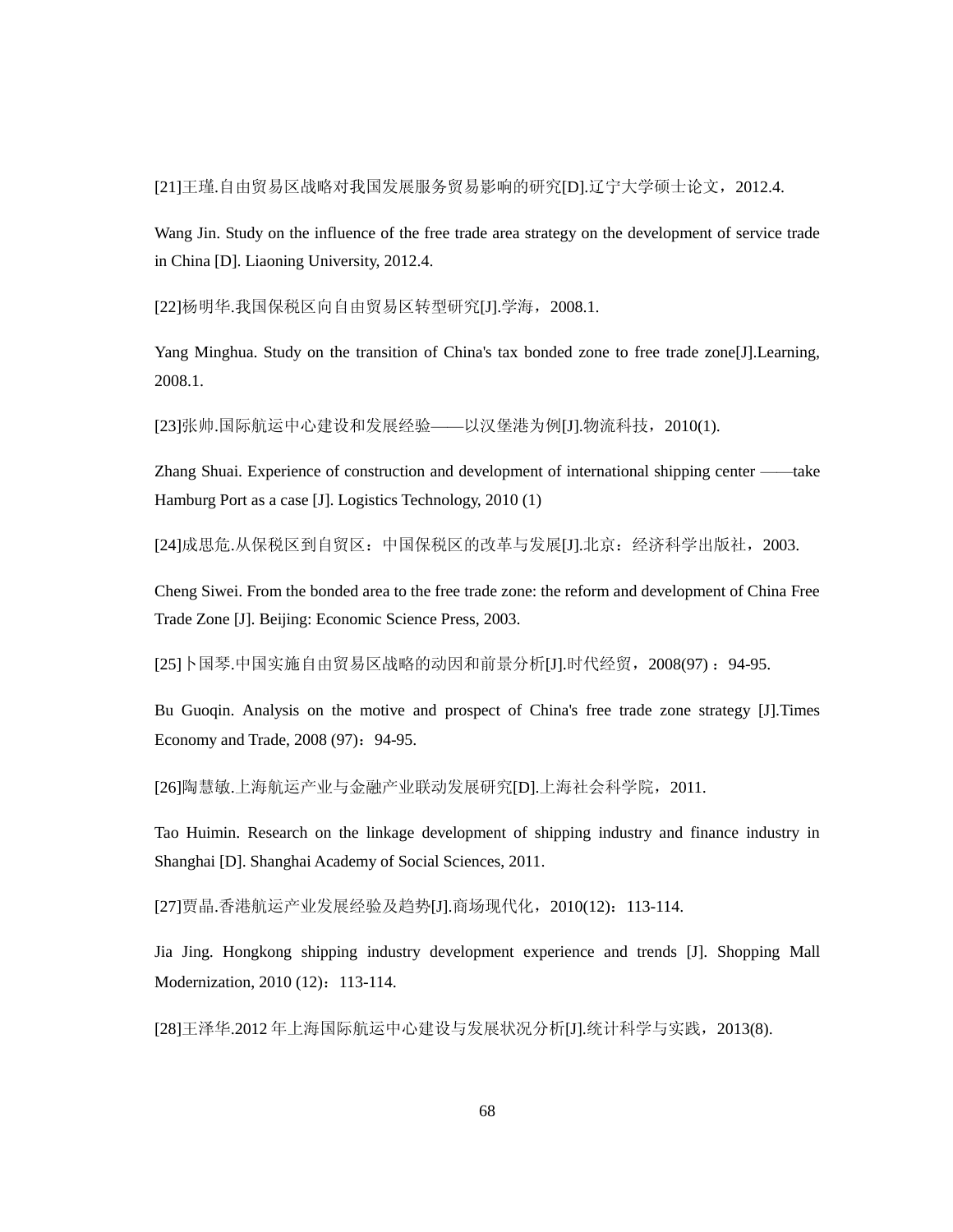[21]王瑾.自由贸易区战略对我国发展服务贸易影响的研究[D].辽宁大学硕士论文,2012.4.

Wang Jin. Study on the influence of the free trade area strategy on the development of service trade in China [D]. Liaoning University, 2012.4.

[22]杨明华.我国保税区向自由贸易区转型研究[J].学海,2008.1.

Yang Minghua. Study on the transition of China's tax bonded zone to free trade zone[J].Learning, 2008.1.

[23]张帅.国际航运中心建设和发展经验——以汉堡港为例[J].物流科技,2010(1).

Zhang Shuai. Experience of construction and development of international shipping center ——take Hamburg Port as a case [J]. Logistics Technology, 2010 (1)

[24]成思危.从保税区到自贸区:中国保税区的改革与发展[J].北京:经济科学出版社,2003.

Cheng Siwei. From the bonded area to the free trade zone: the reform and development of China Free Trade Zone [J]. Beijing: Economic Science Press, 2003.

[25]卜国琴.中国实施自由贸易区战略的动因和前景分析[J].时代经贸, 2008(97): 94-95.

Bu Guoqin. Analysis on the motive and prospect of China's free trade zone strategy [J].Times Economy and Trade, 2008 (97): 94-95.

[26]陶慧敏.上海航运产业与金融产业联动发展研究[D].上海社会科学院, 2011.

Tao Huimin. Research on the linkage development of shipping industry and finance industry in Shanghai [D]. Shanghai Academy of Social Sciences, 2011.

[27]贾晶.香港航运产业发展经验及趋势[J].商场现代化, 2010(12): 113-114.

Jia Jing. Hongkong shipping industry development experience and trends [J]. Shopping Mall Modernization, 2010 (12): 113-114.

[28]王泽华.2012年上海国际航运中心建设与发展状况分析[J].统计科学与实践, 2013(8).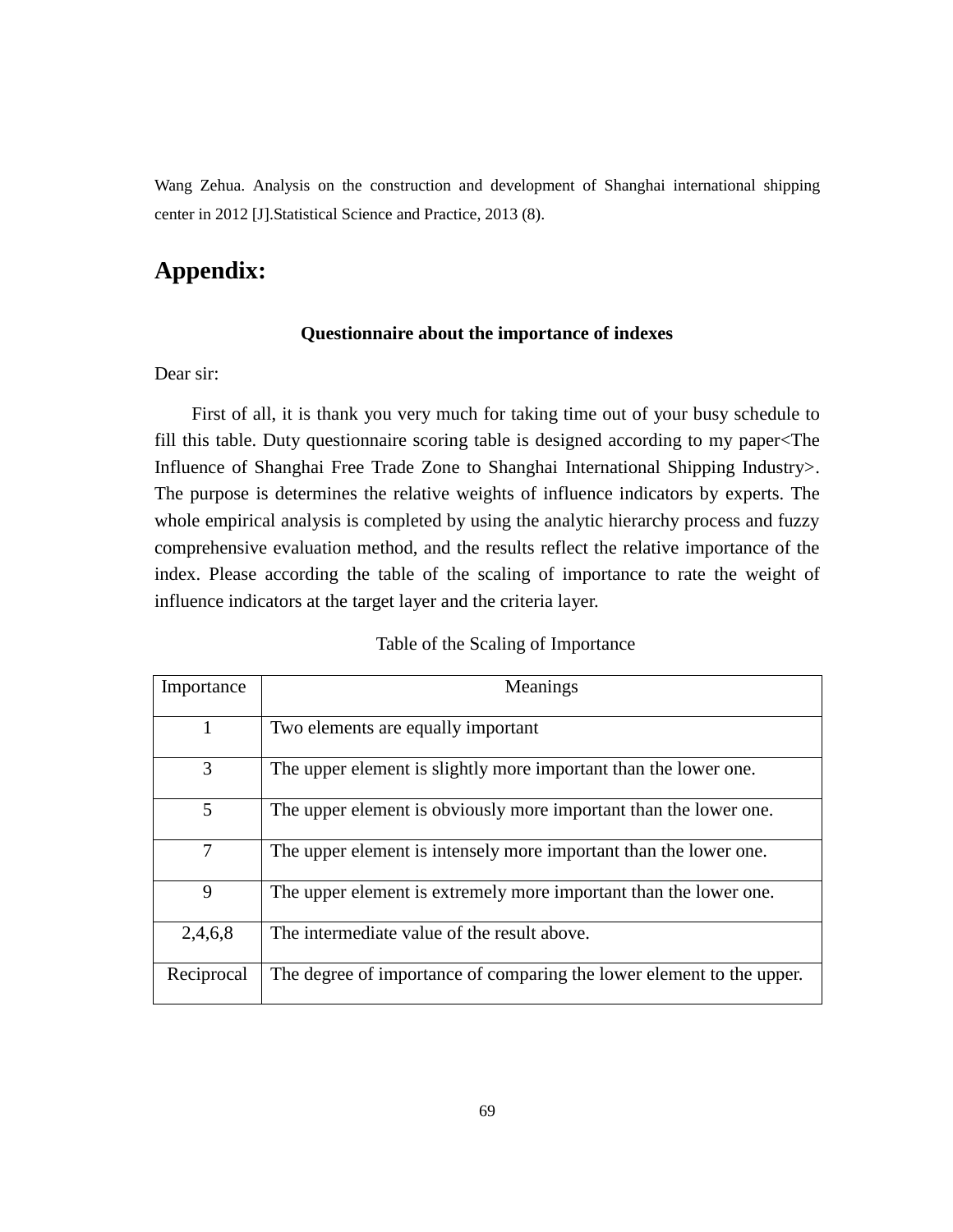Wang Zehua. Analysis on the construction and development of Shanghai international shipping center in 2012 [J].Statistical Science and Practice, 2013 (8).

# **Appendix:**

### **Questionnaire about the importance of indexes**

### Dear sir:

First of all, it is thank you very much for taking time out of your busy schedule to fill this table. Duty questionnaire scoring table is designed according to my paper<The Influence of Shanghai Free Trade Zone to Shanghai International Shipping Industry>. The purpose is determines the relative weights of influence indicators by experts. The whole empirical analysis is completed by using the analytic hierarchy process and fuzzy comprehensive evaluation method, and the results reflect the relative importance of the index. Please according the table of the scaling of importance to rate the weight of influence indicators at the target layer and the criteria layer.

#### Table of the Scaling of Importance

| Importance | Meanings                                                              |
|------------|-----------------------------------------------------------------------|
| 1          | Two elements are equally important                                    |
| 3          | The upper element is slightly more important than the lower one.      |
| 5          | The upper element is obviously more important than the lower one.     |
| 7          | The upper element is intensely more important than the lower one.     |
| 9          | The upper element is extremely more important than the lower one.     |
| 2,4,6,8    | The intermediate value of the result above.                           |
| Reciprocal | The degree of importance of comparing the lower element to the upper. |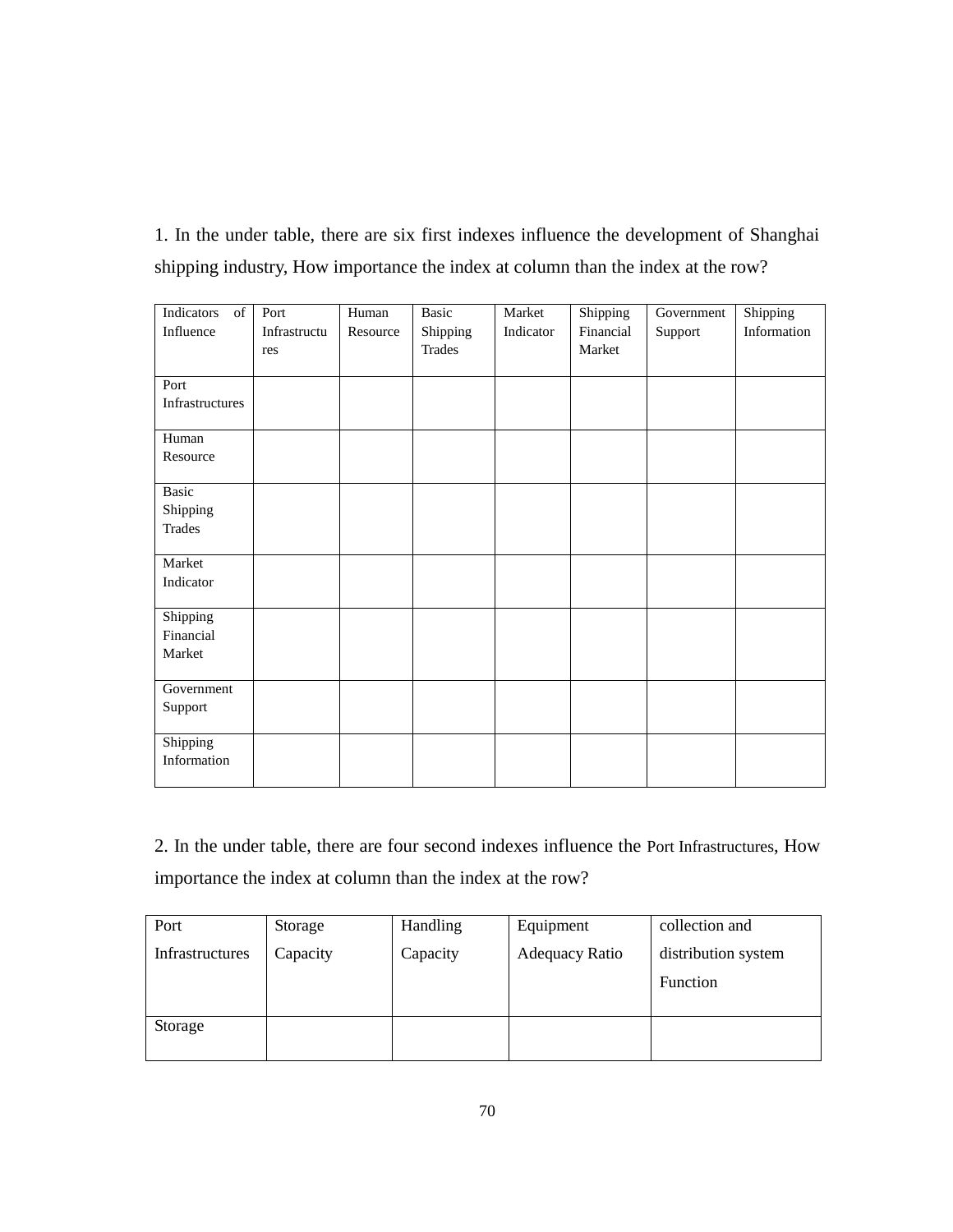1. In the under table, there are six first indexes influence the development of Shanghai shipping industry, How importance the index at column than the index at the row?

| Indicators<br>$% \overline{a}$ of | Port         | Human    | <b>Basic</b>  | Market    | Shipping  | Government | Shipping    |
|-----------------------------------|--------------|----------|---------------|-----------|-----------|------------|-------------|
| Influence                         | Infrastructu | Resource | Shipping      | Indicator | Financial | Support    | Information |
|                                   | res          |          | <b>Trades</b> |           | Market    |            |             |
|                                   |              |          |               |           |           |            |             |
| Port                              |              |          |               |           |           |            |             |
| Infrastructures                   |              |          |               |           |           |            |             |
| Human                             |              |          |               |           |           |            |             |
| Resource                          |              |          |               |           |           |            |             |
| <b>Basic</b>                      |              |          |               |           |           |            |             |
| Shipping                          |              |          |               |           |           |            |             |
| <b>Trades</b>                     |              |          |               |           |           |            |             |
|                                   |              |          |               |           |           |            |             |
| Market                            |              |          |               |           |           |            |             |
| Indicator                         |              |          |               |           |           |            |             |
| Shipping                          |              |          |               |           |           |            |             |
| Financial                         |              |          |               |           |           |            |             |
| Market                            |              |          |               |           |           |            |             |
| Government                        |              |          |               |           |           |            |             |
| Support                           |              |          |               |           |           |            |             |
| Shipping                          |              |          |               |           |           |            |             |
| Information                       |              |          |               |           |           |            |             |

2. In the under table, there are four second indexes influence the Port Infrastructures, How importance the index at column than the index at the row?

| Port            | Storage  | Handling | Equipment      | collection and      |
|-----------------|----------|----------|----------------|---------------------|
| Infrastructures | Capacity | Capacity | Adequacy Ratio | distribution system |
|                 |          |          |                | <b>Function</b>     |
| Storage         |          |          |                |                     |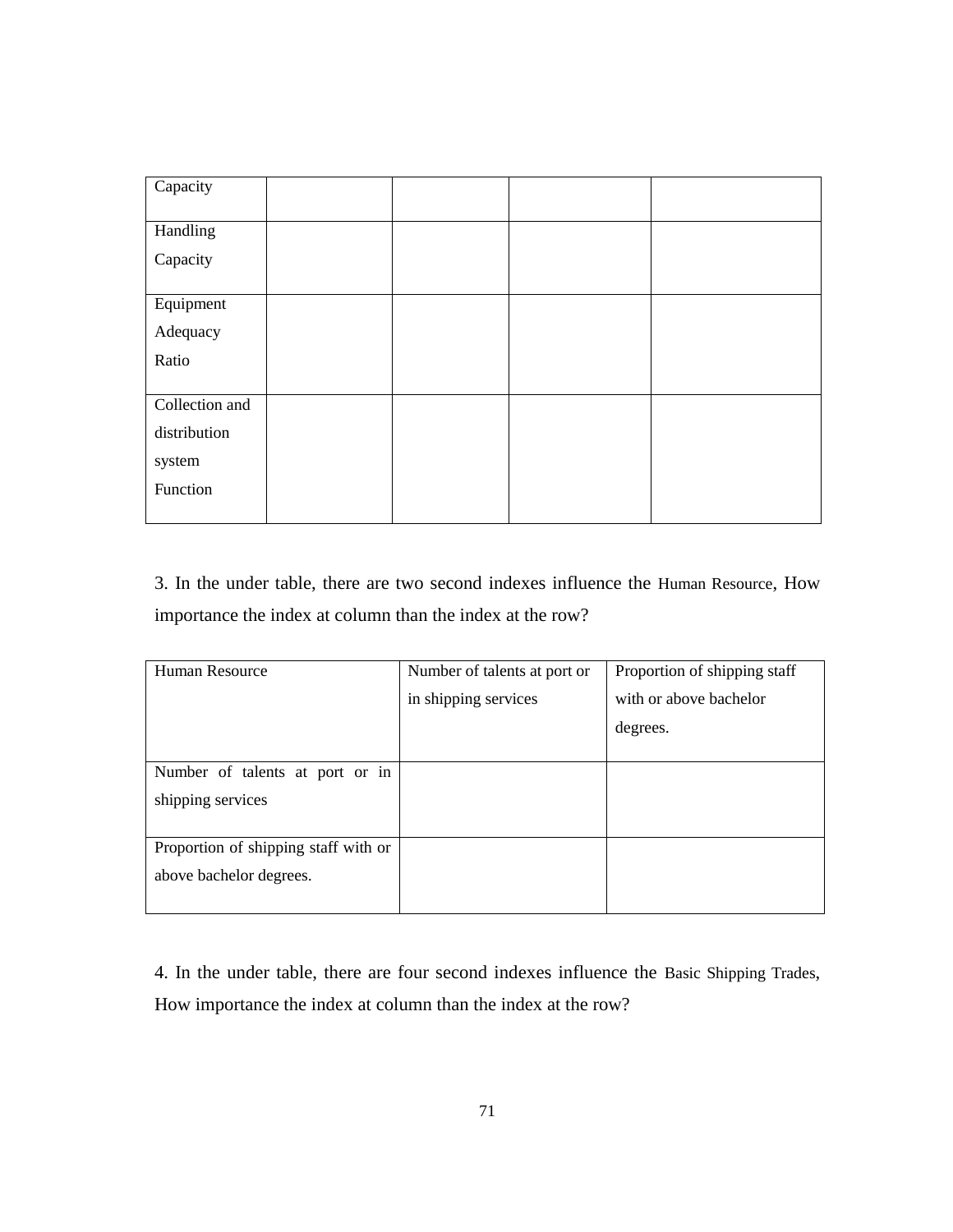| Capacity       |  |  |
|----------------|--|--|
| Handling       |  |  |
| Capacity       |  |  |
| Equipment      |  |  |
| Adequacy       |  |  |
| Ratio          |  |  |
| Collection and |  |  |
| distribution   |  |  |
| system         |  |  |
| Function       |  |  |
|                |  |  |

3. In the under table, there are two second indexes influence the Human Resource, How importance the index at column than the index at the row?

| Human Resource                       | Number of talents at port or | Proportion of shipping staff |
|--------------------------------------|------------------------------|------------------------------|
|                                      | in shipping services         | with or above bachelor       |
|                                      |                              | degrees.                     |
|                                      |                              |                              |
| Number of talents at port or in      |                              |                              |
| shipping services                    |                              |                              |
|                                      |                              |                              |
| Proportion of shipping staff with or |                              |                              |
| above bachelor degrees.              |                              |                              |
|                                      |                              |                              |

4. In the under table, there are four second indexes influence the Basic Shipping Trades, How importance the index at column than the index at the row?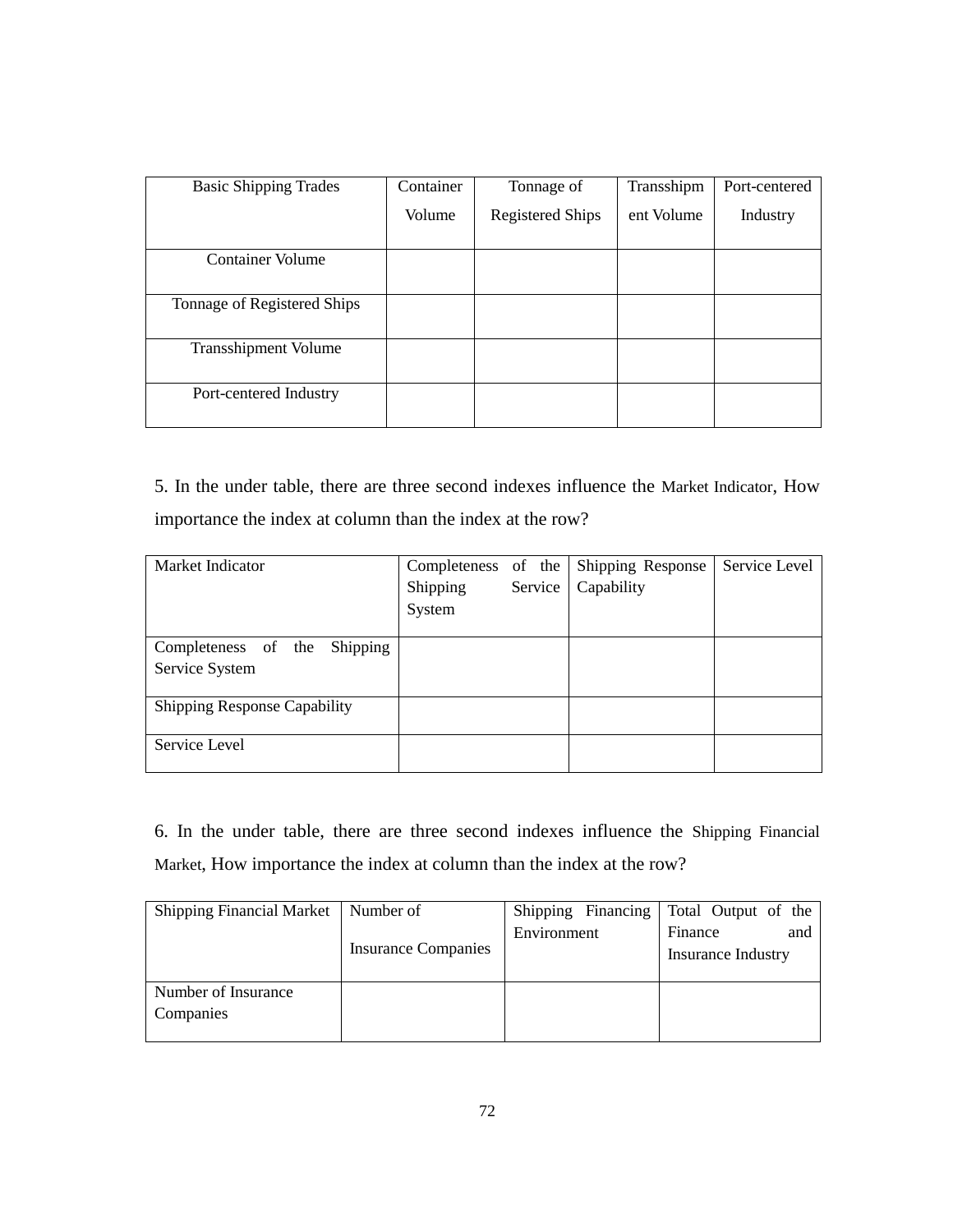| <b>Basic Shipping Trades</b> | Container | Tonnage of              | Transshipm | Port-centered |
|------------------------------|-----------|-------------------------|------------|---------------|
|                              | Volume    | <b>Registered Ships</b> | ent Volume | Industry      |
|                              |           |                         |            |               |
| <b>Container Volume</b>      |           |                         |            |               |
|                              |           |                         |            |               |
| Tonnage of Registered Ships  |           |                         |            |               |
|                              |           |                         |            |               |
| <b>Transshipment Volume</b>  |           |                         |            |               |
|                              |           |                         |            |               |
| Port-centered Industry       |           |                         |            |               |
|                              |           |                         |            |               |

5. In the under table, there are three second indexes influence the Market Indicator, How importance the index at column than the index at the row?

| Market Indicator                    | Completeness of the |         | Shipping Response | Service Level |
|-------------------------------------|---------------------|---------|-------------------|---------------|
|                                     | Shipping            | Service | Capability        |               |
|                                     | System              |         |                   |               |
|                                     |                     |         |                   |               |
| Shipping<br>Completeness of the     |                     |         |                   |               |
| Service System                      |                     |         |                   |               |
|                                     |                     |         |                   |               |
| <b>Shipping Response Capability</b> |                     |         |                   |               |
|                                     |                     |         |                   |               |
| Service Level                       |                     |         |                   |               |
|                                     |                     |         |                   |               |

6. In the under table, there are three second indexes influence the Shipping Financial Market, How importance the index at column than the index at the row?

| <b>Shipping Financial Market</b> | Number of                  | Shipping Financing | Total Output of the |
|----------------------------------|----------------------------|--------------------|---------------------|
|                                  |                            | Environment        | Finance<br>and      |
|                                  | <b>Insurance Companies</b> |                    | Insurance Industry  |
|                                  |                            |                    |                     |
| Number of Insurance              |                            |                    |                     |
| Companies                        |                            |                    |                     |
|                                  |                            |                    |                     |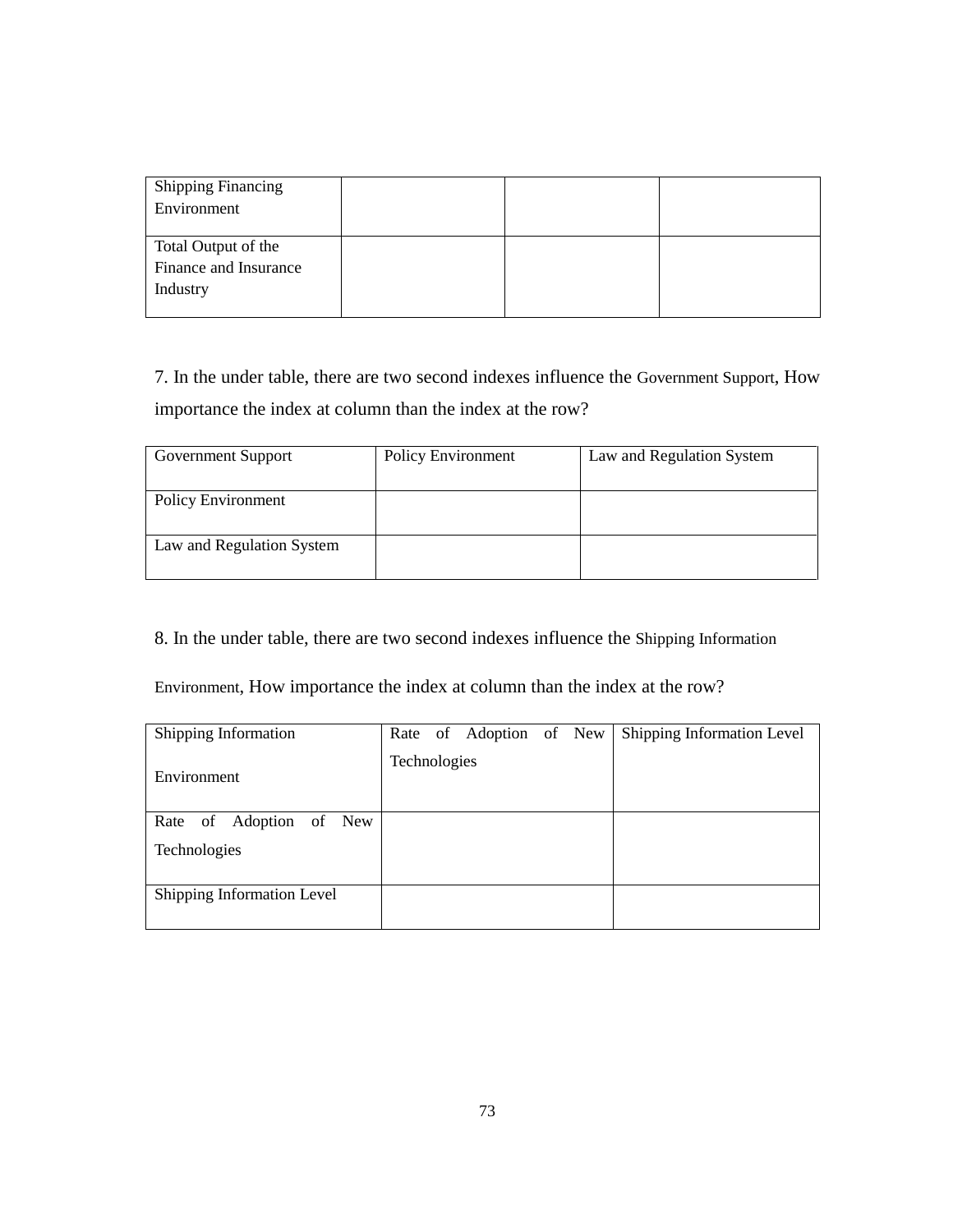| <b>Shipping Financing</b><br>Environment                 |  |  |
|----------------------------------------------------------|--|--|
| Total Output of the<br>Finance and Insurance<br>Industry |  |  |

7. In the under table, there are two second indexes influence the Government Support, How importance the index at column than the index at the row?

| <b>Government Support</b> | <b>Policy Environment</b> | Law and Regulation System |
|---------------------------|---------------------------|---------------------------|
|                           |                           |                           |
| <b>Policy Environment</b> |                           |                           |
|                           |                           |                           |
| Law and Regulation System |                           |                           |
|                           |                           |                           |

8. In the under table, there are two second indexes influence the Shipping Information

Environment, How importance the index at column than the index at the row?

| Shipping Information       | Rate of Adoption of New | Shipping Information Level |
|----------------------------|-------------------------|----------------------------|
| Environment                | Technologies            |                            |
| Rate of Adoption of New    |                         |                            |
| Technologies               |                         |                            |
| Shipping Information Level |                         |                            |